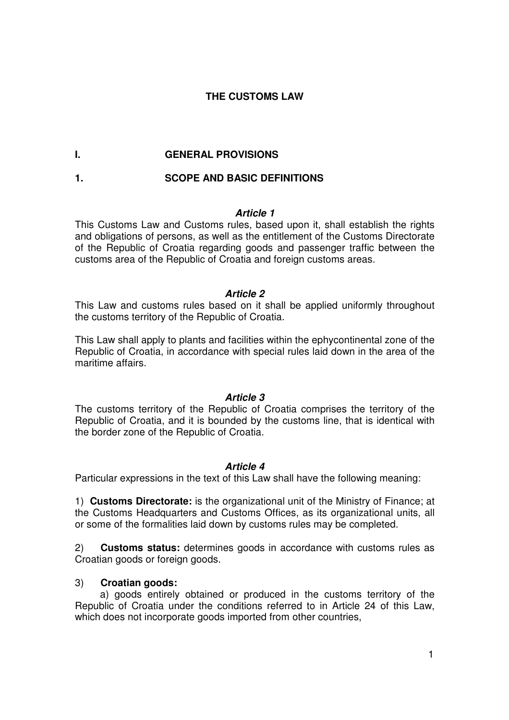## **THE CUSTOMS LAW**

## **I. GENERAL PROVISIONS**

# **1. SCOPE AND BASIC DEFINITIONS**

### **Article 1**

This Customs Law and Customs rules, based upon it, shall establish the rights and obligations of persons, as well as the entitlement of the Customs Directorate of the Republic of Croatia regarding goods and passenger traffic between the customs area of the Republic of Croatia and foreign customs areas.

### **Article 2**

This Law and customs rules based on it shall be applied uniformly throughout the customs territory of the Republic of Croatia.

This Law shall apply to plants and facilities within the ephycontinental zone of the Republic of Croatia, in accordance with special rules laid down in the area of the maritime affairs.

#### **Article 3**

The customs territory of the Republic of Croatia comprises the territory of the Republic of Croatia, and it is bounded by the customs line, that is identical with the border zone of the Republic of Croatia.

### **Article 4**

Particular expressions in the text of this Law shall have the following meaning:

1) **Customs Directorate:** is the organizational unit of the Ministry of Finance; at the Customs Headquarters and Customs Offices, as its organizational units, all or some of the formalities laid down by customs rules may be completed.

2) **Customs status:** determines goods in accordance with customs rules as Croatian goods or foreign goods.

### 3) **Croatian goods:**

 a) goods entirely obtained or produced in the customs territory of the Republic of Croatia under the conditions referred to in Article 24 of this Law, which does not incorporate goods imported from other countries,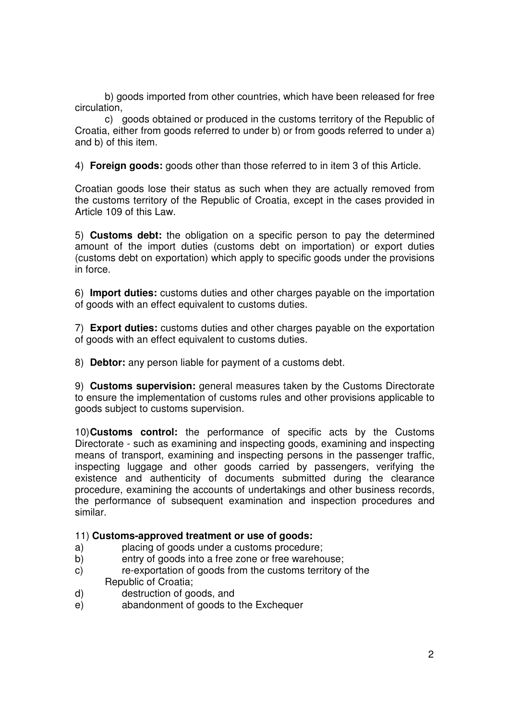b) goods imported from other countries, which have been released for free circulation,

 c) goods obtained or produced in the customs territory of the Republic of Croatia, either from goods referred to under b) or from goods referred to under a) and b) of this item.

4) **Foreign goods:** goods other than those referred to in item 3 of this Article.

Croatian goods lose their status as such when they are actually removed from the customs territory of the Republic of Croatia, except in the cases provided in Article 109 of this Law.

5) **Customs debt:** the obligation on a specific person to pay the determined amount of the import duties (customs debt on importation) or export duties (customs debt on exportation) which apply to specific goods under the provisions in force.

6) **Import duties:** customs duties and other charges payable on the importation of goods with an effect equivalent to customs duties.

7) **Export duties:** customs duties and other charges payable on the exportation of goods with an effect equivalent to customs duties.

8) **Debtor:** any person liable for payment of a customs debt.

9) **Customs supervision:** general measures taken by the Customs Directorate to ensure the implementation of customs rules and other provisions applicable to goods subject to customs supervision.

10) **Customs control:** the performance of specific acts by the Customs Directorate - such as examining and inspecting goods, examining and inspecting means of transport, examining and inspecting persons in the passenger traffic, inspecting luggage and other goods carried by passengers, verifying the existence and authenticity of documents submitted during the clearance procedure, examining the accounts of undertakings and other business records, the performance of subsequent examination and inspection procedures and similar.

#### 11) **Customs-approved treatment or use of goods:**

- a) placing of goods under a customs procedure;
- b) entry of goods into a free zone or free warehouse;
- c) re-exportation of goods from the customs territory of the Republic of Croatia;
- d) destruction of goods, and
- e) abandonment of goods to the Exchequer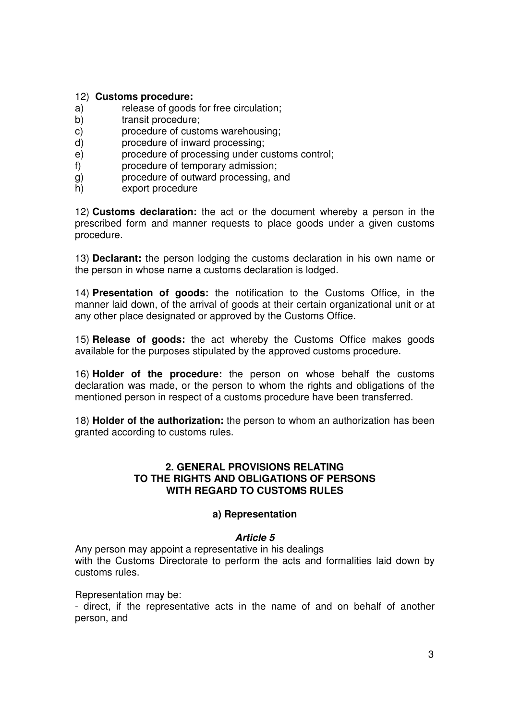#### 12) **Customs procedure:**

- a) release of goods for free circulation;
- b) transit procedure;
- c) procedure of customs warehousing;
- d) procedure of inward processing;
- e) procedure of processing under customs control;
- f) procedure of temporary admission;
- g) procedure of outward processing, and
- h) export procedure

12) **Customs declaration:** the act or the document whereby a person in the prescribed form and manner requests to place goods under a given customs procedure.

13) **Declarant:** the person lodging the customs declaration in his own name or the person in whose name a customs declaration is lodged.

14) **Presentation of goods:** the notification to the Customs Office, in the manner laid down, of the arrival of goods at their certain organizational unit or at any other place designated or approved by the Customs Office.

15) **Release of goods:** the act whereby the Customs Office makes goods available for the purposes stipulated by the approved customs procedure.

16) **Holder of the procedure:** the person on whose behalf the customs declaration was made, or the person to whom the rights and obligations of the mentioned person in respect of a customs procedure have been transferred.

18) **Holder of the authorization:** the person to whom an authorization has been granted according to customs rules.

### **2. GENERAL PROVISIONS RELATING TO THE RIGHTS AND OBLIGATIONS OF PERSONS WITH REGARD TO CUSTOMS RULES**

#### **a) Representation**

#### **Article 5**

Any person may appoint a representative in his dealings with the Customs Directorate to perform the acts and formalities laid down by customs rules.

Representation may be:

- direct, if the representative acts in the name of and on behalf of another person, and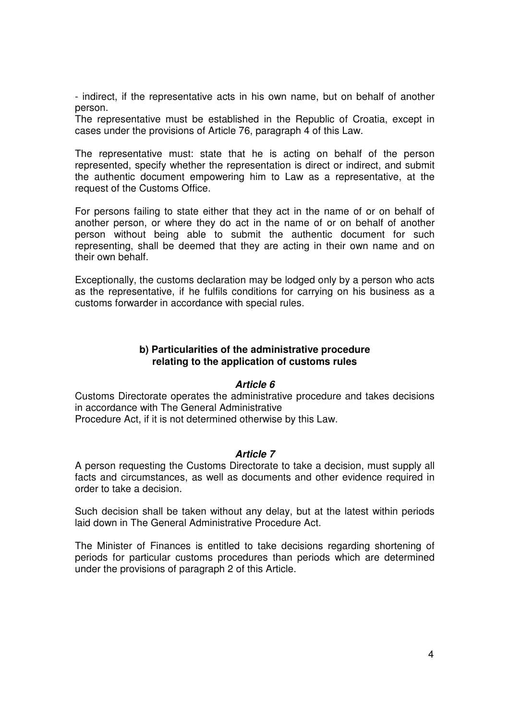- indirect, if the representative acts in his own name, but on behalf of another person.

The representative must be established in the Republic of Croatia, except in cases under the provisions of Article 76, paragraph 4 of this Law.

The representative must: state that he is acting on behalf of the person represented, specify whether the representation is direct or indirect, and submit the authentic document empowering him to Law as a representative, at the request of the Customs Office.

For persons failing to state either that they act in the name of or on behalf of another person, or where they do act in the name of or on behalf of another person without being able to submit the authentic document for such representing, shall be deemed that they are acting in their own name and on their own behalf.

Exceptionally, the customs declaration may be lodged only by a person who acts as the representative, if he fulfils conditions for carrying on his business as a customs forwarder in accordance with special rules.

### **b) Particularities of the administrative procedure relating to the application of customs rules**

#### **Article 6**

Customs Directorate operates the administrative procedure and takes decisions in accordance with The General Administrative Procedure Act, if it is not determined otherwise by this Law.

#### **Article 7**

A person requesting the Customs Directorate to take a decision, must supply all facts and circumstances, as well as documents and other evidence required in order to take a decision.

Such decision shall be taken without any delay, but at the latest within periods laid down in The General Administrative Procedure Act.

The Minister of Finances is entitled to take decisions regarding shortening of periods for particular customs procedures than periods which are determined under the provisions of paragraph 2 of this Article.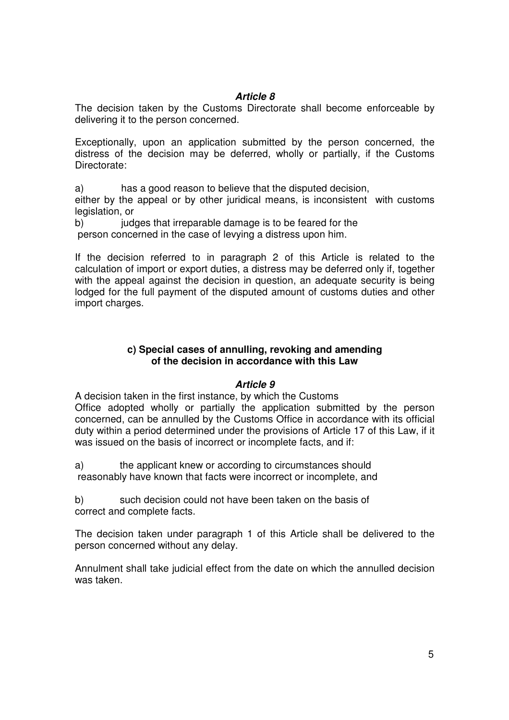## **Article 8**

The decision taken by the Customs Directorate shall become enforceable by delivering it to the person concerned.

Exceptionally, upon an application submitted by the person concerned, the distress of the decision may be deferred, wholly or partially, if the Customs Directorate:

a) has a good reason to believe that the disputed decision, either by the appeal or by other juridical means, is inconsistent with customs

legislation, or

b) judges that irreparable damage is to be feared for the person concerned in the case of levying a distress upon him.

If the decision referred to in paragraph 2 of this Article is related to the calculation of import or export duties, a distress may be deferred only if, together with the appeal against the decision in question, an adequate security is being lodged for the full payment of the disputed amount of customs duties and other import charges.

### **c) Special cases of annulling, revoking and amending of the decision in accordance with this Law**

### **Article 9**

A decision taken in the first instance, by which the Customs Office adopted wholly or partially the application submitted by the person concerned, can be annulled by the Customs Office in accordance with its official duty within a period determined under the provisions of Article 17 of this Law, if it was issued on the basis of incorrect or incomplete facts, and if:

a) the applicant knew or according to circumstances should reasonably have known that facts were incorrect or incomplete, and

b) such decision could not have been taken on the basis of correct and complete facts.

The decision taken under paragraph 1 of this Article shall be delivered to the person concerned without any delay.

Annulment shall take judicial effect from the date on which the annulled decision was taken.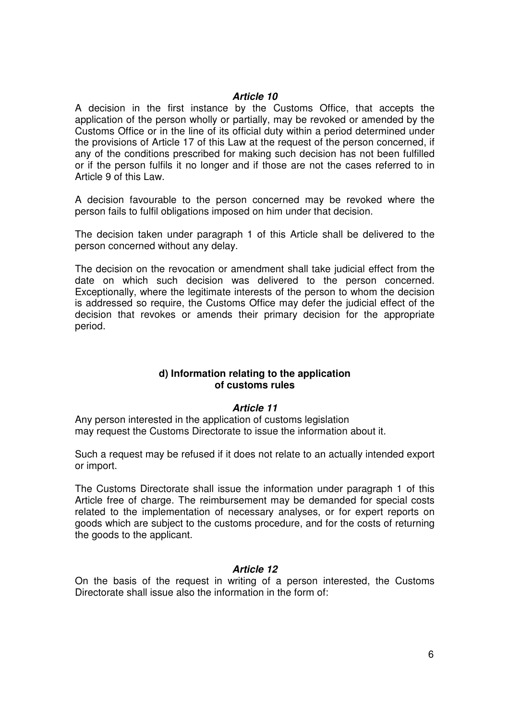#### **Article 10**

A decision in the first instance by the Customs Office, that accepts the application of the person wholly or partially, may be revoked or amended by the Customs Office or in the line of its official duty within a period determined under the provisions of Article 17 of this Law at the request of the person concerned, if any of the conditions prescribed for making such decision has not been fulfilled or if the person fulfils it no longer and if those are not the cases referred to in Article 9 of this Law.

A decision favourable to the person concerned may be revoked where the person fails to fulfil obligations imposed on him under that decision.

The decision taken under paragraph 1 of this Article shall be delivered to the person concerned without any delay.

The decision on the revocation or amendment shall take judicial effect from the date on which such decision was delivered to the person concerned. Exceptionally, where the legitimate interests of the person to whom the decision is addressed so require, the Customs Office may defer the judicial effect of the decision that revokes or amends their primary decision for the appropriate period.

#### **d) Information relating to the application of customs rules**

#### **Article 11**

Any person interested in the application of customs legislation may request the Customs Directorate to issue the information about it.

Such a request may be refused if it does not relate to an actually intended export or import.

The Customs Directorate shall issue the information under paragraph 1 of this Article free of charge. The reimbursement may be demanded for special costs related to the implementation of necessary analyses, or for expert reports on goods which are subject to the customs procedure, and for the costs of returning the goods to the applicant.

#### **Article 12**

On the basis of the request in writing of a person interested, the Customs Directorate shall issue also the information in the form of: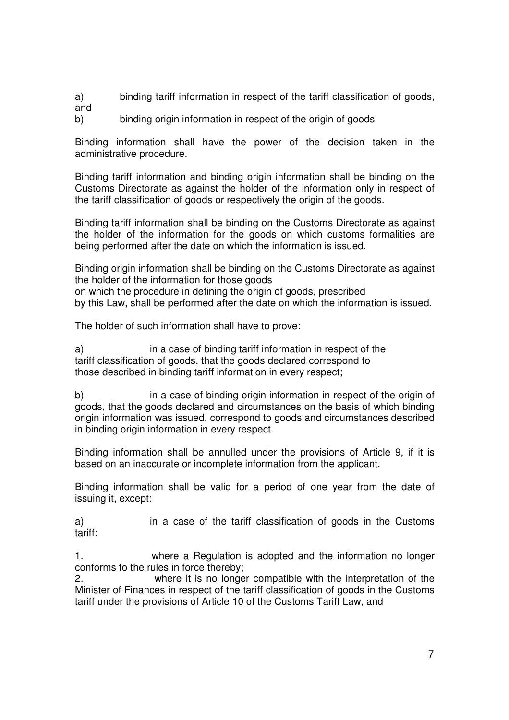a) binding tariff information in respect of the tariff classification of goods, and

b) binding origin information in respect of the origin of goods

Binding information shall have the power of the decision taken in the administrative procedure.

Binding tariff information and binding origin information shall be binding on the Customs Directorate as against the holder of the information only in respect of the tariff classification of goods or respectively the origin of the goods.

Binding tariff information shall be binding on the Customs Directorate as against the holder of the information for the goods on which customs formalities are being performed after the date on which the information is issued.

Binding origin information shall be binding on the Customs Directorate as against the holder of the information for those goods on which the procedure in defining the origin of goods, prescribed

by this Law, shall be performed after the date on which the information is issued.

The holder of such information shall have to prove:

a) in a case of binding tariff information in respect of the tariff classification of goods, that the goods declared correspond to those described in binding tariff information in every respect;

b) in a case of binding origin information in respect of the origin of goods, that the goods declared and circumstances on the basis of which binding origin information was issued, correspond to goods and circumstances described in binding origin information in every respect.

Binding information shall be annulled under the provisions of Article 9, if it is based on an inaccurate or incomplete information from the applicant.

Binding information shall be valid for a period of one year from the date of issuing it, except:

a) in a case of the tariff classification of goods in the Customs tariff:

1. where a Regulation is adopted and the information no longer conforms to the rules in force thereby;

2. where it is no longer compatible with the interpretation of the Minister of Finances in respect of the tariff classification of goods in the Customs tariff under the provisions of Article 10 of the Customs Tariff Law, and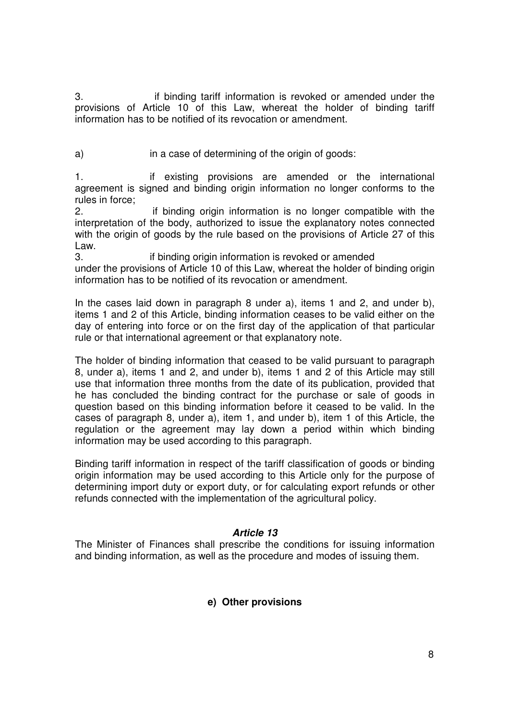3. if binding tariff information is revoked or amended under the provisions of Article 10 of this Law, whereat the holder of binding tariff information has to be notified of its revocation or amendment.

a) in a case of determining of the origin of goods:

1. if existing provisions are amended or the international agreement is signed and binding origin information no longer conforms to the rules in force;

2. if binding origin information is no longer compatible with the interpretation of the body, authorized to issue the explanatory notes connected with the origin of goods by the rule based on the provisions of Article 27 of this Law.

3. if binding origin information is revoked or amended under the provisions of Article 10 of this Law, whereat the holder of binding origin information has to be notified of its revocation or amendment.

In the cases laid down in paragraph 8 under a), items 1 and 2, and under b), items 1 and 2 of this Article, binding information ceases to be valid either on the day of entering into force or on the first day of the application of that particular rule or that international agreement or that explanatory note.

The holder of binding information that ceased to be valid pursuant to paragraph 8, under a), items 1 and 2, and under b), items 1 and 2 of this Article may still use that information three months from the date of its publication, provided that he has concluded the binding contract for the purchase or sale of goods in question based on this binding information before it ceased to be valid. In the cases of paragraph 8, under a), item 1, and under b), item 1 of this Article, the regulation or the agreement may lay down a period within which binding information may be used according to this paragraph.

Binding tariff information in respect of the tariff classification of goods or binding origin information may be used according to this Article only for the purpose of determining import duty or export duty, or for calculating export refunds or other refunds connected with the implementation of the agricultural policy.

### **Article 13**

The Minister of Finances shall prescribe the conditions for issuing information and binding information, as well as the procedure and modes of issuing them.

## **e) Other provisions**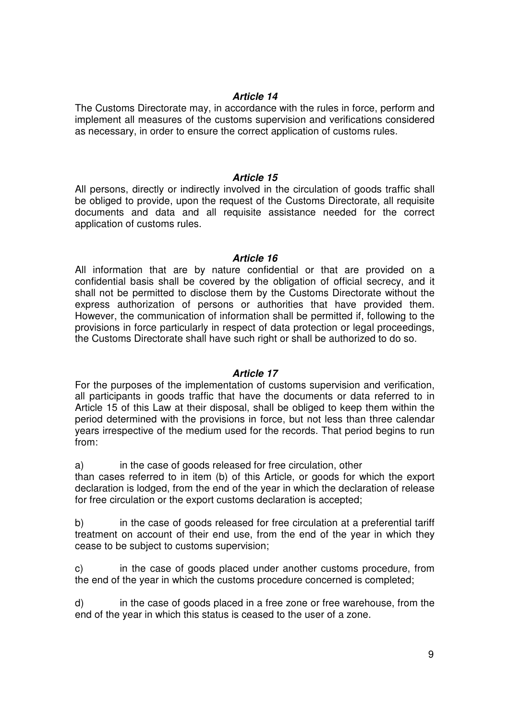### **Article 14**

The Customs Directorate may, in accordance with the rules in force, perform and implement all measures of the customs supervision and verifications considered as necessary, in order to ensure the correct application of customs rules.

#### **Article 15**

All persons, directly or indirectly involved in the circulation of goods traffic shall be obliged to provide, upon the request of the Customs Directorate, all requisite documents and data and all requisite assistance needed for the correct application of customs rules.

#### **Article 16**

All information that are by nature confidential or that are provided on a confidential basis shall be covered by the obligation of official secrecy, and it shall not be permitted to disclose them by the Customs Directorate without the express authorization of persons or authorities that have provided them. However, the communication of information shall be permitted if, following to the provisions in force particularly in respect of data protection or legal proceedings, the Customs Directorate shall have such right or shall be authorized to do so.

### **Article 17**

For the purposes of the implementation of customs supervision and verification, all participants in goods traffic that have the documents or data referred to in Article 15 of this Law at their disposal, shall be obliged to keep them within the period determined with the provisions in force, but not less than three calendar years irrespective of the medium used for the records. That period begins to run from:

a) in the case of goods released for free circulation, other

than cases referred to in item (b) of this Article, or goods for which the export declaration is lodged, from the end of the year in which the declaration of release for free circulation or the export customs declaration is accepted;

b) in the case of goods released for free circulation at a preferential tariff treatment on account of their end use, from the end of the year in which they cease to be subject to customs supervision;

c) in the case of goods placed under another customs procedure, from the end of the year in which the customs procedure concerned is completed;

d) in the case of goods placed in a free zone or free warehouse, from the end of the year in which this status is ceased to the user of a zone.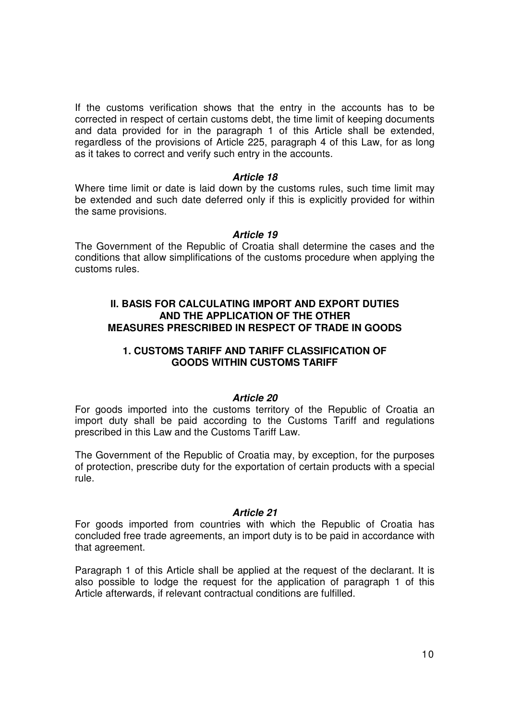If the customs verification shows that the entry in the accounts has to be corrected in respect of certain customs debt, the time limit of keeping documents and data provided for in the paragraph 1 of this Article shall be extended, regardless of the provisions of Article 225, paragraph 4 of this Law, for as long as it takes to correct and verify such entry in the accounts.

#### **Article 18**

Where time limit or date is laid down by the customs rules, such time limit may be extended and such date deferred only if this is explicitly provided for within the same provisions.

#### **Article 19**

The Government of the Republic of Croatia shall determine the cases and the conditions that allow simplifications of the customs procedure when applying the customs rules.

### **II. BASIS FOR CALCULATING IMPORT AND EXPORT DUTIES AND THE APPLICATION OF THE OTHER MEASURES PRESCRIBED IN RESPECT OF TRADE IN GOODS**

#### **1. CUSTOMS TARIFF AND TARIFF CLASSIFICATION OF GOODS WITHIN CUSTOMS TARIFF**

#### **Article 20**

For goods imported into the customs territory of the Republic of Croatia an import duty shall be paid according to the Customs Tariff and regulations prescribed in this Law and the Customs Tariff Law.

The Government of the Republic of Croatia may, by exception, for the purposes of protection, prescribe duty for the exportation of certain products with a special rule.

#### **Article 21**

For goods imported from countries with which the Republic of Croatia has concluded free trade agreements, an import duty is to be paid in accordance with that agreement.

Paragraph 1 of this Article shall be applied at the request of the declarant. It is also possible to lodge the request for the application of paragraph 1 of this Article afterwards, if relevant contractual conditions are fulfilled.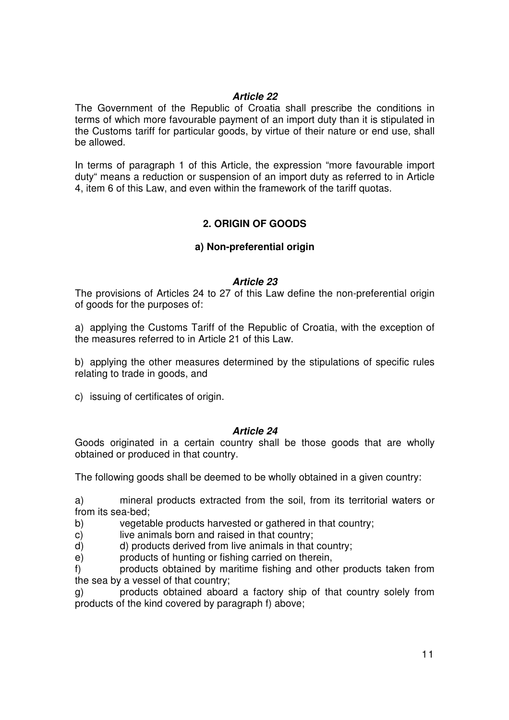### **Article 22**

The Government of the Republic of Croatia shall prescribe the conditions in terms of which more favourable payment of an import duty than it is stipulated in the Customs tariff for particular goods, by virtue of their nature or end use, shall be allowed.

In terms of paragraph 1 of this Article, the expression "more favourable import duty" means a reduction or suspension of an import duty as referred to in Article 4, item 6 of this Law, and even within the framework of the tariff quotas.

# **2. ORIGIN OF GOODS**

## **a) Non-preferential origin**

### **Article 23**

The provisions of Articles 24 to 27 of this Law define the non-preferential origin of goods for the purposes of:

a) applying the Customs Tariff of the Republic of Croatia, with the exception of the measures referred to in Article 21 of this Law.

b) applying the other measures determined by the stipulations of specific rules relating to trade in goods, and

c) issuing of certificates of origin.

### **Article 24**

Goods originated in a certain country shall be those goods that are wholly obtained or produced in that country.

The following goods shall be deemed to be wholly obtained in a given country:

a) mineral products extracted from the soil, from its territorial waters or from its sea-bed;

b) vegetable products harvested or gathered in that country;

c) live animals born and raised in that country:

d) d) products derived from live animals in that country;

e) products of hunting or fishing carried on therein,

f) products obtained by maritime fishing and other products taken from the sea by a vessel of that country;

g) products obtained aboard a factory ship of that country solely from products of the kind covered by paragraph f) above;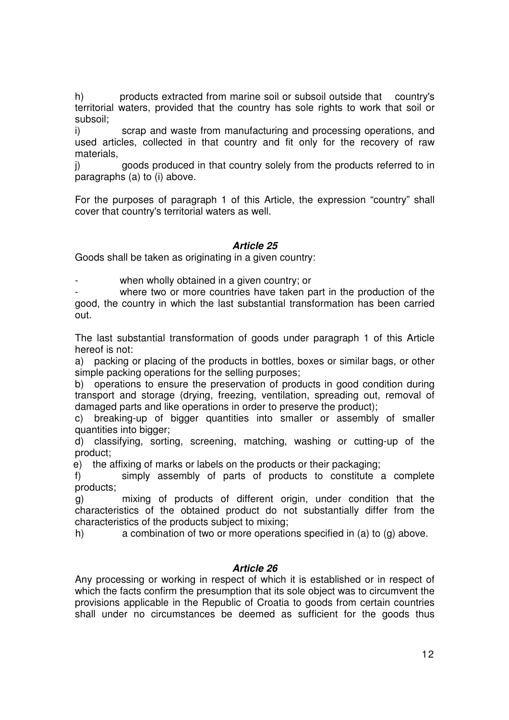h) products extracted from marine soil or subsoil outside that country's territorial waters, provided that the country has sole rights to work that soil or subsoil;

i) scrap and waste from manufacturing and processing operations, and used articles, collected in that country and fit only for the recovery of raw materials,

j) goods produced in that country solely from the products referred to in paragraphs (a) to (i) above.

For the purposes of paragraph 1 of this Article, the expression "country" shall cover that country's territorial waters as well.

## **Article 25**

Goods shall be taken as originating in a given country:

when wholly obtained in a given country; or

where two or more countries have taken part in the production of the good, the country in which the last substantial transformation has been carried out.

The last substantial transformation of goods under paragraph 1 of this Article hereof is not:

a) packing or placing of the products in bottles, boxes or similar bags, or other simple packing operations for the selling purposes;

b) operations to ensure the preservation of products in good condition during transport and storage (drying, freezing, ventilation, spreading out, removal of damaged parts and like operations in order to preserve the product);

c) breaking-up of bigger quantities into smaller or assembly of smaller quantities into bigger;

d) classifying, sorting, screening, matching, washing or cutting-up of the product;

e) the affixing of marks or labels on the products or their packaging;

f) simply assembly of parts of products to constitute a complete products;

g) mixing of products of different origin, under condition that the characteristics of the obtained product do not substantially differ from the characteristics of the products subject to mixing;

h) a combination of two or more operations specified in (a) to (g) above.

#### **Article 26**

Any processing or working in respect of which it is established or in respect of which the facts confirm the presumption that its sole object was to circumvent the provisions applicable in the Republic of Croatia to goods from certain countries shall under no circumstances be deemed as sufficient for the goods thus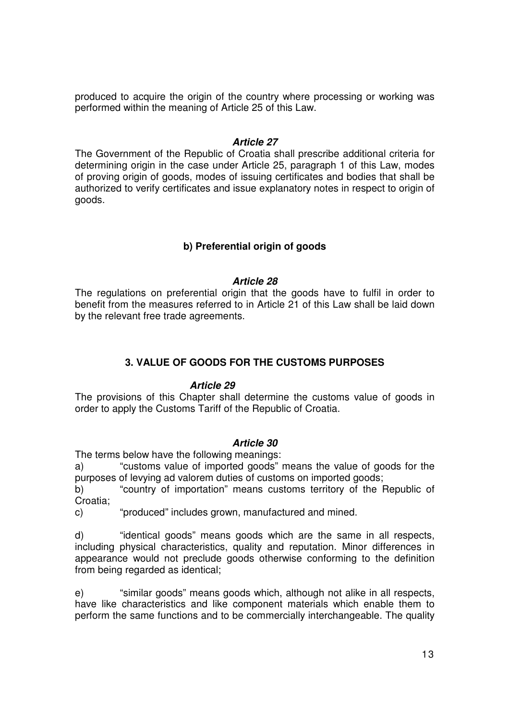produced to acquire the origin of the country where processing or working was performed within the meaning of Article 25 of this Law.

### **Article 27**

The Government of the Republic of Croatia shall prescribe additional criteria for determining origin in the case under Article 25, paragraph 1 of this Law, modes of proving origin of goods, modes of issuing certificates and bodies that shall be authorized to verify certificates and issue explanatory notes in respect to origin of goods.

## **b) Preferential origin of goods**

### **Article 28**

The regulations on preferential origin that the goods have to fulfil in order to benefit from the measures referred to in Article 21 of this Law shall be laid down by the relevant free trade agreements.

## **3. VALUE OF GOODS FOR THE CUSTOMS PURPOSES**

#### **Article 29**

The provisions of this Chapter shall determine the customs value of goods in order to apply the Customs Tariff of the Republic of Croatia.

### **Article 30**

The terms below have the following meanings:

a) "customs value of imported goods" means the value of goods for the purposes of levying ad valorem duties of customs on imported goods;

b) "country of importation" means customs territory of the Republic of Croatia;

c) "produced" includes grown, manufactured and mined.

d) "identical goods" means goods which are the same in all respects, including physical characteristics, quality and reputation. Minor differences in appearance would not preclude goods otherwise conforming to the definition from being regarded as identical;

e) "similar goods" means goods which, although not alike in all respects, have like characteristics and like component materials which enable them to perform the same functions and to be commercially interchangeable. The quality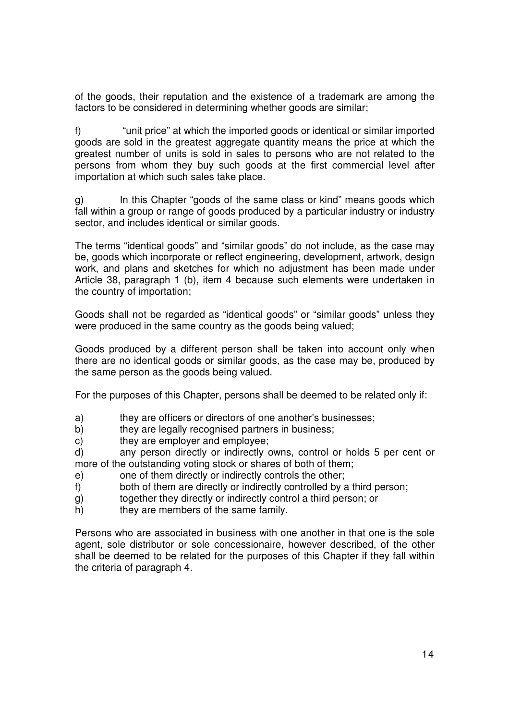of the goods, their reputation and the existence of a trademark are among the factors to be considered in determining whether goods are similar;

f) "unit price" at which the imported goods or identical or similar imported goods are sold in the greatest aggregate quantity means the price at which the greatest number of units is sold in sales to persons who are not related to the persons from whom they buy such goods at the first commercial level after importation at which such sales take place.

g) In this Chapter "goods of the same class or kind" means goods which fall within a group or range of goods produced by a particular industry or industry sector, and includes identical or similar goods.

The terms "identical goods" and "similar goods" do not include, as the case may be, goods which incorporate or reflect engineering, development, artwork, design work, and plans and sketches for which no adjustment has been made under Article 38, paragraph 1 (b), item 4 because such elements were undertaken in the country of importation;

Goods shall not be regarded as "identical goods" or "similar goods" unless they were produced in the same country as the goods being valued;

Goods produced by a different person shall be taken into account only when there are no identical goods or similar goods, as the case may be, produced by the same person as the goods being valued.

For the purposes of this Chapter, persons shall be deemed to be related only if:

- a) they are officers or directors of one another's businesses;
- b) they are legally recognised partners in business;
- c) they are employer and employee;

d) any person directly or indirectly owns, control or holds 5 per cent or more of the outstanding voting stock or shares of both of them;

- e) one of them directly or indirectly controls the other;
- f) both of them are directly or indirectly controlled by a third person;
- g) together they directly or indirectly control a third person; or
- h) they are members of the same family.

Persons who are associated in business with one another in that one is the sole agent, sole distributor or sole concessionaire, however described, of the other shall be deemed to be related for the purposes of this Chapter if they fall within the criteria of paragraph 4.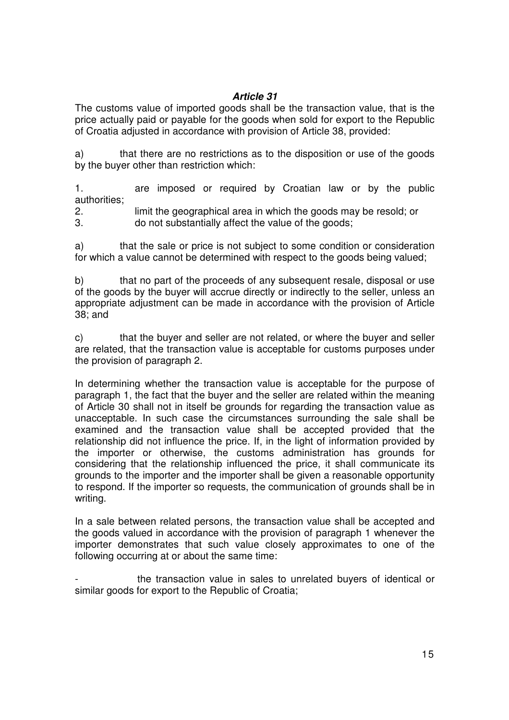## **Article 31**

The customs value of imported goods shall be the transaction value, that is the price actually paid or payable for the goods when sold for export to the Republic of Croatia adjusted in accordance with provision of Article 38, provided:

a) that there are no restrictions as to the disposition or use of the goods by the buyer other than restriction which:

1. are imposed or required by Croatian law or by the public authorities;

2. limit the geographical area in which the goods may be resold; or

3. do not substantially affect the value of the goods;

a) that the sale or price is not subject to some condition or consideration for which a value cannot be determined with respect to the goods being valued;

b) that no part of the proceeds of any subsequent resale, disposal or use of the goods by the buyer will accrue directly or indirectly to the seller, unless an appropriate adjustment can be made in accordance with the provision of Article 38; and

c) that the buyer and seller are not related, or where the buyer and seller are related, that the transaction value is acceptable for customs purposes under the provision of paragraph 2.

In determining whether the transaction value is acceptable for the purpose of paragraph 1, the fact that the buyer and the seller are related within the meaning of Article 30 shall not in itself be grounds for regarding the transaction value as unacceptable. In such case the circumstances surrounding the sale shall be examined and the transaction value shall be accepted provided that the relationship did not influence the price. If, in the light of information provided by the importer or otherwise, the customs administration has grounds for considering that the relationship influenced the price, it shall communicate its grounds to the importer and the importer shall be given a reasonable opportunity to respond. If the importer so requests, the communication of grounds shall be in writing.

In a sale between related persons, the transaction value shall be accepted and the goods valued in accordance with the provision of paragraph 1 whenever the importer demonstrates that such value closely approximates to one of the following occurring at or about the same time:

the transaction value in sales to unrelated buyers of identical or similar goods for export to the Republic of Croatia;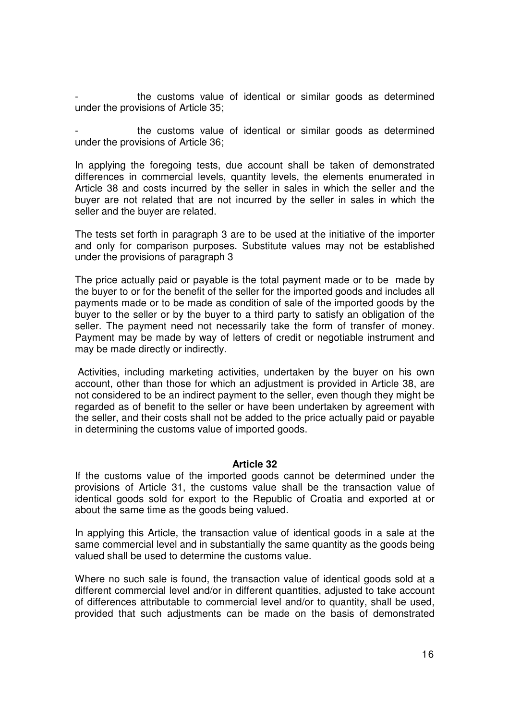the customs value of identical or similar goods as determined under the provisions of Article 35;

the customs value of identical or similar goods as determined under the provisions of Article 36;

In applying the foregoing tests, due account shall be taken of demonstrated differences in commercial levels, quantity levels, the elements enumerated in Article 38 and costs incurred by the seller in sales in which the seller and the buyer are not related that are not incurred by the seller in sales in which the seller and the buyer are related.

The tests set forth in paragraph 3 are to be used at the initiative of the importer and only for comparison purposes. Substitute values may not be established under the provisions of paragraph 3

The price actually paid or payable is the total payment made or to be made by the buyer to or for the benefit of the seller for the imported goods and includes all payments made or to be made as condition of sale of the imported goods by the buyer to the seller or by the buyer to a third party to satisfy an obligation of the seller. The payment need not necessarily take the form of transfer of money. Payment may be made by way of letters of credit or negotiable instrument and may be made directly or indirectly.

 Activities, including marketing activities, undertaken by the buyer on his own account, other than those for which an adjustment is provided in Article 38, are not considered to be an indirect payment to the seller, even though they might be regarded as of benefit to the seller or have been undertaken by agreement with the seller, and their costs shall not be added to the price actually paid or payable in determining the customs value of imported goods.

#### **Article 32**

If the customs value of the imported goods cannot be determined under the provisions of Article 31, the customs value shall be the transaction value of identical goods sold for export to the Republic of Croatia and exported at or about the same time as the goods being valued.

In applying this Article, the transaction value of identical goods in a sale at the same commercial level and in substantially the same quantity as the goods being valued shall be used to determine the customs value.

Where no such sale is found, the transaction value of identical goods sold at a different commercial level and/or in different quantities, adjusted to take account of differences attributable to commercial level and/or to quantity, shall be used, provided that such adjustments can be made on the basis of demonstrated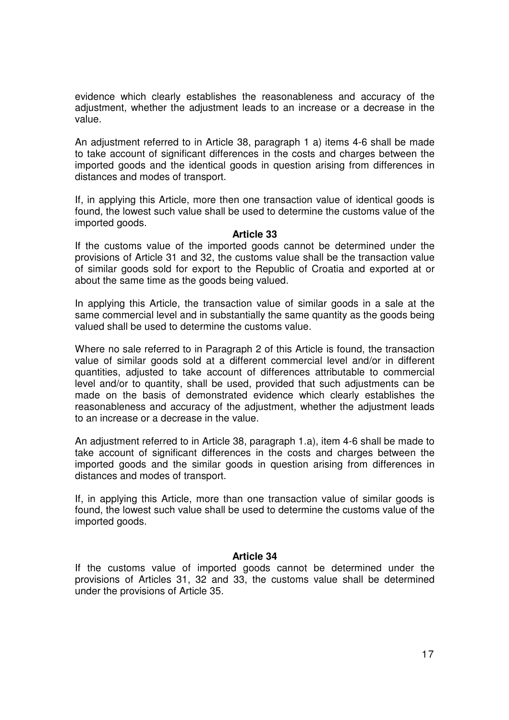evidence which clearly establishes the reasonableness and accuracy of the adjustment, whether the adjustment leads to an increase or a decrease in the value.

An adjustment referred to in Article 38, paragraph 1 a) items 4-6 shall be made to take account of significant differences in the costs and charges between the imported goods and the identical goods in question arising from differences in distances and modes of transport.

If, in applying this Article, more then one transaction value of identical goods is found, the lowest such value shall be used to determine the customs value of the imported goods.

#### **Article 33**

If the customs value of the imported goods cannot be determined under the provisions of Article 31 and 32, the customs value shall be the transaction value of similar goods sold for export to the Republic of Croatia and exported at or about the same time as the goods being valued.

In applying this Article, the transaction value of similar goods in a sale at the same commercial level and in substantially the same quantity as the goods being valued shall be used to determine the customs value.

Where no sale referred to in Paragraph 2 of this Article is found, the transaction value of similar goods sold at a different commercial level and/or in different quantities, adjusted to take account of differences attributable to commercial level and/or to quantity, shall be used, provided that such adjustments can be made on the basis of demonstrated evidence which clearly establishes the reasonableness and accuracy of the adjustment, whether the adjustment leads to an increase or a decrease in the value.

An adjustment referred to in Article 38, paragraph 1.a), item 4-6 shall be made to take account of significant differences in the costs and charges between the imported goods and the similar goods in question arising from differences in distances and modes of transport.

If, in applying this Article, more than one transaction value of similar goods is found, the lowest such value shall be used to determine the customs value of the imported goods.

### **Article 34**

If the customs value of imported goods cannot be determined under the provisions of Articles 31, 32 and 33, the customs value shall be determined under the provisions of Article 35.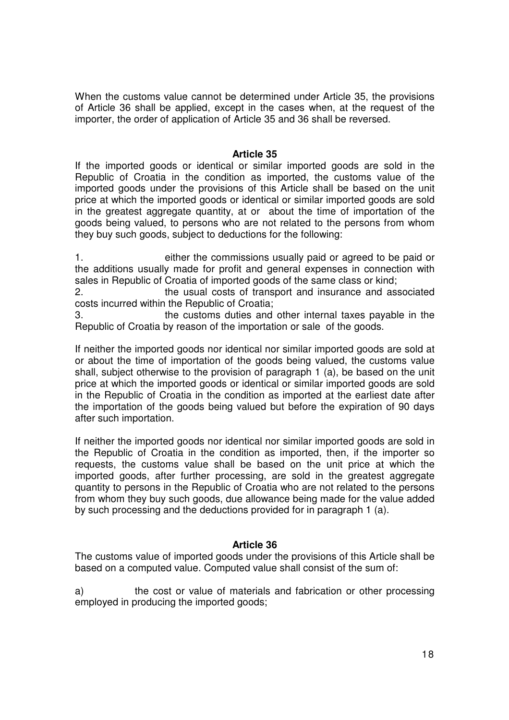When the customs value cannot be determined under Article 35, the provisions of Article 36 shall be applied, except in the cases when, at the request of the importer, the order of application of Article 35 and 36 shall be reversed.

### **Article 35**

If the imported goods or identical or similar imported goods are sold in the Republic of Croatia in the condition as imported, the customs value of the imported goods under the provisions of this Article shall be based on the unit price at which the imported goods or identical or similar imported goods are sold in the greatest aggregate quantity, at or about the time of importation of the goods being valued, to persons who are not related to the persons from whom they buy such goods, subject to deductions for the following:

1. either the commissions usually paid or agreed to be paid or the additions usually made for profit and general expenses in connection with sales in Republic of Croatia of imported goods of the same class or kind;

2. the usual costs of transport and insurance and associated costs incurred within the Republic of Croatia;

3. the customs duties and other internal taxes payable in the Republic of Croatia by reason of the importation or sale of the goods.

If neither the imported goods nor identical nor similar imported goods are sold at or about the time of importation of the goods being valued, the customs value shall, subject otherwise to the provision of paragraph 1 (a), be based on the unit price at which the imported goods or identical or similar imported goods are sold in the Republic of Croatia in the condition as imported at the earliest date after the importation of the goods being valued but before the expiration of 90 days after such importation.

If neither the imported goods nor identical nor similar imported goods are sold in the Republic of Croatia in the condition as imported, then, if the importer so requests, the customs value shall be based on the unit price at which the imported goods, after further processing, are sold in the greatest aggregate quantity to persons in the Republic of Croatia who are not related to the persons from whom they buy such goods, due allowance being made for the value added by such processing and the deductions provided for in paragraph 1 (a).

### **Article 36**

The customs value of imported goods under the provisions of this Article shall be based on a computed value. Computed value shall consist of the sum of:

a) the cost or value of materials and fabrication or other processing employed in producing the imported goods;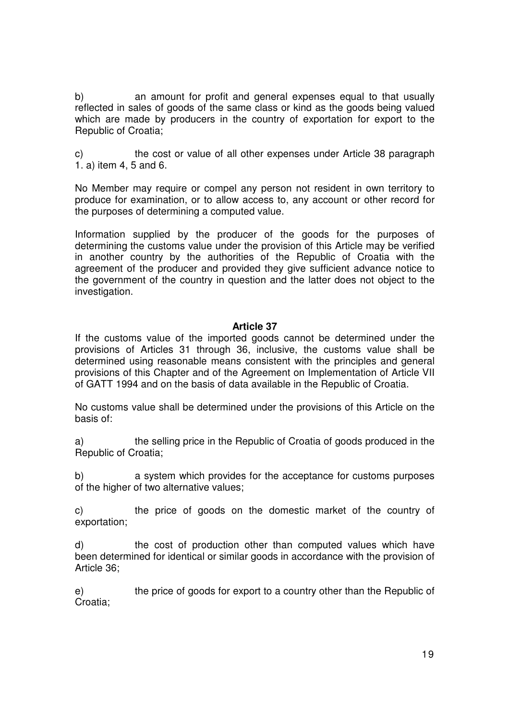b) an amount for profit and general expenses equal to that usually reflected in sales of goods of the same class or kind as the goods being valued which are made by producers in the country of exportation for export to the Republic of Croatia;

c) the cost or value of all other expenses under Article 38 paragraph 1. a) item 4, 5 and 6.

No Member may require or compel any person not resident in own territory to produce for examination, or to allow access to, any account or other record for the purposes of determining a computed value.

Information supplied by the producer of the goods for the purposes of determining the customs value under the provision of this Article may be verified in another country by the authorities of the Republic of Croatia with the agreement of the producer and provided they give sufficient advance notice to the government of the country in question and the latter does not object to the investigation.

### **Article 37**

If the customs value of the imported goods cannot be determined under the provisions of Articles 31 through 36, inclusive, the customs value shall be determined using reasonable means consistent with the principles and general provisions of this Chapter and of the Agreement on Implementation of Article VII of GATT 1994 and on the basis of data available in the Republic of Croatia.

No customs value shall be determined under the provisions of this Article on the basis of:

a) the selling price in the Republic of Croatia of goods produced in the Republic of Croatia;

b) a system which provides for the acceptance for customs purposes of the higher of two alternative values;

c) the price of goods on the domestic market of the country of exportation;

d) the cost of production other than computed values which have been determined for identical or similar goods in accordance with the provision of Article 36;

e) the price of goods for export to a country other than the Republic of Croatia;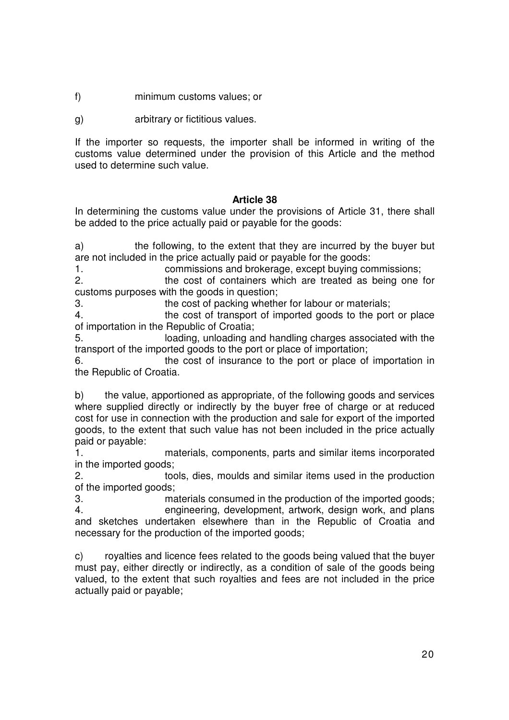- f) minimum customs values; or
- g) arbitrary or fictitious values.

If the importer so requests, the importer shall be informed in writing of the customs value determined under the provision of this Article and the method used to determine such value.

## **Article 38**

In determining the customs value under the provisions of Article 31, there shall be added to the price actually paid or payable for the goods:

a) the following, to the extent that they are incurred by the buyer but are not included in the price actually paid or payable for the goods:

1. commissions and brokerage, except buying commissions;

2. the cost of containers which are treated as being one for customs purposes with the goods in question;

3. the cost of packing whether for labour or materials;

4. the cost of transport of imported goods to the port or place of importation in the Republic of Croatia;

5. loading, unloading and handling charges associated with the transport of the imported goods to the port or place of importation;

6. the cost of insurance to the port or place of importation in the Republic of Croatia.

b) the value, apportioned as appropriate, of the following goods and services where supplied directly or indirectly by the buyer free of charge or at reduced cost for use in connection with the production and sale for export of the imported goods, to the extent that such value has not been included in the price actually paid or payable:

1. materials, components, parts and similar items incorporated in the imported goods;

2. tools, dies, moulds and similar items used in the production of the imported goods;

3. materials consumed in the production of the imported goods; 4. engineering, development, artwork, design work, and plans and sketches undertaken elsewhere than in the Republic of Croatia and necessary for the production of the imported goods;

c) royalties and licence fees related to the goods being valued that the buyer must pay, either directly or indirectly, as a condition of sale of the goods being valued, to the extent that such royalties and fees are not included in the price actually paid or payable;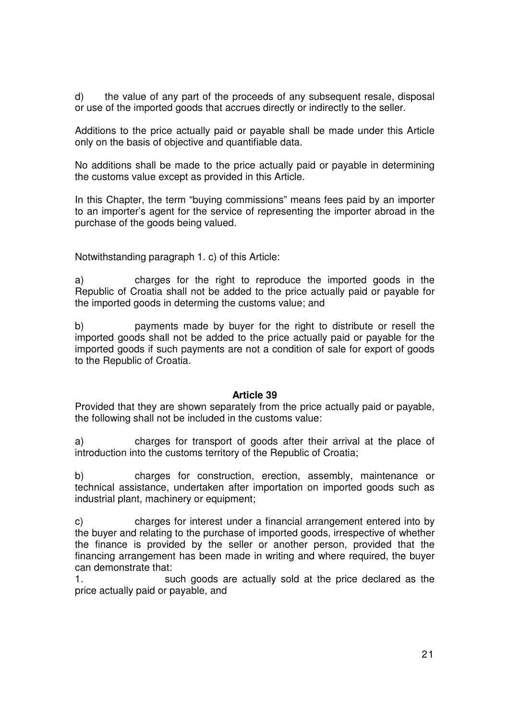d) the value of any part of the proceeds of any subsequent resale, disposal or use of the imported goods that accrues directly or indirectly to the seller.

Additions to the price actually paid or payable shall be made under this Article only on the basis of objective and quantifiable data.

No additions shall be made to the price actually paid or payable in determining the customs value except as provided in this Article.

In this Chapter, the term "buying commissions" means fees paid by an importer to an importer's agent for the service of representing the importer abroad in the purchase of the goods being valued.

Notwithstanding paragraph 1. c) of this Article:

a) charges for the right to reproduce the imported goods in the Republic of Croatia shall not be added to the price actually paid or payable for the imported goods in determing the customs value; and

b) payments made by buyer for the right to distribute or resell the imported goods shall not be added to the price actually paid or payable for the imported goods if such payments are not a condition of sale for export of goods to the Republic of Croatia.

#### **Article 39**

Provided that they are shown separately from the price actually paid or payable, the following shall not be included in the customs value:

a) charges for transport of goods after their arrival at the place of introduction into the customs territory of the Republic of Croatia;

b) charges for construction, erection, assembly, maintenance or technical assistance, undertaken after importation on imported goods such as industrial plant, machinery or equipment;

c) charges for interest under a financial arrangement entered into by the buyer and relating to the purchase of imported goods, irrespective of whether the finance is provided by the seller or another person, provided that the financing arrangement has been made in writing and where required, the buyer can demonstrate that:

1. such goods are actually sold at the price declared as the price actually paid or payable, and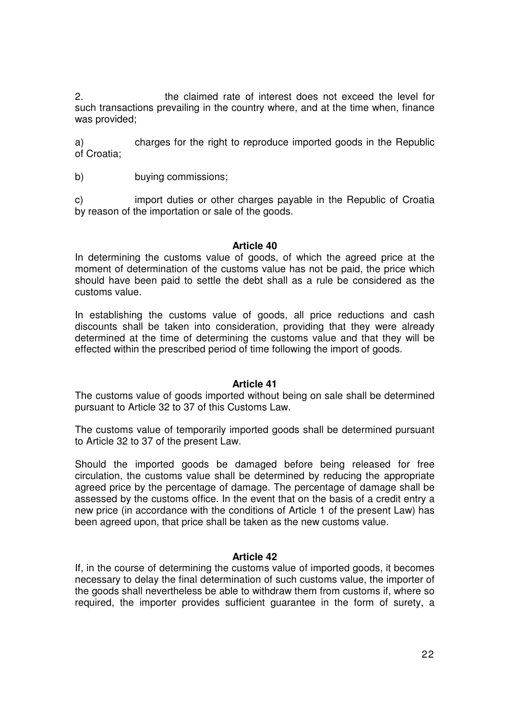2. the claimed rate of interest does not exceed the level for such transactions prevailing in the country where, and at the time when, finance was provided;

a) charges for the right to reproduce imported goods in the Republic of Croatia;

b) buying commissions;

c) import duties or other charges payable in the Republic of Croatia by reason of the importation or sale of the goods.

#### **Article 40**

In determining the customs value of goods, of which the agreed price at the moment of determination of the customs value has not be paid, the price which should have been paid to settle the debt shall as a rule be considered as the customs value.

In establishing the customs value of goods, all price reductions and cash discounts shall be taken into consideration, providing that they were already determined at the time of determining the customs value and that they will be effected within the prescribed period of time following the import of goods.

#### **Article 41**

The customs value of goods imported without being on sale shall be determined pursuant to Article 32 to 37 of this Customs Law.

The customs value of temporarily imported goods shall be determined pursuant to Article 32 to 37 of the present Law.

Should the imported goods be damaged before being released for free circulation, the customs value shall be determined by reducing the appropriate agreed price by the percentage of damage. The percentage of damage shall be assessed by the customs office. In the event that on the basis of a credit entry a new price (in accordance with the conditions of Article 1 of the present Law) has been agreed upon, that price shall be taken as the new customs value.

### **Article 42**

If, in the course of determining the customs value of imported goods, it becomes necessary to delay the final determination of such customs value, the importer of the goods shall nevertheless be able to withdraw them from customs if, where so required, the importer provides sufficient guarantee in the form of surety, a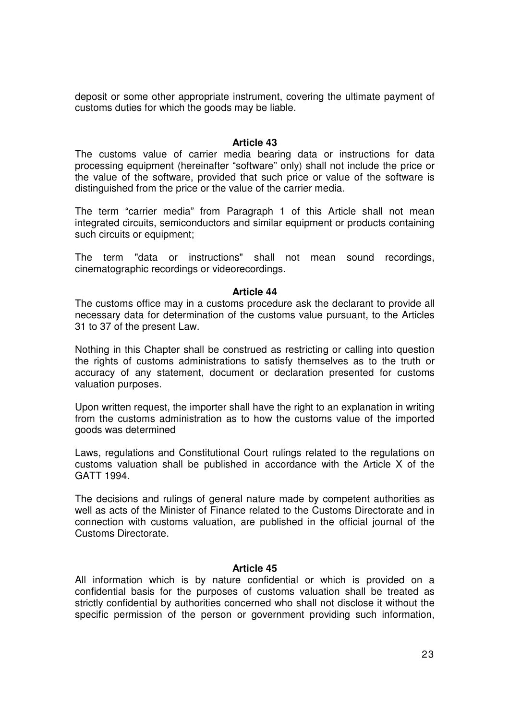deposit or some other appropriate instrument, covering the ultimate payment of customs duties for which the goods may be liable.

#### **Article 43**

The customs value of carrier media bearing data or instructions for data processing equipment (hereinafter "software" only) shall not include the price or the value of the software, provided that such price or value of the software is distinguished from the price or the value of the carrier media.

The term "carrier media" from Paragraph 1 of this Article shall not mean integrated circuits, semiconductors and similar equipment or products containing such circuits or equipment;

The term "data or instructions" shall not mean sound recordings, cinematographic recordings or videorecordings.

#### **Article 44**

The customs office may in a customs procedure ask the declarant to provide all necessary data for determination of the customs value pursuant, to the Articles 31 to 37 of the present Law.

Nothing in this Chapter shall be construed as restricting or calling into question the rights of customs administrations to satisfy themselves as to the truth or accuracy of any statement, document or declaration presented for customs valuation purposes.

Upon written request, the importer shall have the right to an explanation in writing from the customs administration as to how the customs value of the imported goods was determined

Laws, regulations and Constitutional Court rulings related to the regulations on customs valuation shall be published in accordance with the Article X of the GATT 1994.

The decisions and rulings of general nature made by competent authorities as well as acts of the Minister of Finance related to the Customs Directorate and in connection with customs valuation, are published in the official journal of the Customs Directorate.

#### **Article 45**

All information which is by nature confidential or which is provided on a confidential basis for the purposes of customs valuation shall be treated as strictly confidential by authorities concerned who shall not disclose it without the specific permission of the person or government providing such information,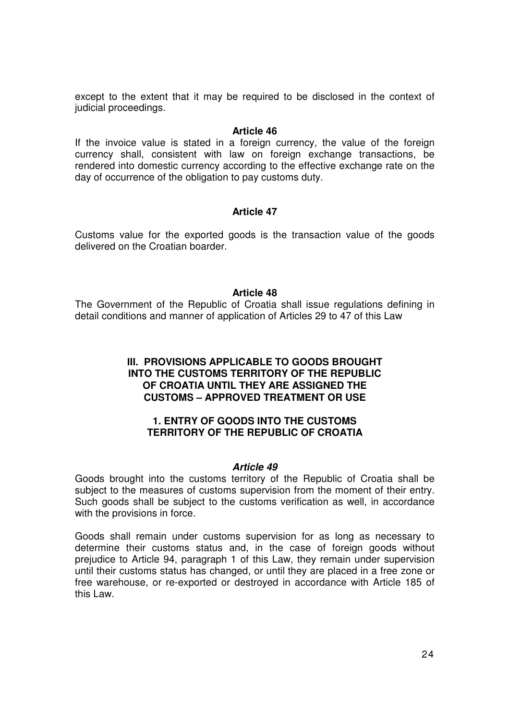except to the extent that it may be required to be disclosed in the context of judicial proceedings.

#### **Article 46**

If the invoice value is stated in a foreign currency, the value of the foreign currency shall, consistent with law on foreign exchange transactions, be rendered into domestic currency according to the effective exchange rate on the day of occurrence of the obligation to pay customs duty.

### **Article 47**

Customs value for the exported goods is the transaction value of the goods delivered on the Croatian boarder.

#### **Article 48**

The Government of the Republic of Croatia shall issue regulations defining in detail conditions and manner of application of Articles 29 to 47 of this Law

### **III. PROVISIONS APPLICABLE TO GOODS BROUGHT INTO THE CUSTOMS TERRITORY OF THE REPUBLIC OF CROATIA UNTIL THEY ARE ASSIGNED THE CUSTOMS – APPROVED TREATMENT OR USE**

#### **1. ENTRY OF GOODS INTO THE CUSTOMS TERRITORY OF THE REPUBLIC OF CROATIA**

#### **Article 49**

Goods brought into the customs territory of the Republic of Croatia shall be subject to the measures of customs supervision from the moment of their entry. Such goods shall be subject to the customs verification as well, in accordance with the provisions in force.

Goods shall remain under customs supervision for as long as necessary to determine their customs status and, in the case of foreign goods without prejudice to Article 94, paragraph 1 of this Law, they remain under supervision until their customs status has changed, or until they are placed in a free zone or free warehouse, or re-exported or destroyed in accordance with Article 185 of this Law.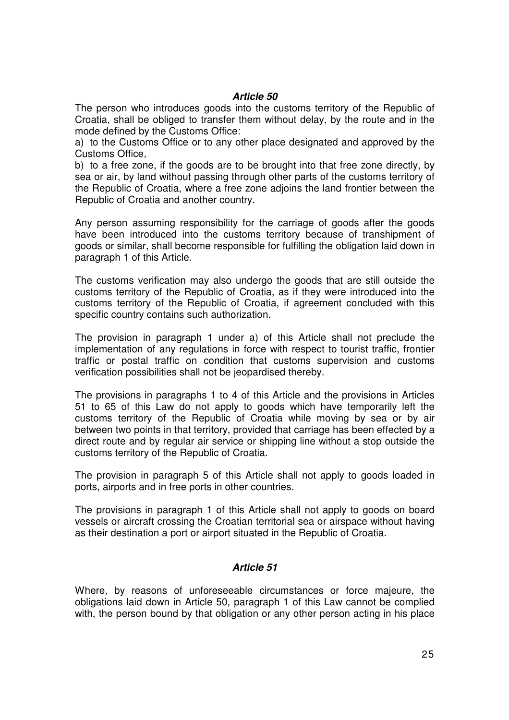### **Article 50**

The person who introduces goods into the customs territory of the Republic of Croatia, shall be obliged to transfer them without delay, by the route and in the mode defined by the Customs Office:

a) to the Customs Office or to any other place designated and approved by the Customs Office,

b) to a free zone, if the goods are to be brought into that free zone directly, by sea or air, by land without passing through other parts of the customs territory of the Republic of Croatia, where a free zone adjoins the land frontier between the Republic of Croatia and another country.

Any person assuming responsibility for the carriage of goods after the goods have been introduced into the customs territory because of transhipment of goods or similar, shall become responsible for fulfilling the obligation laid down in paragraph 1 of this Article.

The customs verification may also undergo the goods that are still outside the customs territory of the Republic of Croatia, as if they were introduced into the customs territory of the Republic of Croatia, if agreement concluded with this specific country contains such authorization.

The provision in paragraph 1 under a) of this Article shall not preclude the implementation of any regulations in force with respect to tourist traffic, frontier traffic or postal traffic on condition that customs supervision and customs verification possibilities shall not be jeopardised thereby.

The provisions in paragraphs 1 to 4 of this Article and the provisions in Articles 51 to 65 of this Law do not apply to goods which have temporarily left the customs territory of the Republic of Croatia while moving by sea or by air between two points in that territory, provided that carriage has been effected by a direct route and by regular air service or shipping line without a stop outside the customs territory of the Republic of Croatia.

The provision in paragraph 5 of this Article shall not apply to goods loaded in ports, airports and in free ports in other countries.

The provisions in paragraph 1 of this Article shall not apply to goods on board vessels or aircraft crossing the Croatian territorial sea or airspace without having as their destination a port or airport situated in the Republic of Croatia.

### **Article 51**

Where, by reasons of unforeseeable circumstances or force majeure, the obligations laid down in Article 50, paragraph 1 of this Law cannot be complied with, the person bound by that obligation or any other person acting in his place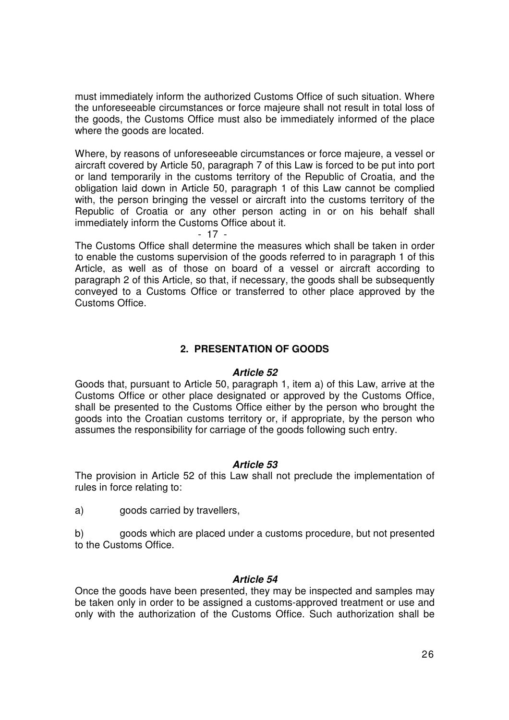must immediately inform the authorized Customs Office of such situation. Where the unforeseeable circumstances or force majeure shall not result in total loss of the goods, the Customs Office must also be immediately informed of the place where the goods are located.

Where, by reasons of unforeseeable circumstances or force majeure, a vessel or aircraft covered by Article 50, paragraph 7 of this Law is forced to be put into port or land temporarily in the customs territory of the Republic of Croatia, and the obligation laid down in Article 50, paragraph 1 of this Law cannot be complied with, the person bringing the vessel or aircraft into the customs territory of the Republic of Croatia or any other person acting in or on his behalf shall immediately inform the Customs Office about it.

- 17 -

The Customs Office shall determine the measures which shall be taken in order to enable the customs supervision of the goods referred to in paragraph 1 of this Article, as well as of those on board of a vessel or aircraft according to paragraph 2 of this Article, so that, if necessary, the goods shall be subsequently conveyed to a Customs Office or transferred to other place approved by the Customs Office.

### **2. PRESENTATION OF GOODS**

#### **Article 52**

Goods that, pursuant to Article 50, paragraph 1, item a) of this Law, arrive at the Customs Office or other place designated or approved by the Customs Office, shall be presented to the Customs Office either by the person who brought the goods into the Croatian customs territory or, if appropriate, by the person who assumes the responsibility for carriage of the goods following such entry.

#### **Article 53**

The provision in Article 52 of this Law shall not preclude the implementation of rules in force relating to:

a) goods carried by travellers,

b) goods which are placed under a customs procedure, but not presented to the Customs Office.

#### **Article 54**

Once the goods have been presented, they may be inspected and samples may be taken only in order to be assigned a customs-approved treatment or use and only with the authorization of the Customs Office. Such authorization shall be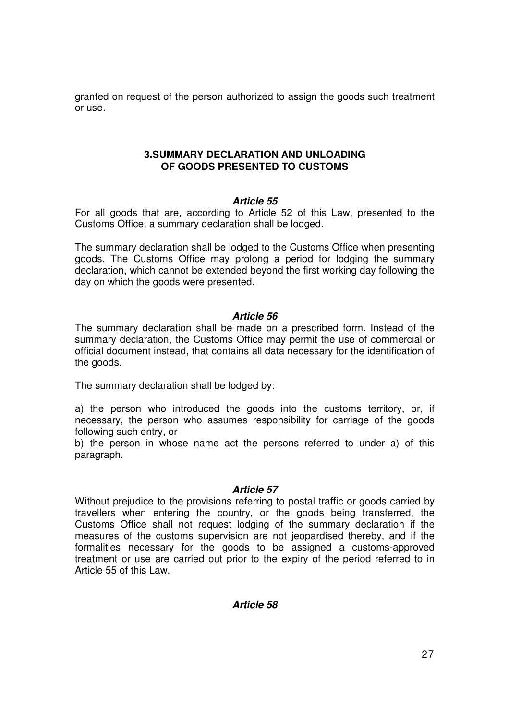granted on request of the person authorized to assign the goods such treatment or use.

### **3.SUMMARY DECLARATION AND UNLOADING OF GOODS PRESENTED TO CUSTOMS**

### **Article 55**

For all goods that are, according to Article 52 of this Law, presented to the Customs Office, a summary declaration shall be lodged.

The summary declaration shall be lodged to the Customs Office when presenting goods. The Customs Office may prolong a period for lodging the summary declaration, which cannot be extended beyond the first working day following the day on which the goods were presented.

### **Article 56**

The summary declaration shall be made on a prescribed form. Instead of the summary declaration, the Customs Office may permit the use of commercial or official document instead, that contains all data necessary for the identification of the goods.

The summary declaration shall be lodged by:

a) the person who introduced the goods into the customs territory, or, if necessary, the person who assumes responsibility for carriage of the goods following such entry, or

b) the person in whose name act the persons referred to under a) of this paragraph.

#### **Article 57**

Without prejudice to the provisions referring to postal traffic or goods carried by travellers when entering the country, or the goods being transferred, the Customs Office shall not request lodging of the summary declaration if the measures of the customs supervision are not jeopardised thereby, and if the formalities necessary for the goods to be assigned a customs-approved treatment or use are carried out prior to the expiry of the period referred to in Article 55 of this Law.

### **Article 58**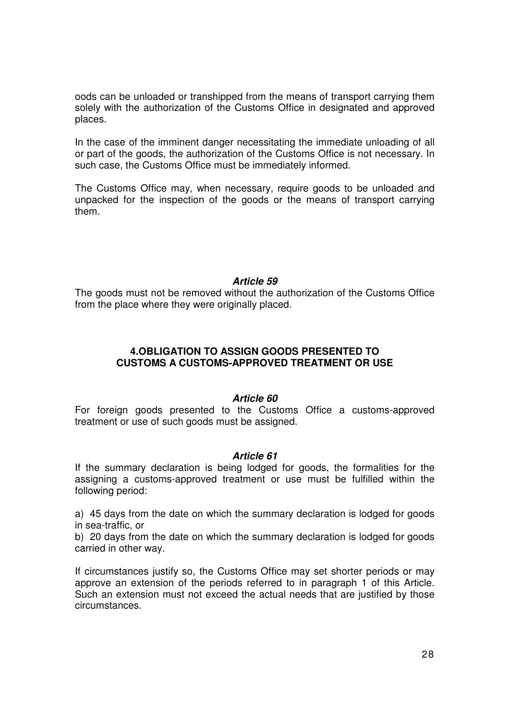oods can be unloaded or transhipped from the means of transport carrying them solely with the authorization of the Customs Office in designated and approved places.

In the case of the imminent danger necessitating the immediate unloading of all or part of the goods, the authorization of the Customs Office is not necessary. In such case, the Customs Office must be immediately informed.

The Customs Office may, when necessary, require goods to be unloaded and unpacked for the inspection of the goods or the means of transport carrying them.

### **Article 59**

The goods must not be removed without the authorization of the Customs Office from the place where they were originally placed.

## **4.OBLIGATION TO ASSIGN GOODS PRESENTED TO CUSTOMS A CUSTOMS-APPROVED TREATMENT OR USE**

#### **Article 60**

For foreign goods presented to the Customs Office a customs-approved treatment or use of such goods must be assigned.

### **Article 61**

If the summary declaration is being lodged for goods, the formalities for the assigning a customs-approved treatment or use must be fulfilled within the following period:

a) 45 days from the date on which the summary declaration is lodged for goods in sea-traffic, or

b) 20 days from the date on which the summary declaration is lodged for goods carried in other way.

If circumstances justify so, the Customs Office may set shorter periods or may approve an extension of the periods referred to in paragraph 1 of this Article. Such an extension must not exceed the actual needs that are justified by those circumstances.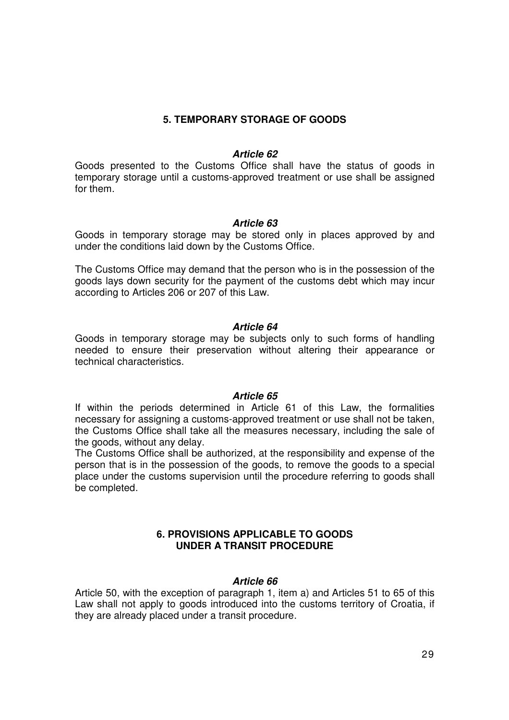## **5. TEMPORARY STORAGE OF GOODS**

#### **Article 62**

Goods presented to the Customs Office shall have the status of goods in temporary storage until a customs-approved treatment or use shall be assigned for them.

### **Article 63**

Goods in temporary storage may be stored only in places approved by and under the conditions laid down by the Customs Office.

The Customs Office may demand that the person who is in the possession of the goods lays down security for the payment of the customs debt which may incur according to Articles 206 or 207 of this Law.

### **Article 64**

Goods in temporary storage may be subjects only to such forms of handling needed to ensure their preservation without altering their appearance or technical characteristics.

#### **Article 65**

If within the periods determined in Article 61 of this Law, the formalities necessary for assigning a customs-approved treatment or use shall not be taken, the Customs Office shall take all the measures necessary, including the sale of the goods, without any delay.

The Customs Office shall be authorized, at the responsibility and expense of the person that is in the possession of the goods, to remove the goods to a special place under the customs supervision until the procedure referring to goods shall be completed.

### **6. PROVISIONS APPLICABLE TO GOODS UNDER A TRANSIT PROCEDURE**

### **Article 66**

Article 50, with the exception of paragraph 1, item a) and Articles 51 to 65 of this Law shall not apply to goods introduced into the customs territory of Croatia, if they are already placed under a transit procedure.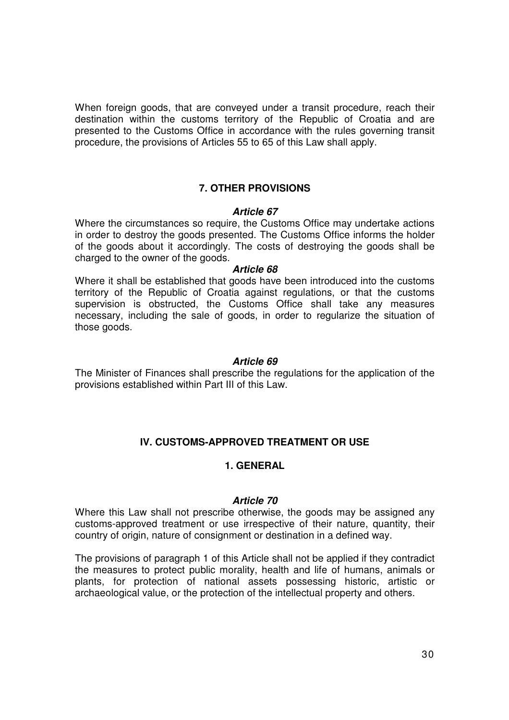When foreign goods, that are conveyed under a transit procedure, reach their destination within the customs territory of the Republic of Croatia and are presented to the Customs Office in accordance with the rules governing transit procedure, the provisions of Articles 55 to 65 of this Law shall apply.

### **7. OTHER PROVISIONS**

### **Article 67**

Where the circumstances so require, the Customs Office may undertake actions in order to destroy the goods presented. The Customs Office informs the holder of the goods about it accordingly. The costs of destroying the goods shall be charged to the owner of the goods.

#### **Article 68**

Where it shall be established that goods have been introduced into the customs territory of the Republic of Croatia against regulations, or that the customs supervision is obstructed, the Customs Office shall take any measures necessary, including the sale of goods, in order to regularize the situation of those goods.

#### **Article 69**

The Minister of Finances shall prescribe the regulations for the application of the provisions established within Part III of this Law.

### **IV. CUSTOMS-APPROVED TREATMENT OR USE**

#### **1. GENERAL**

#### **Article 70**

Where this Law shall not prescribe otherwise, the goods may be assigned any customs-approved treatment or use irrespective of their nature, quantity, their country of origin, nature of consignment or destination in a defined way.

The provisions of paragraph 1 of this Article shall not be applied if they contradict the measures to protect public morality, health and life of humans, animals or plants, for protection of national assets possessing historic, artistic or archaeological value, or the protection of the intellectual property and others.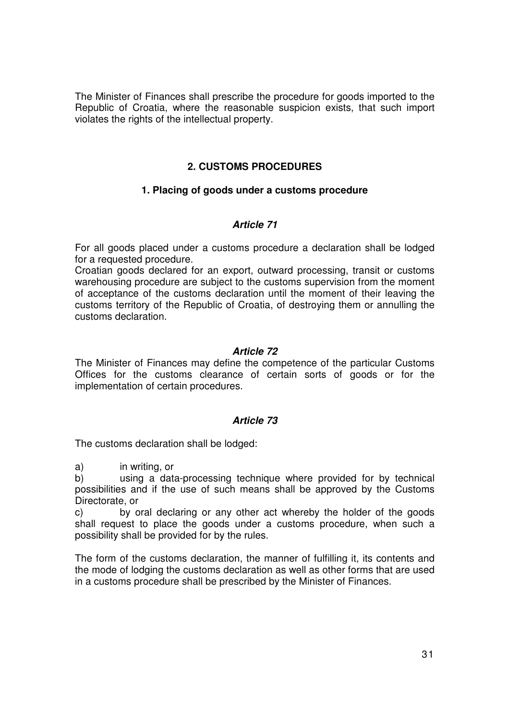The Minister of Finances shall prescribe the procedure for goods imported to the Republic of Croatia, where the reasonable suspicion exists, that such import violates the rights of the intellectual property.

## **2. CUSTOMS PROCEDURES**

### **1. Placing of goods under a customs procedure**

### **Article 71**

For all goods placed under a customs procedure a declaration shall be lodged for a requested procedure.

Croatian goods declared for an export, outward processing, transit or customs warehousing procedure are subject to the customs supervision from the moment of acceptance of the customs declaration until the moment of their leaving the customs territory of the Republic of Croatia, of destroying them or annulling the customs declaration.

### **Article 72**

The Minister of Finances may define the competence of the particular Customs Offices for the customs clearance of certain sorts of goods or for the implementation of certain procedures.

### **Article 73**

The customs declaration shall be lodged:

a) in writing, or

b) using a data-processing technique where provided for by technical possibilities and if the use of such means shall be approved by the Customs Directorate, or

c) by oral declaring or any other act whereby the holder of the goods shall request to place the goods under a customs procedure, when such a possibility shall be provided for by the rules.

The form of the customs declaration, the manner of fulfilling it, its contents and the mode of lodging the customs declaration as well as other forms that are used in a customs procedure shall be prescribed by the Minister of Finances.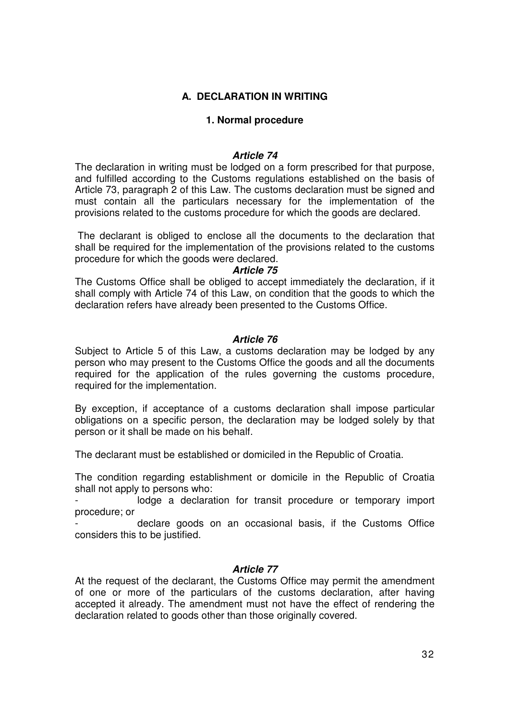# **A. DECLARATION IN WRITING**

### **1. Normal procedure**

### **Article 74**

The declaration in writing must be lodged on a form prescribed for that purpose, and fulfilled according to the Customs regulations established on the basis of Article 73, paragraph 2 of this Law. The customs declaration must be signed and must contain all the particulars necessary for the implementation of the provisions related to the customs procedure for which the goods are declared.

 The declarant is obliged to enclose all the documents to the declaration that shall be required for the implementation of the provisions related to the customs procedure for which the goods were declared.

#### **Article 75**

The Customs Office shall be obliged to accept immediately the declaration, if it shall comply with Article 74 of this Law, on condition that the goods to which the declaration refers have already been presented to the Customs Office.

### **Article 76**

Subject to Article 5 of this Law, a customs declaration may be lodged by any person who may present to the Customs Office the goods and all the documents required for the application of the rules governing the customs procedure, required for the implementation.

By exception, if acceptance of a customs declaration shall impose particular obligations on a specific person, the declaration may be lodged solely by that person or it shall be made on his behalf.

The declarant must be established or domiciled in the Republic of Croatia.

The condition regarding establishment or domicile in the Republic of Croatia shall not apply to persons who:

lodge a declaration for transit procedure or temporary import procedure; or

declare goods on an occasional basis, if the Customs Office considers this to be justified.

#### **Article 77**

At the request of the declarant, the Customs Office may permit the amendment of one or more of the particulars of the customs declaration, after having accepted it already. The amendment must not have the effect of rendering the declaration related to goods other than those originally covered.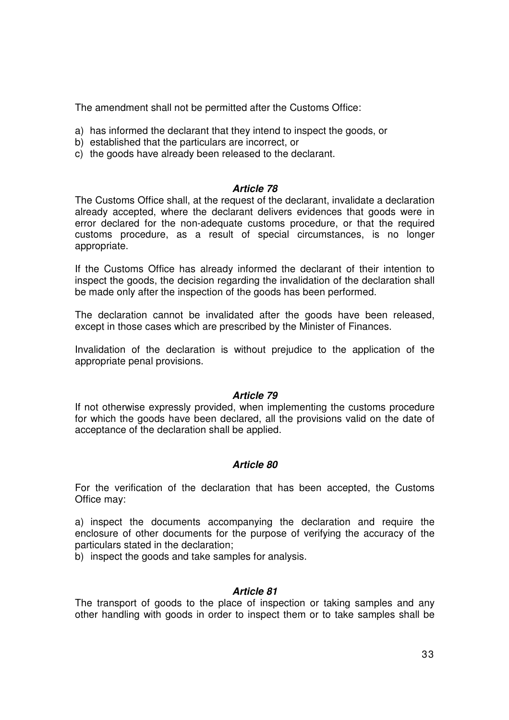The amendment shall not be permitted after the Customs Office:

- a) has informed the declarant that they intend to inspect the goods, or
- b) established that the particulars are incorrect, or
- c) the goods have already been released to the declarant.

### **Article 78**

The Customs Office shall, at the request of the declarant, invalidate a declaration already accepted, where the declarant delivers evidences that goods were in error declared for the non-adequate customs procedure, or that the required customs procedure, as a result of special circumstances, is no longer appropriate.

If the Customs Office has already informed the declarant of their intention to inspect the goods, the decision regarding the invalidation of the declaration shall be made only after the inspection of the goods has been performed.

The declaration cannot be invalidated after the goods have been released, except in those cases which are prescribed by the Minister of Finances.

Invalidation of the declaration is without prejudice to the application of the appropriate penal provisions.

#### **Article 79**

If not otherwise expressly provided, when implementing the customs procedure for which the goods have been declared, all the provisions valid on the date of acceptance of the declaration shall be applied.

### **Article 80**

For the verification of the declaration that has been accepted, the Customs Office may:

a) inspect the documents accompanying the declaration and require the enclosure of other documents for the purpose of verifying the accuracy of the particulars stated in the declaration;

b) inspect the goods and take samples for analysis.

### **Article 81**

The transport of goods to the place of inspection or taking samples and any other handling with goods in order to inspect them or to take samples shall be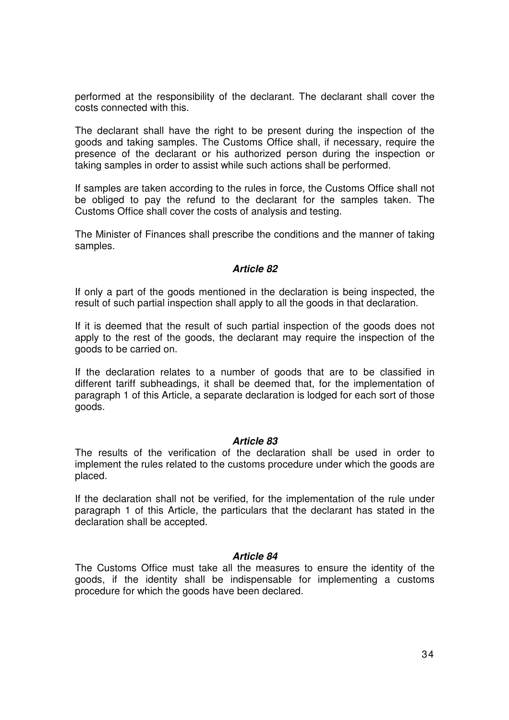performed at the responsibility of the declarant. The declarant shall cover the costs connected with this.

The declarant shall have the right to be present during the inspection of the goods and taking samples. The Customs Office shall, if necessary, require the presence of the declarant or his authorized person during the inspection or taking samples in order to assist while such actions shall be performed.

If samples are taken according to the rules in force, the Customs Office shall not be obliged to pay the refund to the declarant for the samples taken. The Customs Office shall cover the costs of analysis and testing.

The Minister of Finances shall prescribe the conditions and the manner of taking samples.

### **Article 82**

If only a part of the goods mentioned in the declaration is being inspected, the result of such partial inspection shall apply to all the goods in that declaration.

If it is deemed that the result of such partial inspection of the goods does not apply to the rest of the goods, the declarant may require the inspection of the goods to be carried on.

If the declaration relates to a number of goods that are to be classified in different tariff subheadings, it shall be deemed that, for the implementation of paragraph 1 of this Article, a separate declaration is lodged for each sort of those goods.

#### **Article 83**

The results of the verification of the declaration shall be used in order to implement the rules related to the customs procedure under which the goods are placed.

If the declaration shall not be verified, for the implementation of the rule under paragraph 1 of this Article, the particulars that the declarant has stated in the declaration shall be accepted.

#### **Article 84**

The Customs Office must take all the measures to ensure the identity of the goods, if the identity shall be indispensable for implementing a customs procedure for which the goods have been declared.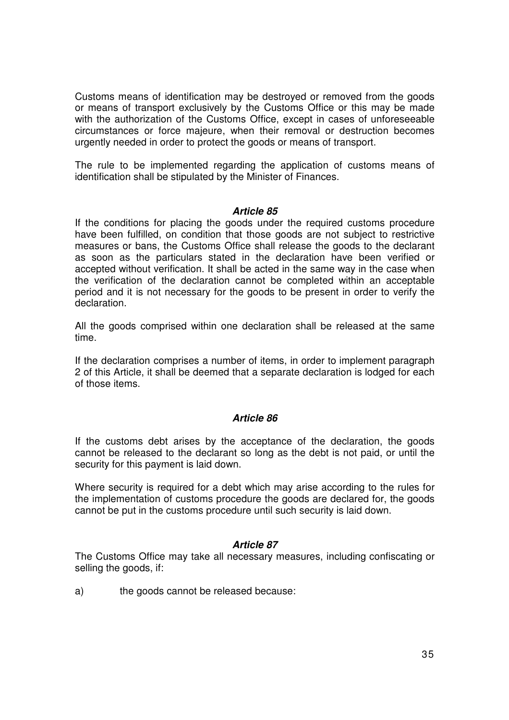Customs means of identification may be destroyed or removed from the goods or means of transport exclusively by the Customs Office or this may be made with the authorization of the Customs Office, except in cases of unforeseeable circumstances or force majeure, when their removal or destruction becomes urgently needed in order to protect the goods or means of transport.

The rule to be implemented regarding the application of customs means of identification shall be stipulated by the Minister of Finances.

### **Article 85**

If the conditions for placing the goods under the required customs procedure have been fulfilled, on condition that those goods are not subject to restrictive measures or bans, the Customs Office shall release the goods to the declarant as soon as the particulars stated in the declaration have been verified or accepted without verification. It shall be acted in the same way in the case when the verification of the declaration cannot be completed within an acceptable period and it is not necessary for the goods to be present in order to verify the declaration.

All the goods comprised within one declaration shall be released at the same time.

If the declaration comprises a number of items, in order to implement paragraph 2 of this Article, it shall be deemed that a separate declaration is lodged for each of those items.

### **Article 86**

If the customs debt arises by the acceptance of the declaration, the goods cannot be released to the declarant so long as the debt is not paid, or until the security for this payment is laid down.

Where security is required for a debt which may arise according to the rules for the implementation of customs procedure the goods are declared for, the goods cannot be put in the customs procedure until such security is laid down.

#### **Article 87**

The Customs Office may take all necessary measures, including confiscating or selling the goods, if:

a) the goods cannot be released because: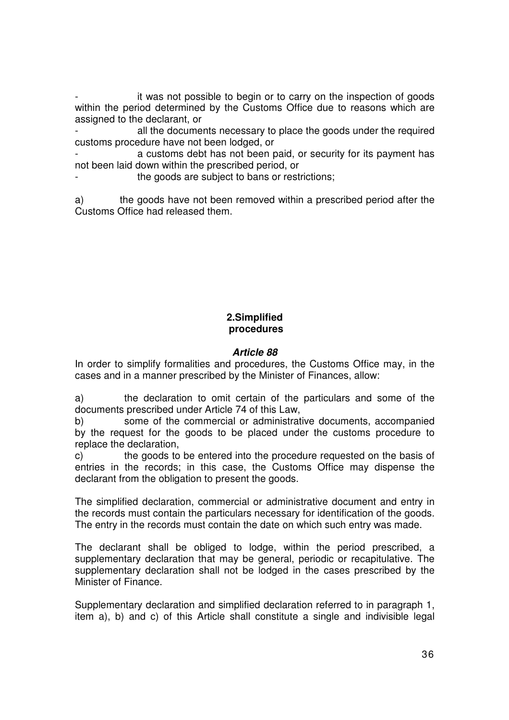it was not possible to begin or to carry on the inspection of goods within the period determined by the Customs Office due to reasons which are assigned to the declarant, or

all the documents necessary to place the goods under the required customs procedure have not been lodged, or

a customs debt has not been paid, or security for its payment has not been laid down within the prescribed period, or

the goods are subject to bans or restrictions;

a) the goods have not been removed within a prescribed period after the Customs Office had released them.

# **2.Simplified procedures**

## **Article 88**

In order to simplify formalities and procedures, the Customs Office may, in the cases and in a manner prescribed by the Minister of Finances, allow:

a) the declaration to omit certain of the particulars and some of the documents prescribed under Article 74 of this Law,

b) some of the commercial or administrative documents, accompanied by the request for the goods to be placed under the customs procedure to replace the declaration,

c) the goods to be entered into the procedure requested on the basis of entries in the records; in this case, the Customs Office may dispense the declarant from the obligation to present the goods.

The simplified declaration, commercial or administrative document and entry in the records must contain the particulars necessary for identification of the goods. The entry in the records must contain the date on which such entry was made.

The declarant shall be obliged to lodge, within the period prescribed, a supplementary declaration that may be general, periodic or recapitulative. The supplementary declaration shall not be lodged in the cases prescribed by the Minister of Finance.

Supplementary declaration and simplified declaration referred to in paragraph 1, item a), b) and c) of this Article shall constitute a single and indivisible legal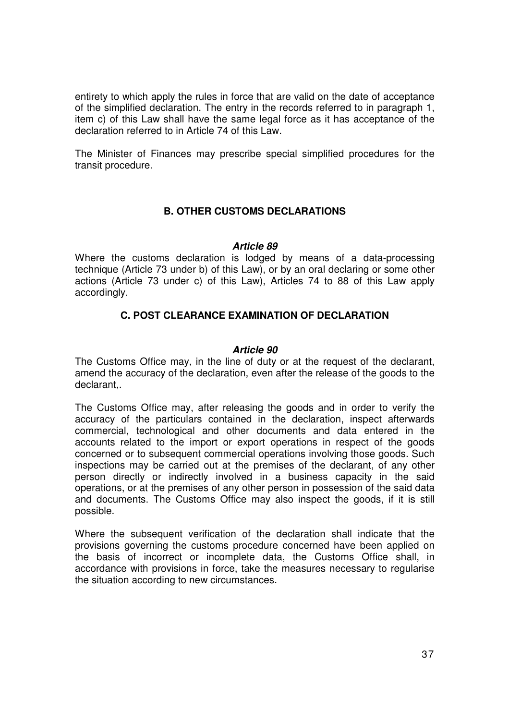entirety to which apply the rules in force that are valid on the date of acceptance of the simplified declaration. The entry in the records referred to in paragraph 1, item c) of this Law shall have the same legal force as it has acceptance of the declaration referred to in Article 74 of this Law.

The Minister of Finances may prescribe special simplified procedures for the transit procedure.

# **B. OTHER CUSTOMS DECLARATIONS**

#### **Article 89**

Where the customs declaration is lodged by means of a data-processing technique (Article 73 under b) of this Law), or by an oral declaring or some other actions (Article 73 under c) of this Law), Articles 74 to 88 of this Law apply accordingly.

# **C. POST CLEARANCE EXAMINATION OF DECLARATION**

### **Article 90**

The Customs Office may, in the line of duty or at the request of the declarant, amend the accuracy of the declaration, even after the release of the goods to the declarant,.

The Customs Office may, after releasing the goods and in order to verify the accuracy of the particulars contained in the declaration, inspect afterwards commercial, technological and other documents and data entered in the accounts related to the import or export operations in respect of the goods concerned or to subsequent commercial operations involving those goods. Such inspections may be carried out at the premises of the declarant, of any other person directly or indirectly involved in a business capacity in the said operations, or at the premises of any other person in possession of the said data and documents. The Customs Office may also inspect the goods, if it is still possible.

Where the subsequent verification of the declaration shall indicate that the provisions governing the customs procedure concerned have been applied on the basis of incorrect or incomplete data, the Customs Office shall, in accordance with provisions in force, take the measures necessary to regularise the situation according to new circumstances.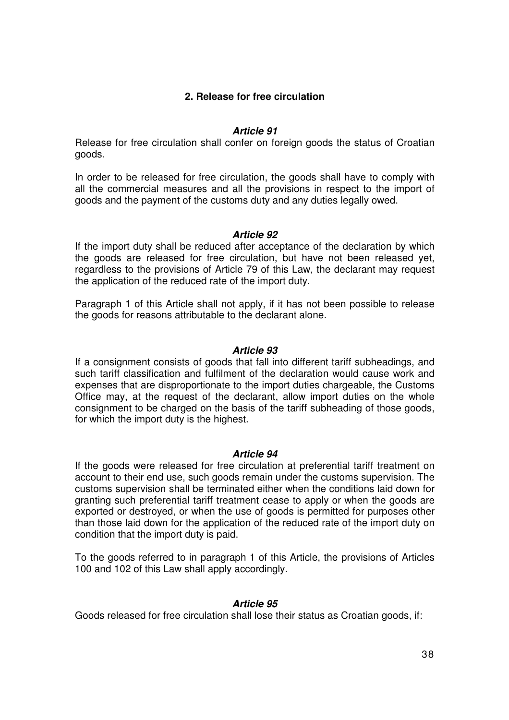# **2. Release for free circulation**

# **Article 91**

Release for free circulation shall confer on foreign goods the status of Croatian goods.

In order to be released for free circulation, the goods shall have to comply with all the commercial measures and all the provisions in respect to the import of goods and the payment of the customs duty and any duties legally owed.

### **Article 92**

If the import duty shall be reduced after acceptance of the declaration by which the goods are released for free circulation, but have not been released yet, regardless to the provisions of Article 79 of this Law, the declarant may request the application of the reduced rate of the import duty.

Paragraph 1 of this Article shall not apply, if it has not been possible to release the goods for reasons attributable to the declarant alone.

### **Article 93**

If a consignment consists of goods that fall into different tariff subheadings, and such tariff classification and fulfilment of the declaration would cause work and expenses that are disproportionate to the import duties chargeable, the Customs Office may, at the request of the declarant, allow import duties on the whole consignment to be charged on the basis of the tariff subheading of those goods, for which the import duty is the highest.

#### **Article 94**

If the goods were released for free circulation at preferential tariff treatment on account to their end use, such goods remain under the customs supervision. The customs supervision shall be terminated either when the conditions laid down for granting such preferential tariff treatment cease to apply or when the goods are exported or destroyed, or when the use of goods is permitted for purposes other than those laid down for the application of the reduced rate of the import duty on condition that the import duty is paid.

To the goods referred to in paragraph 1 of this Article, the provisions of Articles 100 and 102 of this Law shall apply accordingly.

#### **Article 95**

Goods released for free circulation shall lose their status as Croatian goods, if: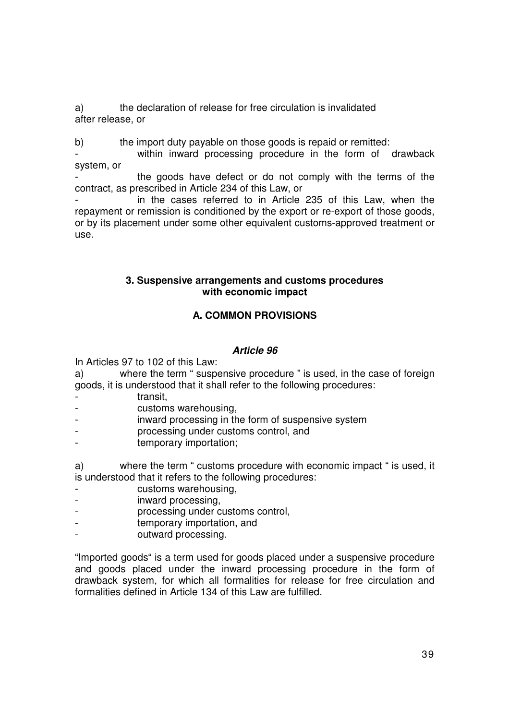a) the declaration of release for free circulation is invalidated after release, or

b) the import duty payable on those goods is repaid or remitted:

within inward processing procedure in the form of drawback system, or

the goods have defect or do not comply with the terms of the contract, as prescribed in Article 234 of this Law, or

in the cases referred to in Article 235 of this Law, when the repayment or remission is conditioned by the export or re-export of those goods, or by its placement under some other equivalent customs-approved treatment or use.

# **3. Suspensive arrangements and customs procedures with economic impact**

# **A. COMMON PROVISIONS**

# **Article 96**

In Articles 97 to 102 of this Law:

a) where the term " suspensive procedure " is used, in the case of foreign goods, it is understood that it shall refer to the following procedures:

- transit.
- customs warehousing,
- inward processing in the form of suspensive system
- processing under customs control, and
- temporary importation;

a) where the term " customs procedure with economic impact " is used, it is understood that it refers to the following procedures:

- customs warehousing,
- inward processing,
- processing under customs control,
- temporary importation, and
- outward processing.

"Imported goods" is a term used for goods placed under a suspensive procedure and goods placed under the inward processing procedure in the form of drawback system, for which all formalities for release for free circulation and formalities defined in Article 134 of this Law are fulfilled.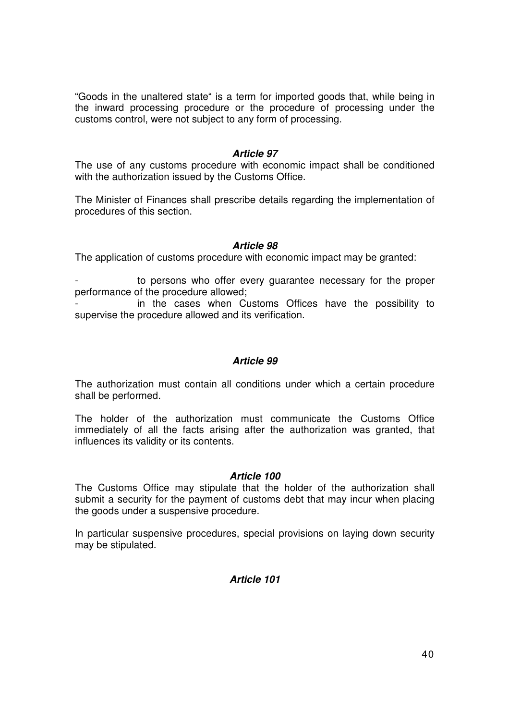"Goods in the unaltered state" is a term for imported goods that, while being in the inward processing procedure or the procedure of processing under the customs control, were not subject to any form of processing.

#### **Article 97**

The use of any customs procedure with economic impact shall be conditioned with the authorization issued by the Customs Office.

The Minister of Finances shall prescribe details regarding the implementation of procedures of this section.

# **Article 98**

The application of customs procedure with economic impact may be granted:

to persons who offer every guarantee necessary for the proper performance of the procedure allowed;

in the cases when Customs Offices have the possibility to supervise the procedure allowed and its verification.

#### **Article 99**

The authorization must contain all conditions under which a certain procedure shall be performed.

The holder of the authorization must communicate the Customs Office immediately of all the facts arising after the authorization was granted, that influences its validity or its contents.

#### **Article 100**

The Customs Office may stipulate that the holder of the authorization shall submit a security for the payment of customs debt that may incur when placing the goods under a suspensive procedure.

In particular suspensive procedures, special provisions on laying down security may be stipulated.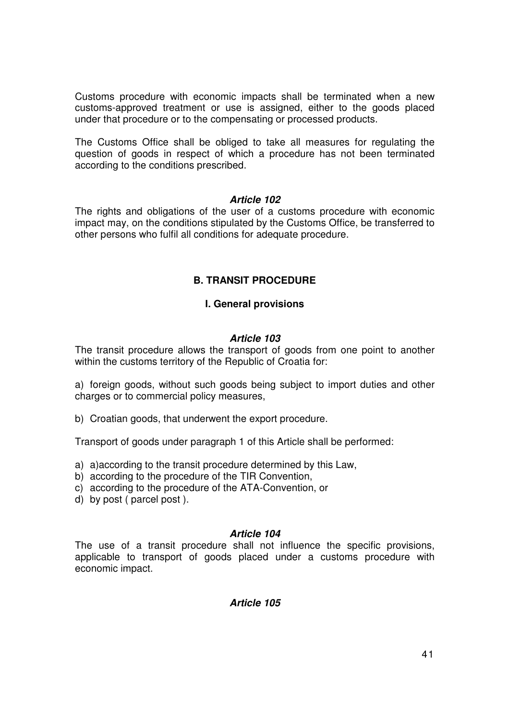Customs procedure with economic impacts shall be terminated when a new customs-approved treatment or use is assigned, either to the goods placed under that procedure or to the compensating or processed products.

The Customs Office shall be obliged to take all measures for regulating the question of goods in respect of which a procedure has not been terminated according to the conditions prescribed.

# **Article 102**

The rights and obligations of the user of a customs procedure with economic impact may, on the conditions stipulated by the Customs Office, be transferred to other persons who fulfil all conditions for adequate procedure.

# **B. TRANSIT PROCEDURE**

# **I. General provisions**

# **Article 103**

The transit procedure allows the transport of goods from one point to another within the customs territory of the Republic of Croatia for:

a) foreign goods, without such goods being subject to import duties and other charges or to commercial policy measures,

b) Croatian goods, that underwent the export procedure.

Transport of goods under paragraph 1 of this Article shall be performed:

- a) a)according to the transit procedure determined by this Law,
- b) according to the procedure of the TIR Convention,
- c) according to the procedure of the ATA-Convention, or
- d) by post ( parcel post ).

#### **Article 104**

The use of a transit procedure shall not influence the specific provisions, applicable to transport of goods placed under a customs procedure with economic impact.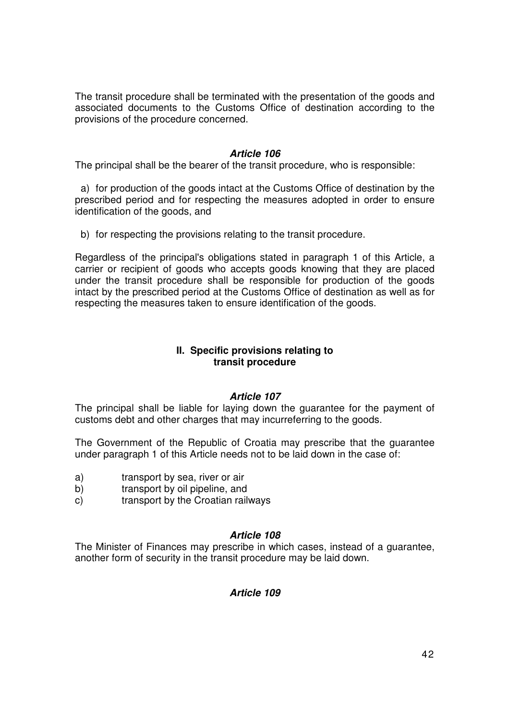The transit procedure shall be terminated with the presentation of the goods and associated documents to the Customs Office of destination according to the provisions of the procedure concerned.

### **Article 106**

The principal shall be the bearer of the transit procedure, who is responsible:

a) for production of the goods intact at the Customs Office of destination by the prescribed period and for respecting the measures adopted in order to ensure identification of the goods, and

b) for respecting the provisions relating to the transit procedure.

Regardless of the principal's obligations stated in paragraph 1 of this Article, a carrier or recipient of goods who accepts goods knowing that they are placed under the transit procedure shall be responsible for production of the goods intact by the prescribed period at the Customs Office of destination as well as for respecting the measures taken to ensure identification of the goods.

### **II. Specific provisions relating to transit procedure**

# **Article 107**

The principal shall be liable for laying down the guarantee for the payment of customs debt and other charges that may incurreferring to the goods.

The Government of the Republic of Croatia may prescribe that the guarantee under paragraph 1 of this Article needs not to be laid down in the case of:

- a) transport by sea, river or air
- b) transport by oil pipeline, and
- c) transport by the Croatian railways

# **Article 108**

The Minister of Finances may prescribe in which cases, instead of a guarantee, another form of security in the transit procedure may be laid down.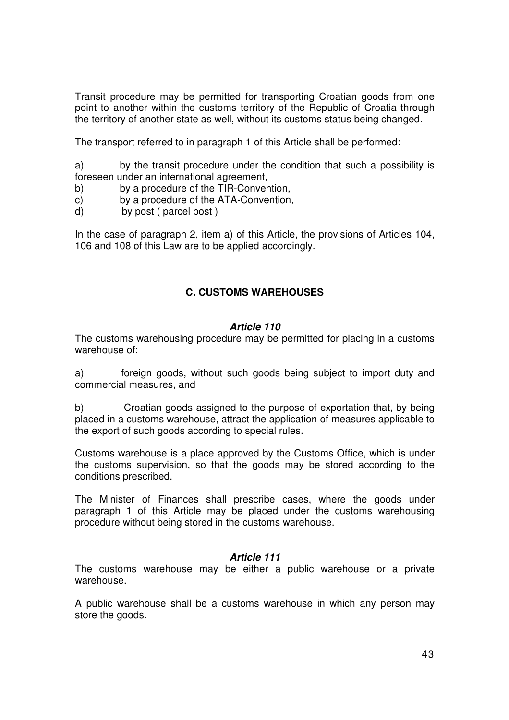Transit procedure may be permitted for transporting Croatian goods from one point to another within the customs territory of the Republic of Croatia through the territory of another state as well, without its customs status being changed.

The transport referred to in paragraph 1 of this Article shall be performed:

a) by the transit procedure under the condition that such a possibility is foreseen under an international agreement,

- b) by a procedure of the TIR-Convention,
- c) by a procedure of the ATA-Convention,
- d) by post ( parcel post )

In the case of paragraph 2, item a) of this Article, the provisions of Articles 104, 106 and 108 of this Law are to be applied accordingly.

# **C. CUSTOMS WAREHOUSES**

#### **Article 110**

The customs warehousing procedure may be permitted for placing in a customs warehouse of:

a) foreign goods, without such goods being subject to import duty and commercial measures, and

b) Croatian goods assigned to the purpose of exportation that, by being placed in a customs warehouse, attract the application of measures applicable to the export of such goods according to special rules.

Customs warehouse is a place approved by the Customs Office, which is under the customs supervision, so that the goods may be stored according to the conditions prescribed.

The Minister of Finances shall prescribe cases, where the goods under paragraph 1 of this Article may be placed under the customs warehousing procedure without being stored in the customs warehouse.

# **Article 111**

The customs warehouse may be either a public warehouse or a private warehouse.

A public warehouse shall be a customs warehouse in which any person may store the goods.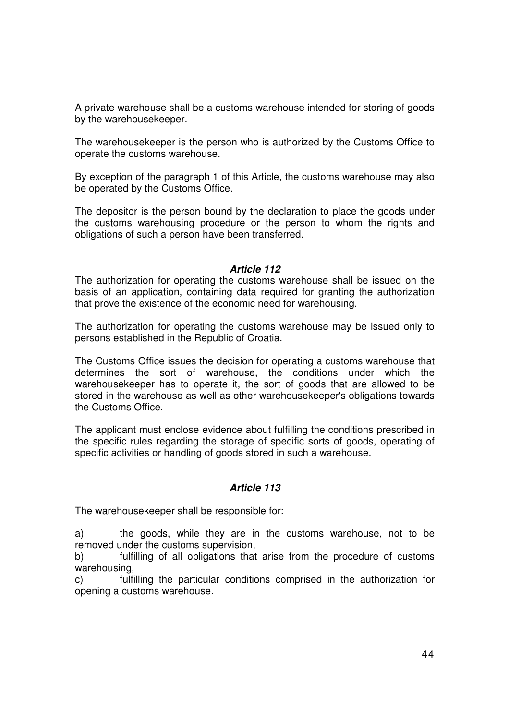A private warehouse shall be a customs warehouse intended for storing of goods by the warehousekeeper.

The warehousekeeper is the person who is authorized by the Customs Office to operate the customs warehouse.

By exception of the paragraph 1 of this Article, the customs warehouse may also be operated by the Customs Office.

The depositor is the person bound by the declaration to place the goods under the customs warehousing procedure or the person to whom the rights and obligations of such a person have been transferred.

#### **Article 112**

The authorization for operating the customs warehouse shall be issued on the basis of an application, containing data required for granting the authorization that prove the existence of the economic need for warehousing.

The authorization for operating the customs warehouse may be issued only to persons established in the Republic of Croatia.

The Customs Office issues the decision for operating a customs warehouse that determines the sort of warehouse, the conditions under which the warehousekeeper has to operate it, the sort of goods that are allowed to be stored in the warehouse as well as other warehousekeeper's obligations towards the Customs Office.

The applicant must enclose evidence about fulfilling the conditions prescribed in the specific rules regarding the storage of specific sorts of goods, operating of specific activities or handling of goods stored in such a warehouse.

#### **Article 113**

The warehousekeeper shall be responsible for:

a) the goods, while they are in the customs warehouse, not to be removed under the customs supervision,

b) fulfilling of all obligations that arise from the procedure of customs warehousing,

c) fulfilling the particular conditions comprised in the authorization for opening a customs warehouse.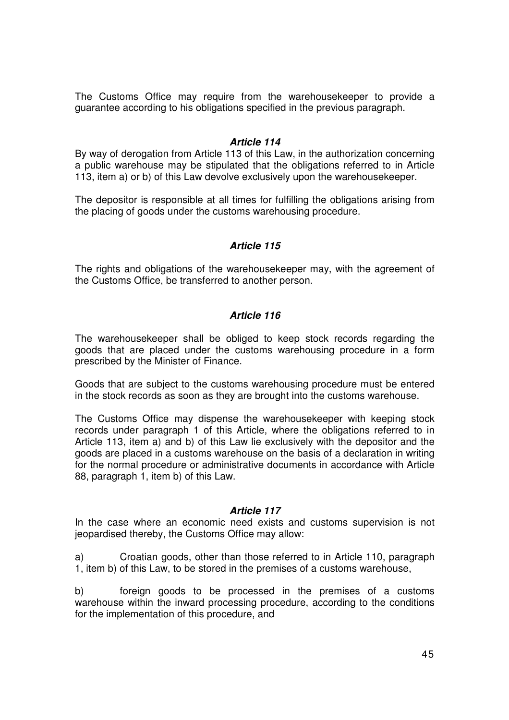The Customs Office may require from the warehousekeeper to provide a guarantee according to his obligations specified in the previous paragraph.

#### **Article 114**

By way of derogation from Article 113 of this Law, in the authorization concerning a public warehouse may be stipulated that the obligations referred to in Article 113, item a) or b) of this Law devolve exclusively upon the warehousekeeper.

The depositor is responsible at all times for fulfilling the obligations arising from the placing of goods under the customs warehousing procedure.

### **Article 115**

The rights and obligations of the warehousekeeper may, with the agreement of the Customs Office, be transferred to another person.

### **Article 116**

The warehousekeeper shall be obliged to keep stock records regarding the goods that are placed under the customs warehousing procedure in a form prescribed by the Minister of Finance.

Goods that are subject to the customs warehousing procedure must be entered in the stock records as soon as they are brought into the customs warehouse.

The Customs Office may dispense the warehousekeeper with keeping stock records under paragraph 1 of this Article, where the obligations referred to in Article 113, item a) and b) of this Law lie exclusively with the depositor and the goods are placed in a customs warehouse on the basis of a declaration in writing for the normal procedure or administrative documents in accordance with Article 88, paragraph 1, item b) of this Law.

#### **Article 117**

In the case where an economic need exists and customs supervision is not jeopardised thereby, the Customs Office may allow:

a) Croatian goods, other than those referred to in Article 110, paragraph 1, item b) of this Law, to be stored in the premises of a customs warehouse,

b) foreign goods to be processed in the premises of a customs warehouse within the inward processing procedure, according to the conditions for the implementation of this procedure, and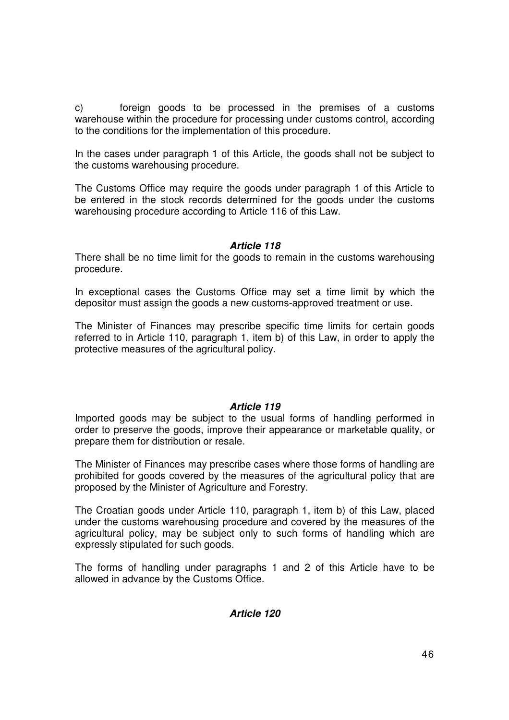c) foreign goods to be processed in the premises of a customs warehouse within the procedure for processing under customs control, according to the conditions for the implementation of this procedure.

In the cases under paragraph 1 of this Article, the goods shall not be subject to the customs warehousing procedure.

The Customs Office may require the goods under paragraph 1 of this Article to be entered in the stock records determined for the goods under the customs warehousing procedure according to Article 116 of this Law.

### **Article 118**

There shall be no time limit for the goods to remain in the customs warehousing procedure.

In exceptional cases the Customs Office may set a time limit by which the depositor must assign the goods a new customs-approved treatment or use.

The Minister of Finances may prescribe specific time limits for certain goods referred to in Article 110, paragraph 1, item b) of this Law, in order to apply the protective measures of the agricultural policy.

# **Article 119**

Imported goods may be subject to the usual forms of handling performed in order to preserve the goods, improve their appearance or marketable quality, or prepare them for distribution or resale.

The Minister of Finances may prescribe cases where those forms of handling are prohibited for goods covered by the measures of the agricultural policy that are proposed by the Minister of Agriculture and Forestry.

The Croatian goods under Article 110, paragraph 1, item b) of this Law, placed under the customs warehousing procedure and covered by the measures of the agricultural policy, may be subject only to such forms of handling which are expressly stipulated for such goods.

The forms of handling under paragraphs 1 and 2 of this Article have to be allowed in advance by the Customs Office.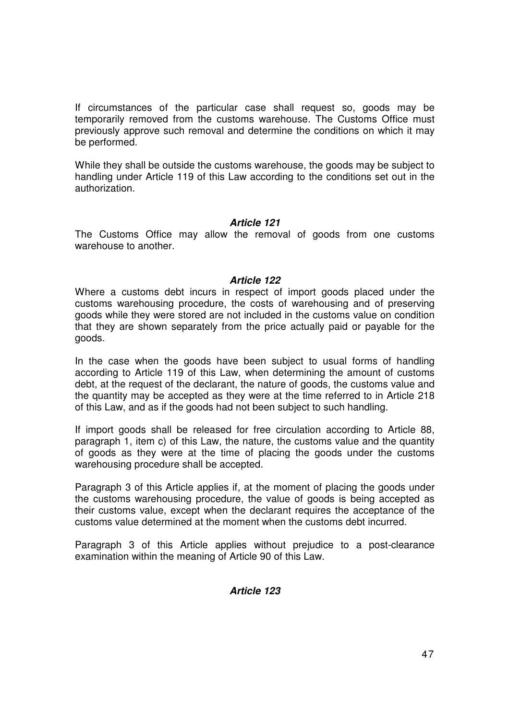If circumstances of the particular case shall request so, goods may be temporarily removed from the customs warehouse. The Customs Office must previously approve such removal and determine the conditions on which it may be performed.

While they shall be outside the customs warehouse, the goods may be subject to handling under Article 119 of this Law according to the conditions set out in the authorization.

#### **Article 121**

The Customs Office may allow the removal of goods from one customs warehouse to another.

#### **Article 122**

Where a customs debt incurs in respect of import goods placed under the customs warehousing procedure, the costs of warehousing and of preserving goods while they were stored are not included in the customs value on condition that they are shown separately from the price actually paid or payable for the goods.

In the case when the goods have been subject to usual forms of handling according to Article 119 of this Law, when determining the amount of customs debt, at the request of the declarant, the nature of goods, the customs value and the quantity may be accepted as they were at the time referred to in Article 218 of this Law, and as if the goods had not been subject to such handling.

If import goods shall be released for free circulation according to Article 88, paragraph 1, item c) of this Law, the nature, the customs value and the quantity of goods as they were at the time of placing the goods under the customs warehousing procedure shall be accepted.

Paragraph 3 of this Article applies if, at the moment of placing the goods under the customs warehousing procedure, the value of goods is being accepted as their customs value, except when the declarant requires the acceptance of the customs value determined at the moment when the customs debt incurred.

Paragraph 3 of this Article applies without prejudice to a post-clearance examination within the meaning of Article 90 of this Law.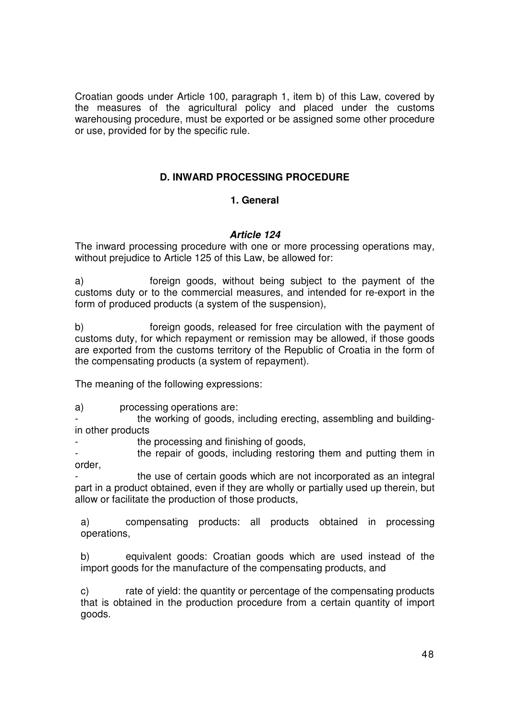Croatian goods under Article 100, paragraph 1, item b) of this Law, covered by the measures of the agricultural policy and placed under the customs warehousing procedure, must be exported or be assigned some other procedure or use, provided for by the specific rule.

# **D. INWARD PROCESSING PROCEDURE**

# **1. General**

# **Article 124**

The inward processing procedure with one or more processing operations may, without prejudice to Article 125 of this Law, be allowed for:

a) foreign goods, without being subject to the payment of the customs duty or to the commercial measures, and intended for re-export in the form of produced products (a system of the suspension),

b) foreign goods, released for free circulation with the payment of customs duty, for which repayment or remission may be allowed, if those goods are exported from the customs territory of the Republic of Croatia in the form of the compensating products (a system of repayment).

The meaning of the following expressions:

a) processing operations are:

the working of goods, including erecting, assembling and buildingin other products

the processing and finishing of goods.

- the repair of goods, including restoring them and putting them in order,

the use of certain goods which are not incorporated as an integral part in a product obtained, even if they are wholly or partially used up therein, but allow or facilitate the production of those products,

a) compensating products: all products obtained in processing operations,

b) equivalent goods: Croatian goods which are used instead of the import goods for the manufacture of the compensating products, and

c) rate of yield: the quantity or percentage of the compensating products that is obtained in the production procedure from a certain quantity of import goods.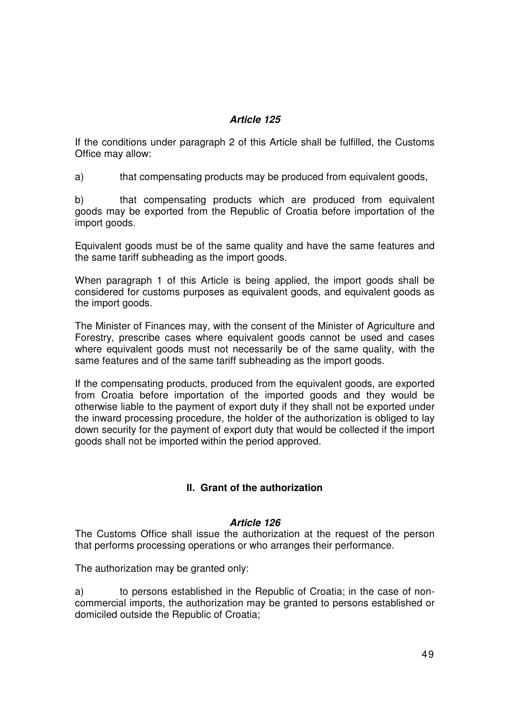# **Article 125**

If the conditions under paragraph 2 of this Article shall be fulfilled, the Customs Office may allow:

a) that compensating products may be produced from equivalent goods,

b) that compensating products which are produced from equivalent goods may be exported from the Republic of Croatia before importation of the import goods.

Equivalent goods must be of the same quality and have the same features and the same tariff subheading as the import goods.

When paragraph 1 of this Article is being applied, the import goods shall be considered for customs purposes as equivalent goods, and equivalent goods as the import goods.

The Minister of Finances may, with the consent of the Minister of Agriculture and Forestry, prescribe cases where equivalent goods cannot be used and cases where equivalent goods must not necessarily be of the same quality, with the same features and of the same tariff subheading as the import goods.

If the compensating products, produced from the equivalent goods, are exported from Croatia before importation of the imported goods and they would be otherwise liable to the payment of export duty if they shall not be exported under the inward processing procedure, the holder of the authorization is obliged to lay down security for the payment of export duty that would be collected if the import goods shall not be imported within the period approved.

# **II. Grant of the authorization**

#### **Article 126**

The Customs Office shall issue the authorization at the request of the person that performs processing operations or who arranges their performance.

The authorization may be granted only:

a) to persons established in the Republic of Croatia; in the case of noncommercial imports, the authorization may be granted to persons established or domiciled outside the Republic of Croatia;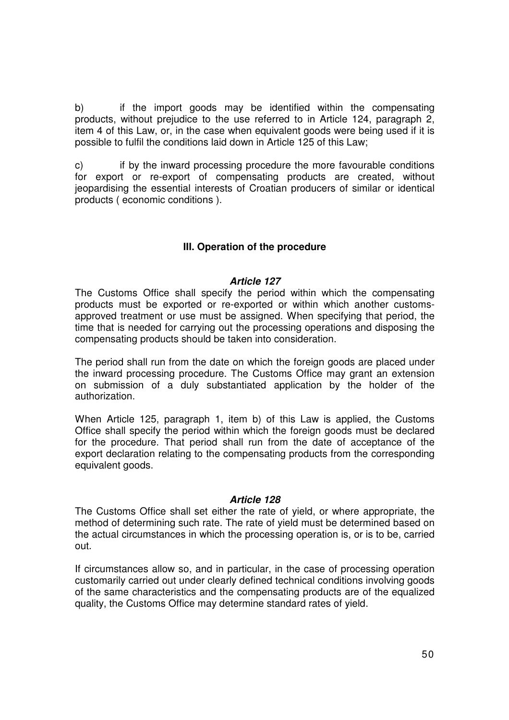b) if the import goods may be identified within the compensating products, without prejudice to the use referred to in Article 124, paragraph 2, item 4 of this Law, or, in the case when equivalent goods were being used if it is possible to fulfil the conditions laid down in Article 125 of this Law;

c) if by the inward processing procedure the more favourable conditions for export or re-export of compensating products are created, without jeopardising the essential interests of Croatian producers of similar or identical products ( economic conditions ).

# **III. Operation of the procedure**

#### **Article 127**

The Customs Office shall specify the period within which the compensating products must be exported or re-exported or within which another customsapproved treatment or use must be assigned. When specifying that period, the time that is needed for carrying out the processing operations and disposing the compensating products should be taken into consideration.

The period shall run from the date on which the foreign goods are placed under the inward processing procedure. The Customs Office may grant an extension on submission of a duly substantiated application by the holder of the authorization.

When Article 125, paragraph 1, item b) of this Law is applied, the Customs Office shall specify the period within which the foreign goods must be declared for the procedure. That period shall run from the date of acceptance of the export declaration relating to the compensating products from the corresponding equivalent goods.

#### **Article 128**

The Customs Office shall set either the rate of yield, or where appropriate, the method of determining such rate. The rate of yield must be determined based on the actual circumstances in which the processing operation is, or is to be, carried out.

If circumstances allow so, and in particular, in the case of processing operation customarily carried out under clearly defined technical conditions involving goods of the same characteristics and the compensating products are of the equalized quality, the Customs Office may determine standard rates of yield.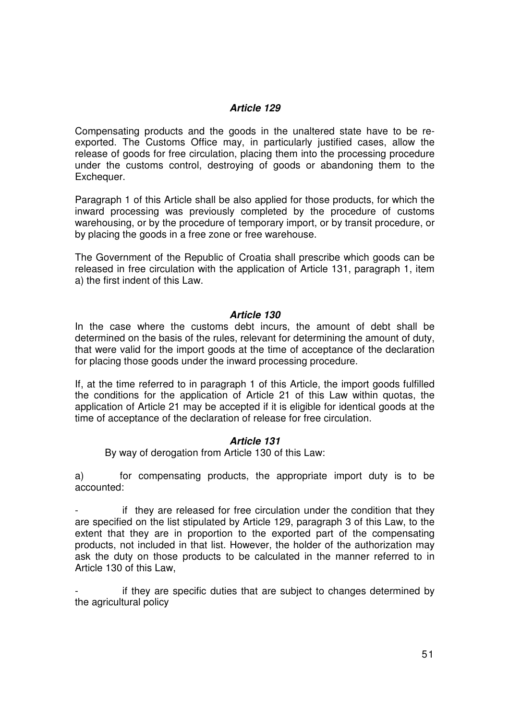# **Article 129**

Compensating products and the goods in the unaltered state have to be reexported. The Customs Office may, in particularly justified cases, allow the release of goods for free circulation, placing them into the processing procedure under the customs control, destroying of goods or abandoning them to the Exchequer.

Paragraph 1 of this Article shall be also applied for those products, for which the inward processing was previously completed by the procedure of customs warehousing, or by the procedure of temporary import, or by transit procedure, or by placing the goods in a free zone or free warehouse.

The Government of the Republic of Croatia shall prescribe which goods can be released in free circulation with the application of Article 131, paragraph 1, item a) the first indent of this Law.

### **Article 130**

In the case where the customs debt incurs, the amount of debt shall be determined on the basis of the rules, relevant for determining the amount of duty, that were valid for the import goods at the time of acceptance of the declaration for placing those goods under the inward processing procedure.

If, at the time referred to in paragraph 1 of this Article, the import goods fulfilled the conditions for the application of Article 21 of this Law within quotas, the application of Article 21 may be accepted if it is eligible for identical goods at the time of acceptance of the declaration of release for free circulation.

# **Article 131**

By way of derogation from Article 130 of this Law:

a) for compensating products, the appropriate import duty is to be accounted:

if they are released for free circulation under the condition that they are specified on the list stipulated by Article 129, paragraph 3 of this Law, to the extent that they are in proportion to the exported part of the compensating products, not included in that list. However, the holder of the authorization may ask the duty on those products to be calculated in the manner referred to in Article 130 of this Law,

if they are specific duties that are subject to changes determined by the agricultural policy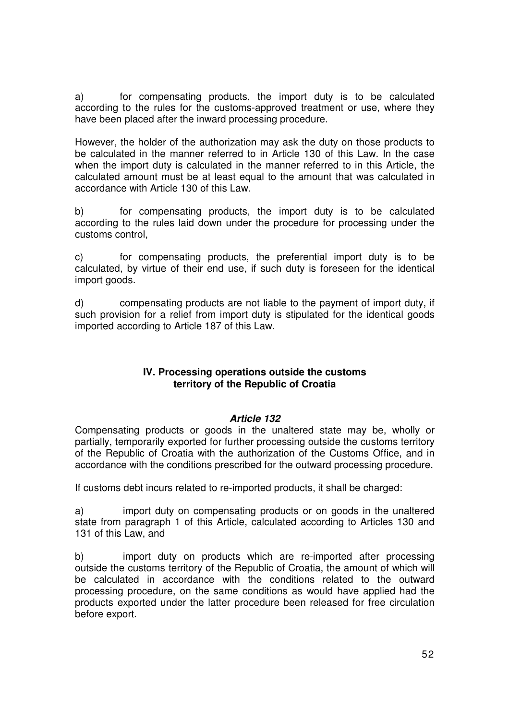a) for compensating products, the import duty is to be calculated according to the rules for the customs-approved treatment or use, where they have been placed after the inward processing procedure.

However, the holder of the authorization may ask the duty on those products to be calculated in the manner referred to in Article 130 of this Law. In the case when the import duty is calculated in the manner referred to in this Article, the calculated amount must be at least equal to the amount that was calculated in accordance with Article 130 of this Law.

b) for compensating products, the import duty is to be calculated according to the rules laid down under the procedure for processing under the customs control,

c) for compensating products, the preferential import duty is to be calculated, by virtue of their end use, if such duty is foreseen for the identical import goods.

d) compensating products are not liable to the payment of import duty, if such provision for a relief from import duty is stipulated for the identical goods imported according to Article 187 of this Law.

### **IV. Processing operations outside the customs territory of the Republic of Croatia**

# **Article 132**

Compensating products or goods in the unaltered state may be, wholly or partially, temporarily exported for further processing outside the customs territory of the Republic of Croatia with the authorization of the Customs Office, and in accordance with the conditions prescribed for the outward processing procedure.

If customs debt incurs related to re-imported products, it shall be charged:

a) import duty on compensating products or on goods in the unaltered state from paragraph 1 of this Article, calculated according to Articles 130 and 131 of this Law, and

b) import duty on products which are re-imported after processing outside the customs territory of the Republic of Croatia, the amount of which will be calculated in accordance with the conditions related to the outward processing procedure, on the same conditions as would have applied had the products exported under the latter procedure been released for free circulation before export.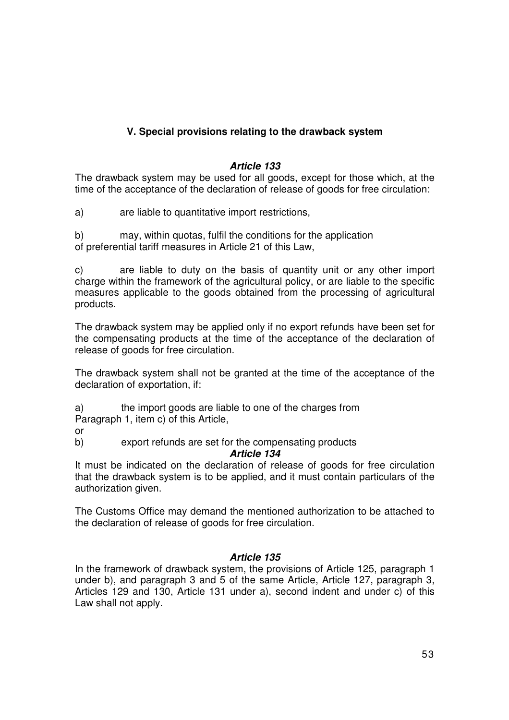# **V. Special provisions relating to the drawback system**

# **Article 133**

The drawback system may be used for all goods, except for those which, at the time of the acceptance of the declaration of release of goods for free circulation:

a) are liable to quantitative import restrictions,

b) may, within quotas, fulfil the conditions for the application of preferential tariff measures in Article 21 of this Law,

c) are liable to duty on the basis of quantity unit or any other import charge within the framework of the agricultural policy, or are liable to the specific measures applicable to the goods obtained from the processing of agricultural products.

The drawback system may be applied only if no export refunds have been set for the compensating products at the time of the acceptance of the declaration of release of goods for free circulation.

The drawback system shall not be granted at the time of the acceptance of the declaration of exportation, if:

a) the import goods are liable to one of the charges from

Paragraph 1, item c) of this Article,

or

b) export refunds are set for the compensating products

# **Article 134**

It must be indicated on the declaration of release of goods for free circulation that the drawback system is to be applied, and it must contain particulars of the authorization given.

The Customs Office may demand the mentioned authorization to be attached to the declaration of release of goods for free circulation.

# **Article 135**

In the framework of drawback system, the provisions of Article 125, paragraph 1 under b), and paragraph 3 and 5 of the same Article, Article 127, paragraph 3, Articles 129 and 130, Article 131 under a), second indent and under c) of this Law shall not apply.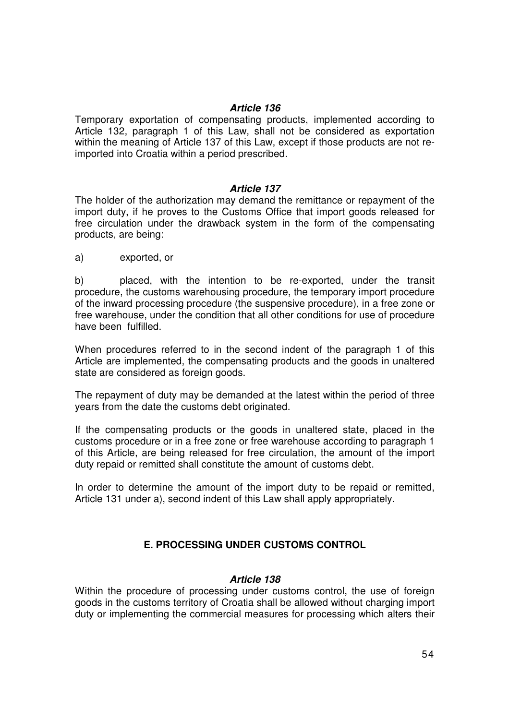### **Article 136**

Temporary exportation of compensating products, implemented according to Article 132, paragraph 1 of this Law, shall not be considered as exportation within the meaning of Article 137 of this Law, except if those products are not reimported into Croatia within a period prescribed.

### **Article 137**

The holder of the authorization may demand the remittance or repayment of the import duty, if he proves to the Customs Office that import goods released for free circulation under the drawback system in the form of the compensating products, are being:

a) exported, or

b) placed, with the intention to be re-exported, under the transit procedure, the customs warehousing procedure, the temporary import procedure of the inward processing procedure (the suspensive procedure), in a free zone or free warehouse, under the condition that all other conditions for use of procedure have been fulfilled.

When procedures referred to in the second indent of the paragraph 1 of this Article are implemented, the compensating products and the goods in unaltered state are considered as foreign goods.

The repayment of duty may be demanded at the latest within the period of three years from the date the customs debt originated.

If the compensating products or the goods in unaltered state, placed in the customs procedure or in a free zone or free warehouse according to paragraph 1 of this Article, are being released for free circulation, the amount of the import duty repaid or remitted shall constitute the amount of customs debt.

In order to determine the amount of the import duty to be repaid or remitted, Article 131 under a), second indent of this Law shall apply appropriately.

# **E. PROCESSING UNDER CUSTOMS CONTROL**

# **Article 138**

Within the procedure of processing under customs control, the use of foreign goods in the customs territory of Croatia shall be allowed without charging import duty or implementing the commercial measures for processing which alters their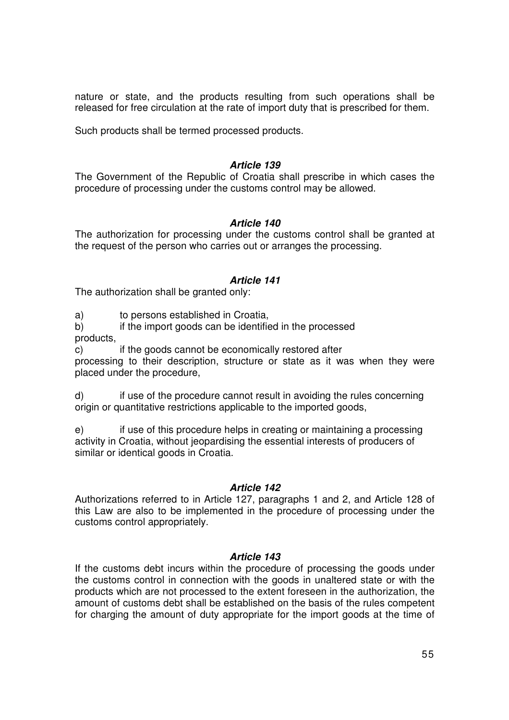nature or state, and the products resulting from such operations shall be released for free circulation at the rate of import duty that is prescribed for them.

Such products shall be termed processed products.

### **Article 139**

The Government of the Republic of Croatia shall prescribe in which cases the procedure of processing under the customs control may be allowed.

### **Article 140**

The authorization for processing under the customs control shall be granted at the request of the person who carries out or arranges the processing.

### **Article 141**

The authorization shall be granted only:

a) to persons established in Croatia,

b) if the import goods can be identified in the processed

products,

c) if the goods cannot be economically restored after

processing to their description, structure or state as it was when they were placed under the procedure,

d) if use of the procedure cannot result in avoiding the rules concerning origin or quantitative restrictions applicable to the imported goods,

e) if use of this procedure helps in creating or maintaining a processing activity in Croatia, without jeopardising the essential interests of producers of similar or identical goods in Croatia.

#### **Article 142**

Authorizations referred to in Article 127, paragraphs 1 and 2, and Article 128 of this Law are also to be implemented in the procedure of processing under the customs control appropriately.

# **Article 143**

If the customs debt incurs within the procedure of processing the goods under the customs control in connection with the goods in unaltered state or with the products which are not processed to the extent foreseen in the authorization, the amount of customs debt shall be established on the basis of the rules competent for charging the amount of duty appropriate for the import goods at the time of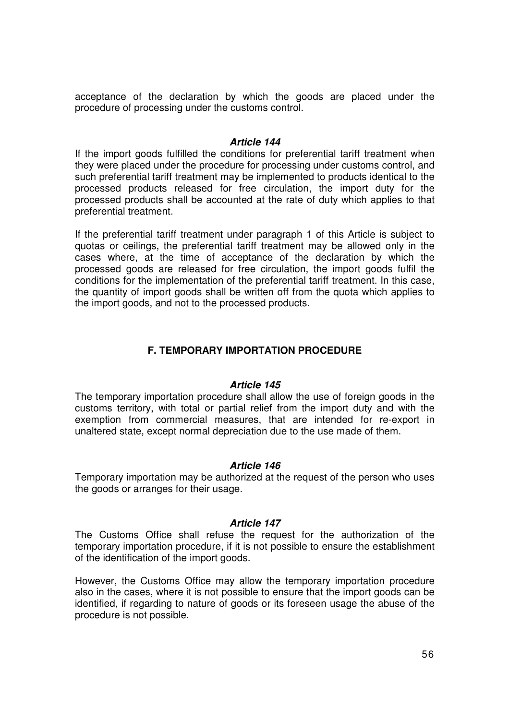acceptance of the declaration by which the goods are placed under the procedure of processing under the customs control.

#### **Article 144**

If the import goods fulfilled the conditions for preferential tariff treatment when they were placed under the procedure for processing under customs control, and such preferential tariff treatment may be implemented to products identical to the processed products released for free circulation, the import duty for the processed products shall be accounted at the rate of duty which applies to that preferential treatment.

If the preferential tariff treatment under paragraph 1 of this Article is subject to quotas or ceilings, the preferential tariff treatment may be allowed only in the cases where, at the time of acceptance of the declaration by which the processed goods are released for free circulation, the import goods fulfil the conditions for the implementation of the preferential tariff treatment. In this case, the quantity of import goods shall be written off from the quota which applies to the import goods, and not to the processed products.

# **F. TEMPORARY IMPORTATION PROCEDURE**

#### **Article 145**

The temporary importation procedure shall allow the use of foreign goods in the customs territory, with total or partial relief from the import duty and with the exemption from commercial measures, that are intended for re-export in unaltered state, except normal depreciation due to the use made of them.

#### **Article 146**

Temporary importation may be authorized at the request of the person who uses the goods or arranges for their usage.

#### **Article 147**

The Customs Office shall refuse the request for the authorization of the temporary importation procedure, if it is not possible to ensure the establishment of the identification of the import goods.

However, the Customs Office may allow the temporary importation procedure also in the cases, where it is not possible to ensure that the import goods can be identified, if regarding to nature of goods or its foreseen usage the abuse of the procedure is not possible.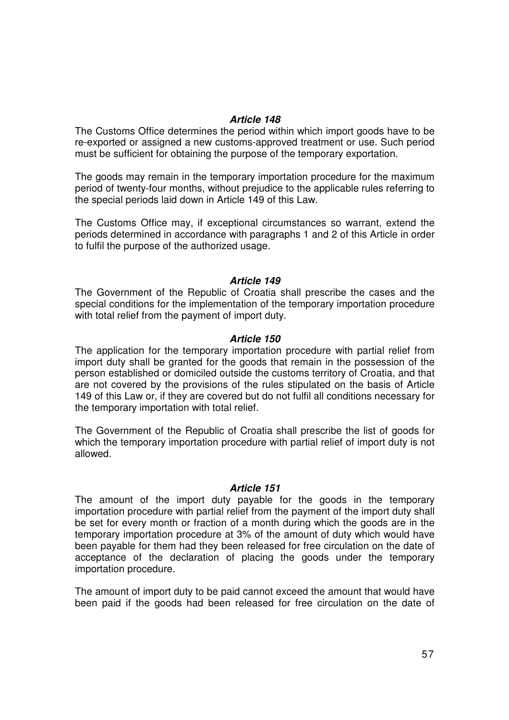#### **Article 148**

The Customs Office determines the period within which import goods have to be re-exported or assigned a new customs-approved treatment or use. Such period must be sufficient for obtaining the purpose of the temporary exportation.

The goods may remain in the temporary importation procedure for the maximum period of twenty-four months, without prejudice to the applicable rules referring to the special periods laid down in Article 149 of this Law.

The Customs Office may, if exceptional circumstances so warrant, extend the periods determined in accordance with paragraphs 1 and 2 of this Article in order to fulfil the purpose of the authorized usage.

#### **Article 149**

The Government of the Republic of Croatia shall prescribe the cases and the special conditions for the implementation of the temporary importation procedure with total relief from the payment of import duty.

#### **Article 150**

The application for the temporary importation procedure with partial relief from import duty shall be granted for the goods that remain in the possession of the person established or domiciled outside the customs territory of Croatia, and that are not covered by the provisions of the rules stipulated on the basis of Article 149 of this Law or, if they are covered but do not fulfil all conditions necessary for the temporary importation with total relief.

The Government of the Republic of Croatia shall prescribe the list of goods for which the temporary importation procedure with partial relief of import duty is not allowed.

#### **Article 151**

The amount of the import duty payable for the goods in the temporary importation procedure with partial relief from the payment of the import duty shall be set for every month or fraction of a month during which the goods are in the temporary importation procedure at 3% of the amount of duty which would have been payable for them had they been released for free circulation on the date of acceptance of the declaration of placing the goods under the temporary importation procedure.

The amount of import duty to be paid cannot exceed the amount that would have been paid if the goods had been released for free circulation on the date of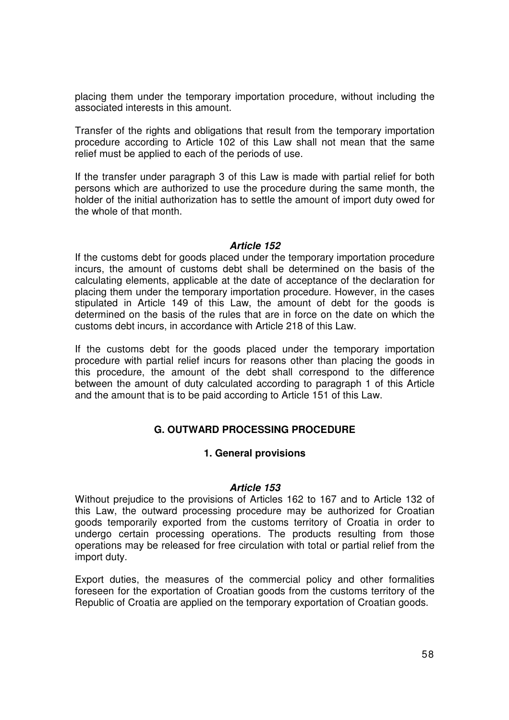placing them under the temporary importation procedure, without including the associated interests in this amount.

Transfer of the rights and obligations that result from the temporary importation procedure according to Article 102 of this Law shall not mean that the same relief must be applied to each of the periods of use.

If the transfer under paragraph 3 of this Law is made with partial relief for both persons which are authorized to use the procedure during the same month, the holder of the initial authorization has to settle the amount of import duty owed for the whole of that month.

#### **Article 152**

If the customs debt for goods placed under the temporary importation procedure incurs, the amount of customs debt shall be determined on the basis of the calculating elements, applicable at the date of acceptance of the declaration for placing them under the temporary importation procedure. However, in the cases stipulated in Article 149 of this Law, the amount of debt for the goods is determined on the basis of the rules that are in force on the date on which the customs debt incurs, in accordance with Article 218 of this Law.

If the customs debt for the goods placed under the temporary importation procedure with partial relief incurs for reasons other than placing the goods in this procedure, the amount of the debt shall correspond to the difference between the amount of duty calculated according to paragraph 1 of this Article and the amount that is to be paid according to Article 151 of this Law.

# **G. OUTWARD PROCESSING PROCEDURE**

# **1. General provisions**

#### **Article 153**

Without prejudice to the provisions of Articles 162 to 167 and to Article 132 of this Law, the outward processing procedure may be authorized for Croatian goods temporarily exported from the customs territory of Croatia in order to undergo certain processing operations. The products resulting from those operations may be released for free circulation with total or partial relief from the import duty.

Export duties, the measures of the commercial policy and other formalities foreseen for the exportation of Croatian goods from the customs territory of the Republic of Croatia are applied on the temporary exportation of Croatian goods.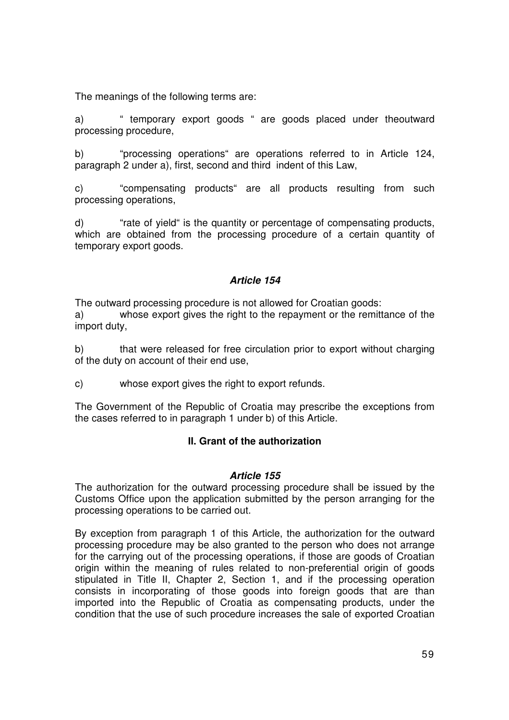The meanings of the following terms are:

a) " temporary export goods " are goods placed under theoutward processing procedure,

b) "processing operations" are operations referred to in Article 124, paragraph 2 under a), first, second and third indent of this Law,

c) "compensating products" are all products resulting from such processing operations,

d) "rate of yield" is the quantity or percentage of compensating products, which are obtained from the processing procedure of a certain quantity of temporary export goods.

# **Article 154**

The outward processing procedure is not allowed for Croatian goods: a) whose export gives the right to the repayment or the remittance of the import duty,

b) that were released for free circulation prior to export without charging of the duty on account of their end use,

c) whose export gives the right to export refunds.

The Government of the Republic of Croatia may prescribe the exceptions from the cases referred to in paragraph 1 under b) of this Article.

# **II. Grant of the authorization**

#### **Article 155**

The authorization for the outward processing procedure shall be issued by the Customs Office upon the application submitted by the person arranging for the processing operations to be carried out.

By exception from paragraph 1 of this Article, the authorization for the outward processing procedure may be also granted to the person who does not arrange for the carrying out of the processing operations, if those are goods of Croatian origin within the meaning of rules related to non-preferential origin of goods stipulated in Title II, Chapter 2, Section 1, and if the processing operation consists in incorporating of those goods into foreign goods that are than imported into the Republic of Croatia as compensating products, under the condition that the use of such procedure increases the sale of exported Croatian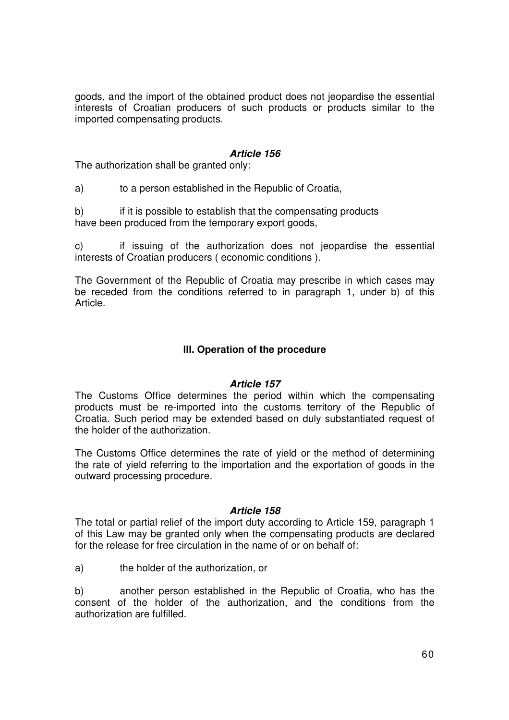goods, and the import of the obtained product does not jeopardise the essential interests of Croatian producers of such products or products similar to the imported compensating products.

### **Article 156**

The authorization shall be granted only:

a) to a person established in the Republic of Croatia,

b) if it is possible to establish that the compensating products have been produced from the temporary export goods,

c) if issuing of the authorization does not jeopardise the essential interests of Croatian producers ( economic conditions ).

The Government of the Republic of Croatia may prescribe in which cases may be receded from the conditions referred to in paragraph 1, under b) of this Article.

# **III. Operation of the procedure**

# **Article 157**

The Customs Office determines the period within which the compensating products must be re-imported into the customs territory of the Republic of Croatia. Such period may be extended based on duly substantiated request of the holder of the authorization.

The Customs Office determines the rate of yield or the method of determining the rate of yield referring to the importation and the exportation of goods in the outward processing procedure.

#### **Article 158**

The total or partial relief of the import duty according to Article 159, paragraph 1 of this Law may be granted only when the compensating products are declared for the release for free circulation in the name of or on behalf of:

a) the holder of the authorization, or

b) another person established in the Republic of Croatia, who has the consent of the holder of the authorization, and the conditions from the authorization are fulfilled.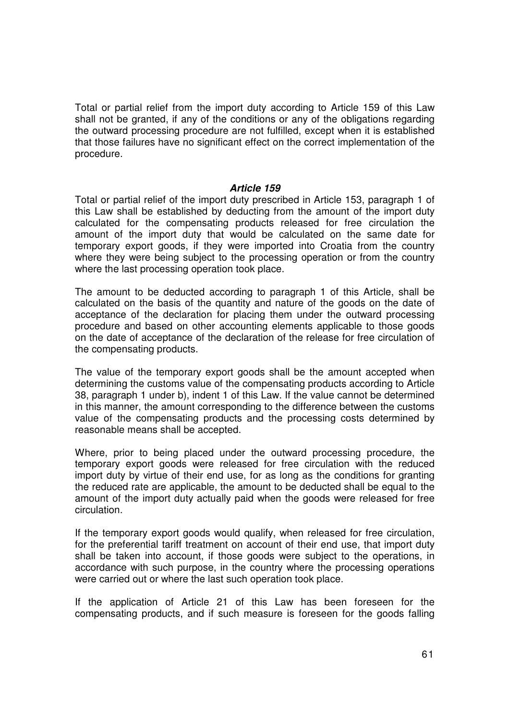Total or partial relief from the import duty according to Article 159 of this Law shall not be granted, if any of the conditions or any of the obligations regarding the outward processing procedure are not fulfilled, except when it is established that those failures have no significant effect on the correct implementation of the procedure.

#### **Article 159**

Total or partial relief of the import duty prescribed in Article 153, paragraph 1 of this Law shall be established by deducting from the amount of the import duty calculated for the compensating products released for free circulation the amount of the import duty that would be calculated on the same date for temporary export goods, if they were imported into Croatia from the country where they were being subject to the processing operation or from the country where the last processing operation took place.

The amount to be deducted according to paragraph 1 of this Article, shall be calculated on the basis of the quantity and nature of the goods on the date of acceptance of the declaration for placing them under the outward processing procedure and based on other accounting elements applicable to those goods on the date of acceptance of the declaration of the release for free circulation of the compensating products.

The value of the temporary export goods shall be the amount accepted when determining the customs value of the compensating products according to Article 38, paragraph 1 under b), indent 1 of this Law. If the value cannot be determined in this manner, the amount corresponding to the difference between the customs value of the compensating products and the processing costs determined by reasonable means shall be accepted.

Where, prior to being placed under the outward processing procedure, the temporary export goods were released for free circulation with the reduced import duty by virtue of their end use, for as long as the conditions for granting the reduced rate are applicable, the amount to be deducted shall be equal to the amount of the import duty actually paid when the goods were released for free circulation.

If the temporary export goods would qualify, when released for free circulation, for the preferential tariff treatment on account of their end use, that import duty shall be taken into account, if those goods were subject to the operations, in accordance with such purpose, in the country where the processing operations were carried out or where the last such operation took place.

If the application of Article 21 of this Law has been foreseen for the compensating products, and if such measure is foreseen for the goods falling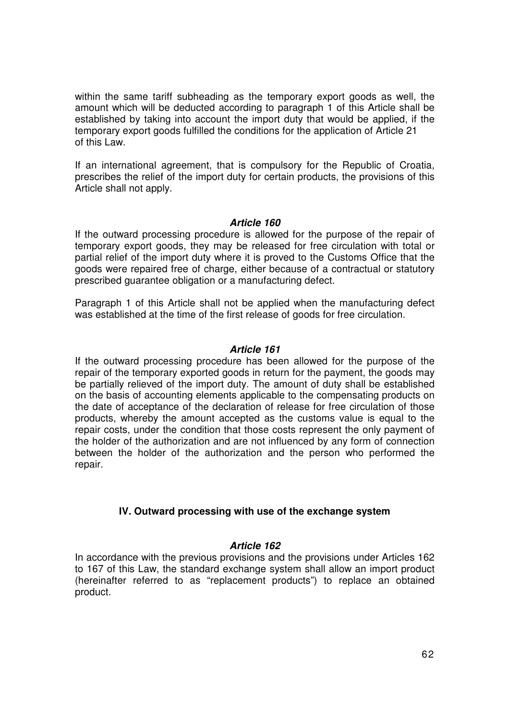within the same tariff subheading as the temporary export goods as well, the amount which will be deducted according to paragraph 1 of this Article shall be established by taking into account the import duty that would be applied, if the temporary export goods fulfilled the conditions for the application of Article 21 of this Law.

If an international agreement, that is compulsory for the Republic of Croatia, prescribes the relief of the import duty for certain products, the provisions of this Article shall not apply.

#### **Article 160**

If the outward processing procedure is allowed for the purpose of the repair of temporary export goods, they may be released for free circulation with total or partial relief of the import duty where it is proved to the Customs Office that the goods were repaired free of charge, either because of a contractual or statutory prescribed guarantee obligation or a manufacturing defect.

Paragraph 1 of this Article shall not be applied when the manufacturing defect was established at the time of the first release of goods for free circulation.

### **Article 161**

If the outward processing procedure has been allowed for the purpose of the repair of the temporary exported goods in return for the payment, the goods may be partially relieved of the import duty. The amount of duty shall be established on the basis of accounting elements applicable to the compensating products on the date of acceptance of the declaration of release for free circulation of those products, whereby the amount accepted as the customs value is equal to the repair costs, under the condition that those costs represent the only payment of the holder of the authorization and are not influenced by any form of connection between the holder of the authorization and the person who performed the repair.

# **IV. Outward processing with use of the exchange system**

# **Article 162**

In accordance with the previous provisions and the provisions under Articles 162 to 167 of this Law, the standard exchange system shall allow an import product (hereinafter referred to as "replacement products") to replace an obtained product.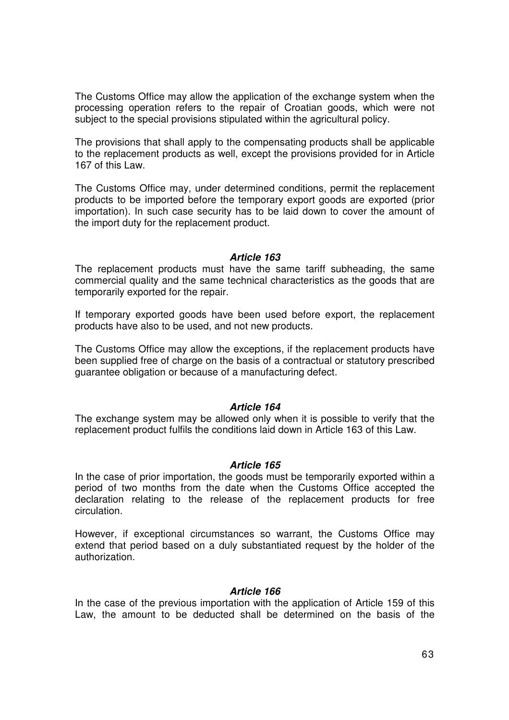The Customs Office may allow the application of the exchange system when the processing operation refers to the repair of Croatian goods, which were not subject to the special provisions stipulated within the agricultural policy.

The provisions that shall apply to the compensating products shall be applicable to the replacement products as well, except the provisions provided for in Article 167 of this Law.

The Customs Office may, under determined conditions, permit the replacement products to be imported before the temporary export goods are exported (prior importation). In such case security has to be laid down to cover the amount of the import duty for the replacement product.

#### **Article 163**

The replacement products must have the same tariff subheading, the same commercial quality and the same technical characteristics as the goods that are temporarily exported for the repair.

If temporary exported goods have been used before export, the replacement products have also to be used, and not new products.

The Customs Office may allow the exceptions, if the replacement products have been supplied free of charge on the basis of a contractual or statutory prescribed guarantee obligation or because of a manufacturing defect.

#### **Article 164**

The exchange system may be allowed only when it is possible to verify that the replacement product fulfils the conditions laid down in Article 163 of this Law.

#### **Article 165**

In the case of prior importation, the goods must be temporarily exported within a period of two months from the date when the Customs Office accepted the declaration relating to the release of the replacement products for free circulation.

However, if exceptional circumstances so warrant, the Customs Office may extend that period based on a duly substantiated request by the holder of the authorization.

#### **Article 166**

In the case of the previous importation with the application of Article 159 of this Law, the amount to be deducted shall be determined on the basis of the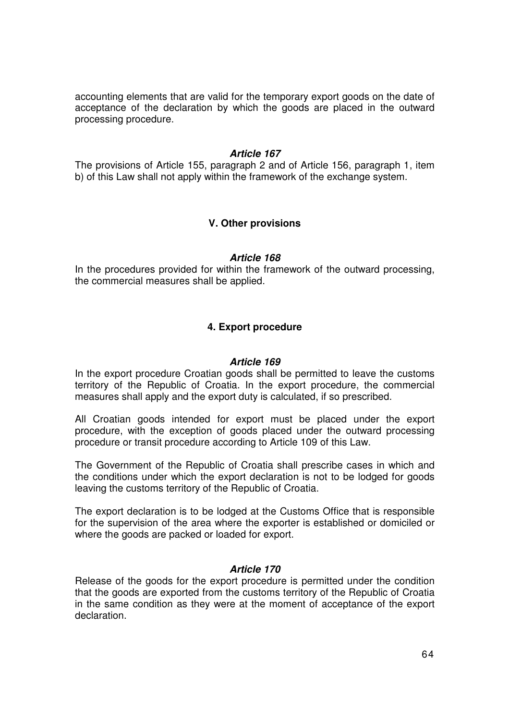accounting elements that are valid for the temporary export goods on the date of acceptance of the declaration by which the goods are placed in the outward processing procedure.

#### **Article 167**

The provisions of Article 155, paragraph 2 and of Article 156, paragraph 1, item b) of this Law shall not apply within the framework of the exchange system.

### **V. Other provisions**

#### **Article 168**

In the procedures provided for within the framework of the outward processing, the commercial measures shall be applied.

### **4. Export procedure**

#### **Article 169**

In the export procedure Croatian goods shall be permitted to leave the customs territory of the Republic of Croatia. In the export procedure, the commercial measures shall apply and the export duty is calculated, if so prescribed.

All Croatian goods intended for export must be placed under the export procedure, with the exception of goods placed under the outward processing procedure or transit procedure according to Article 109 of this Law.

The Government of the Republic of Croatia shall prescribe cases in which and the conditions under which the export declaration is not to be lodged for goods leaving the customs territory of the Republic of Croatia.

The export declaration is to be lodged at the Customs Office that is responsible for the supervision of the area where the exporter is established or domiciled or where the goods are packed or loaded for export.

#### **Article 170**

Release of the goods for the export procedure is permitted under the condition that the goods are exported from the customs territory of the Republic of Croatia in the same condition as they were at the moment of acceptance of the export declaration.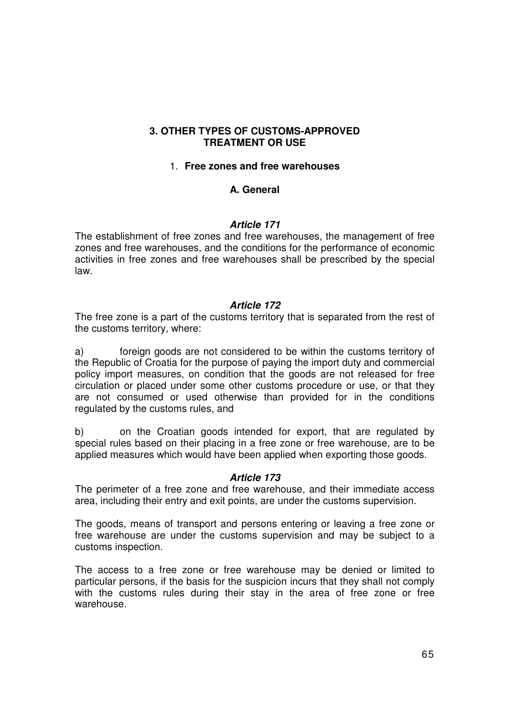### **3. OTHER TYPES OF CUSTOMS-APPROVED TREATMENT OR USE**

#### 1. **Free zones and free warehouses**

# **A. General**

#### **Article 171**

The establishment of free zones and free warehouses, the management of free zones and free warehouses, and the conditions for the performance of economic activities in free zones and free warehouses shall be prescribed by the special law.

### **Article 172**

The free zone is a part of the customs territory that is separated from the rest of the customs territory, where:

a) foreign goods are not considered to be within the customs territory of the Republic of Croatia for the purpose of paying the import duty and commercial policy import measures, on condition that the goods are not released for free circulation or placed under some other customs procedure or use, or that they are not consumed or used otherwise than provided for in the conditions regulated by the customs rules, and

b) on the Croatian goods intended for export, that are regulated by special rules based on their placing in a free zone or free warehouse, are to be applied measures which would have been applied when exporting those goods.

#### **Article 173**

The perimeter of a free zone and free warehouse, and their immediate access area, including their entry and exit points, are under the customs supervision.

The goods, means of transport and persons entering or leaving a free zone or free warehouse are under the customs supervision and may be subject to a customs inspection.

The access to a free zone or free warehouse may be denied or limited to particular persons, if the basis for the suspicion incurs that they shall not comply with the customs rules during their stay in the area of free zone or free warehouse.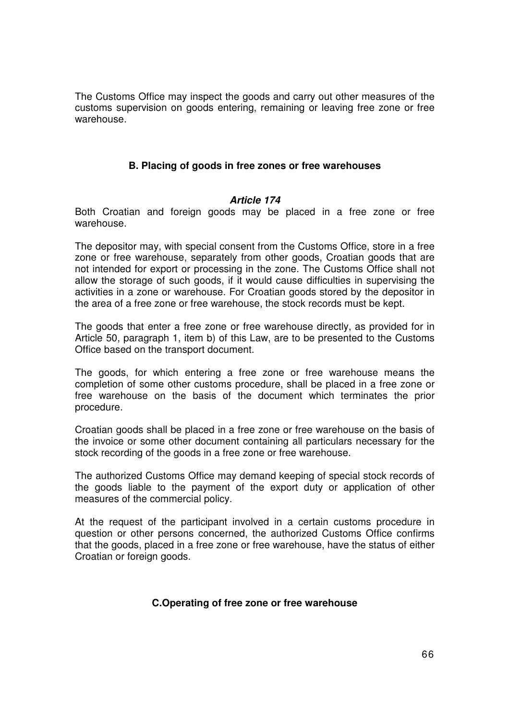The Customs Office may inspect the goods and carry out other measures of the customs supervision on goods entering, remaining or leaving free zone or free warehouse.

# **B. Placing of goods in free zones or free warehouses**

### **Article 174**

Both Croatian and foreign goods may be placed in a free zone or free warehouse.

The depositor may, with special consent from the Customs Office, store in a free zone or free warehouse, separately from other goods, Croatian goods that are not intended for export or processing in the zone. The Customs Office shall not allow the storage of such goods, if it would cause difficulties in supervising the activities in a zone or warehouse. For Croatian goods stored by the depositor in the area of a free zone or free warehouse, the stock records must be kept.

The goods that enter a free zone or free warehouse directly, as provided for in Article 50, paragraph 1, item b) of this Law, are to be presented to the Customs Office based on the transport document.

The goods, for which entering a free zone or free warehouse means the completion of some other customs procedure, shall be placed in a free zone or free warehouse on the basis of the document which terminates the prior procedure.

Croatian goods shall be placed in a free zone or free warehouse on the basis of the invoice or some other document containing all particulars necessary for the stock recording of the goods in a free zone or free warehouse.

The authorized Customs Office may demand keeping of special stock records of the goods liable to the payment of the export duty or application of other measures of the commercial policy.

At the request of the participant involved in a certain customs procedure in question or other persons concerned, the authorized Customs Office confirms that the goods, placed in a free zone or free warehouse, have the status of either Croatian or foreign goods.

# **C.Operating of free zone or free warehouse**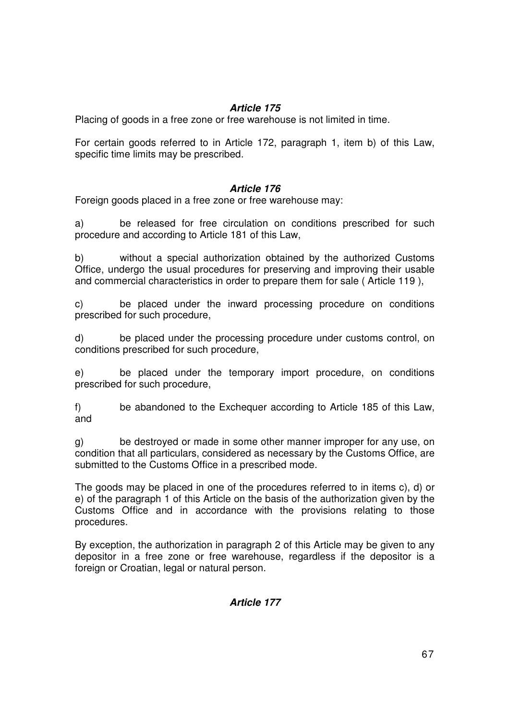# **Article 175**

Placing of goods in a free zone or free warehouse is not limited in time.

For certain goods referred to in Article 172, paragraph 1, item b) of this Law, specific time limits may be prescribed.

# **Article 176**

Foreign goods placed in a free zone or free warehouse may:

a) be released for free circulation on conditions prescribed for such procedure and according to Article 181 of this Law,

b) without a special authorization obtained by the authorized Customs Office, undergo the usual procedures for preserving and improving their usable and commercial characteristics in order to prepare them for sale ( Article 119 ),

c) be placed under the inward processing procedure on conditions prescribed for such procedure,

d) be placed under the processing procedure under customs control, on conditions prescribed for such procedure,

e) be placed under the temporary import procedure, on conditions prescribed for such procedure,

f) be abandoned to the Exchequer according to Article 185 of this Law, and

g) be destroyed or made in some other manner improper for any use, on condition that all particulars, considered as necessary by the Customs Office, are submitted to the Customs Office in a prescribed mode.

The goods may be placed in one of the procedures referred to in items c), d) or e) of the paragraph 1 of this Article on the basis of the authorization given by the Customs Office and in accordance with the provisions relating to those procedures.

By exception, the authorization in paragraph 2 of this Article may be given to any depositor in a free zone or free warehouse, regardless if the depositor is a foreign or Croatian, legal or natural person.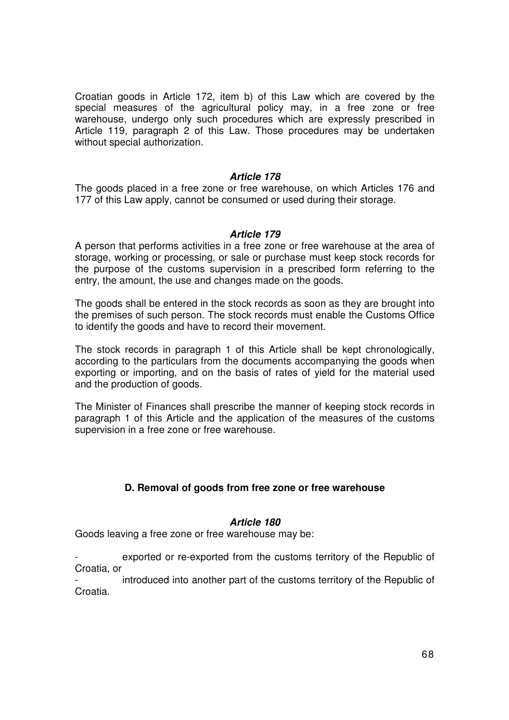Croatian goods in Article 172, item b) of this Law which are covered by the special measures of the agricultural policy may, in a free zone or free warehouse, undergo only such procedures which are expressly prescribed in Article 119, paragraph 2 of this Law. Those procedures may be undertaken without special authorization.

#### **Article 178**

The goods placed in a free zone or free warehouse, on which Articles 176 and 177 of this Law apply, cannot be consumed or used during their storage.

### **Article 179**

A person that performs activities in a free zone or free warehouse at the area of storage, working or processing, or sale or purchase must keep stock records for the purpose of the customs supervision in a prescribed form referring to the entry, the amount, the use and changes made on the goods.

The goods shall be entered in the stock records as soon as they are brought into the premises of such person. The stock records must enable the Customs Office to identify the goods and have to record their movement.

The stock records in paragraph 1 of this Article shall be kept chronologically, according to the particulars from the documents accompanying the goods when exporting or importing, and on the basis of rates of yield for the material used and the production of goods.

The Minister of Finances shall prescribe the manner of keeping stock records in paragraph 1 of this Article and the application of the measures of the customs supervision in a free zone or free warehouse.

# **D. Removal of goods from free zone or free warehouse**

#### **Article 180**

Goods leaving a free zone or free warehouse may be:

exported or re-exported from the customs territory of the Republic of Croatia, or

introduced into another part of the customs territory of the Republic of Croatia.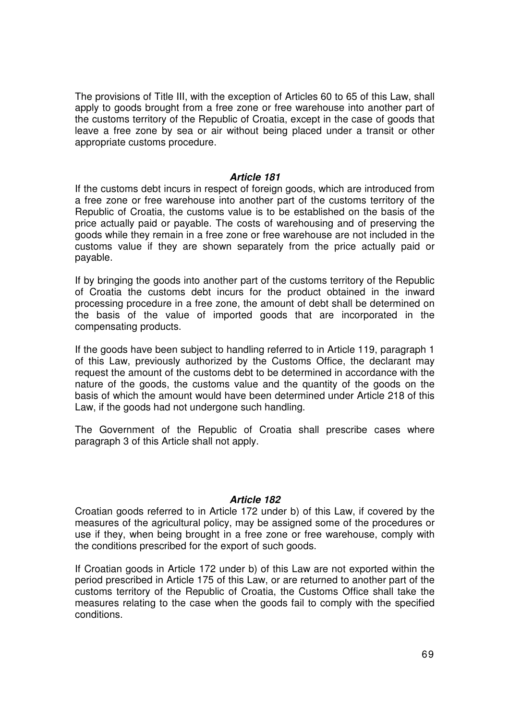The provisions of Title III, with the exception of Articles 60 to 65 of this Law, shall apply to goods brought from a free zone or free warehouse into another part of the customs territory of the Republic of Croatia, except in the case of goods that leave a free zone by sea or air without being placed under a transit or other appropriate customs procedure.

#### **Article 181**

If the customs debt incurs in respect of foreign goods, which are introduced from a free zone or free warehouse into another part of the customs territory of the Republic of Croatia, the customs value is to be established on the basis of the price actually paid or payable. The costs of warehousing and of preserving the goods while they remain in a free zone or free warehouse are not included in the customs value if they are shown separately from the price actually paid or payable.

If by bringing the goods into another part of the customs territory of the Republic of Croatia the customs debt incurs for the product obtained in the inward processing procedure in a free zone, the amount of debt shall be determined on the basis of the value of imported goods that are incorporated in the compensating products.

If the goods have been subject to handling referred to in Article 119, paragraph 1 of this Law, previously authorized by the Customs Office, the declarant may request the amount of the customs debt to be determined in accordance with the nature of the goods, the customs value and the quantity of the goods on the basis of which the amount would have been determined under Article 218 of this Law, if the goods had not undergone such handling.

The Government of the Republic of Croatia shall prescribe cases where paragraph 3 of this Article shall not apply.

#### **Article 182**

Croatian goods referred to in Article 172 under b) of this Law, if covered by the measures of the agricultural policy, may be assigned some of the procedures or use if they, when being brought in a free zone or free warehouse, comply with the conditions prescribed for the export of such goods.

If Croatian goods in Article 172 under b) of this Law are not exported within the period prescribed in Article 175 of this Law, or are returned to another part of the customs territory of the Republic of Croatia, the Customs Office shall take the measures relating to the case when the goods fail to comply with the specified conditions.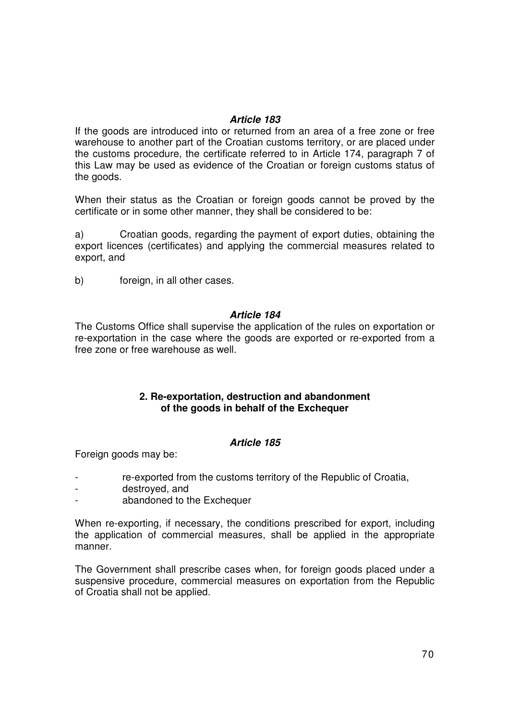### **Article 183**

If the goods are introduced into or returned from an area of a free zone or free warehouse to another part of the Croatian customs territory, or are placed under the customs procedure, the certificate referred to in Article 174, paragraph 7 of this Law may be used as evidence of the Croatian or foreign customs status of the goods.

When their status as the Croatian or foreign goods cannot be proved by the certificate or in some other manner, they shall be considered to be:

a) Croatian goods, regarding the payment of export duties, obtaining the export licences (certificates) and applying the commercial measures related to export, and

b) foreign, in all other cases.

### **Article 184**

The Customs Office shall supervise the application of the rules on exportation or re-exportation in the case where the goods are exported or re-exported from a free zone or free warehouse as well.

# **2. Re-exportation, destruction and abandonment of the goods in behalf of the Exchequer**

# **Article 185**

Foreign goods may be:

- re-exported from the customs territory of the Republic of Croatia,
- destroyed, and
- abandoned to the Exchequer

When re-exporting, if necessary, the conditions prescribed for export, including the application of commercial measures, shall be applied in the appropriate manner.

The Government shall prescribe cases when, for foreign goods placed under a suspensive procedure, commercial measures on exportation from the Republic of Croatia shall not be applied.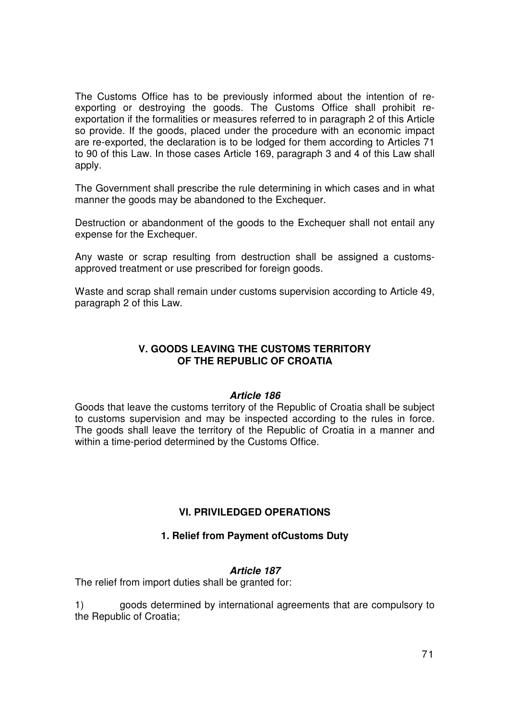The Customs Office has to be previously informed about the intention of reexporting or destroying the goods. The Customs Office shall prohibit reexportation if the formalities or measures referred to in paragraph 2 of this Article so provide. If the goods, placed under the procedure with an economic impact are re-exported, the declaration is to be lodged for them according to Articles 71 to 90 of this Law. In those cases Article 169, paragraph 3 and 4 of this Law shall apply.

The Government shall prescribe the rule determining in which cases and in what manner the goods may be abandoned to the Exchequer.

Destruction or abandonment of the goods to the Exchequer shall not entail any expense for the Exchequer.

Any waste or scrap resulting from destruction shall be assigned a customsapproved treatment or use prescribed for foreign goods.

Waste and scrap shall remain under customs supervision according to Article 49, paragraph 2 of this Law.

# **V. GOODS LEAVING THE CUSTOMS TERRITORY OF THE REPUBLIC OF CROATIA**

# **Article 186**

Goods that leave the customs territory of the Republic of Croatia shall be subject to customs supervision and may be inspected according to the rules in force. The goods shall leave the territory of the Republic of Croatia in a manner and within a time-period determined by the Customs Office.

# **VI. PRIVILEDGED OPERATIONS**

# **1. Relief from Payment ofCustoms Duty**

#### **Article 187**

The relief from import duties shall be granted for:

1) goods determined by international agreements that are compulsory to the Republic of Croatia;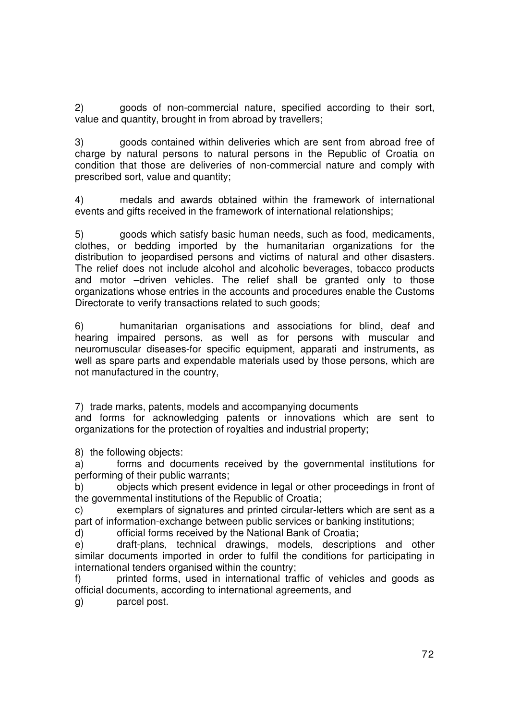2) goods of non-commercial nature, specified according to their sort, value and quantity, brought in from abroad by travellers;

3) goods contained within deliveries which are sent from abroad free of charge by natural persons to natural persons in the Republic of Croatia on condition that those are deliveries of non-commercial nature and comply with prescribed sort, value and quantity;

4) medals and awards obtained within the framework of international events and gifts received in the framework of international relationships;

5) goods which satisfy basic human needs, such as food, medicaments, clothes, or bedding imported by the humanitarian organizations for the distribution to jeopardised persons and victims of natural and other disasters. The relief does not include alcohol and alcoholic beverages, tobacco products and motor –driven vehicles. The relief shall be granted only to those organizations whose entries in the accounts and procedures enable the Customs Directorate to verify transactions related to such goods;

6) humanitarian organisations and associations for blind, deaf and hearing impaired persons, as well as for persons with muscular and neuromuscular diseases-for specific equipment, apparati and instruments, as well as spare parts and expendable materials used by those persons, which are not manufactured in the country,

7) trade marks, patents, models and accompanying documents

and forms for acknowledging patents or innovations which are sent to organizations for the protection of royalties and industrial property;

8) the following objects:

a) forms and documents received by the governmental institutions for performing of their public warrants;

b) objects which present evidence in legal or other proceedings in front of the governmental institutions of the Republic of Croatia;

c) exemplars of signatures and printed circular-letters which are sent as a part of information-exchange between public services or banking institutions;

d) official forms received by the National Bank of Croatia;

e) draft-plans, technical drawings, models, descriptions and other similar documents imported in order to fulfil the conditions for participating in international tenders organised within the country;

f) printed forms, used in international traffic of vehicles and goods as official documents, according to international agreements, and

g) parcel post.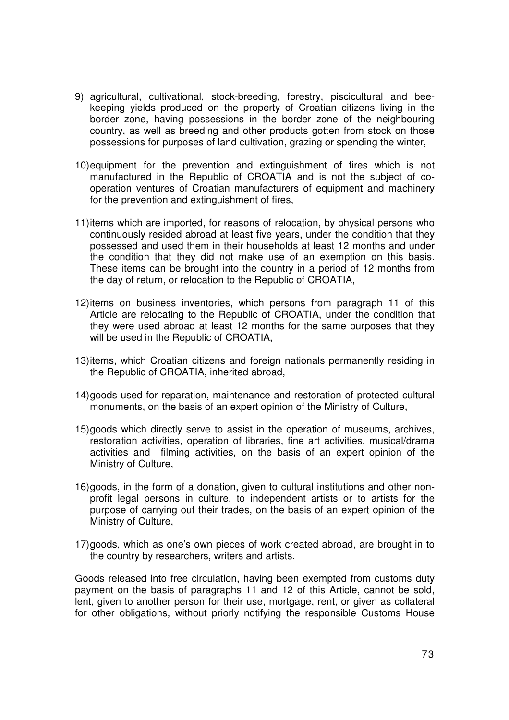- 9) agricultural, cultivational, stock-breeding, forestry, piscicultural and beekeeping yields produced on the property of Croatian citizens living in the border zone, having possessions in the border zone of the neighbouring country, as well as breeding and other products gotten from stock on those possessions for purposes of land cultivation, grazing or spending the winter,
- 10) equipment for the prevention and extinguishment of fires which is not manufactured in the Republic of CROATIA and is not the subject of cooperation ventures of Croatian manufacturers of equipment and machinery for the prevention and extinguishment of fires,
- 11) items which are imported, for reasons of relocation, by physical persons who continuously resided abroad at least five years, under the condition that they possessed and used them in their households at least 12 months and under the condition that they did not make use of an exemption on this basis. These items can be brought into the country in a period of 12 months from the day of return, or relocation to the Republic of CROATIA,
- 12) items on business inventories, which persons from paragraph 11 of this Article are relocating to the Republic of CROATIA, under the condition that they were used abroad at least 12 months for the same purposes that they will be used in the Republic of CROATIA,
- 13) items, which Croatian citizens and foreign nationals permanently residing in the Republic of CROATIA, inherited abroad,
- 14) goods used for reparation, maintenance and restoration of protected cultural monuments, on the basis of an expert opinion of the Ministry of Culture,
- 15) goods which directly serve to assist in the operation of museums, archives, restoration activities, operation of libraries, fine art activities, musical/drama activities and filming activities, on the basis of an expert opinion of the Ministry of Culture,
- 16) goods, in the form of a donation, given to cultural institutions and other nonprofit legal persons in culture, to independent artists or to artists for the purpose of carrying out their trades, on the basis of an expert opinion of the Ministry of Culture,
- 17) goods, which as one's own pieces of work created abroad, are brought in to the country by researchers, writers and artists.

Goods released into free circulation, having been exempted from customs duty payment on the basis of paragraphs 11 and 12 of this Article, cannot be sold, lent, given to another person for their use, mortgage, rent, or given as collateral for other obligations, without priorly notifying the responsible Customs House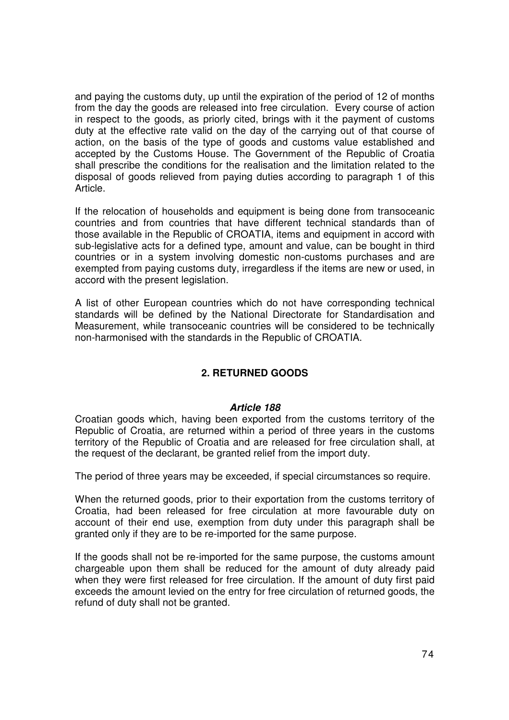and paying the customs duty, up until the expiration of the period of 12 of months from the day the goods are released into free circulation. Every course of action in respect to the goods, as priorly cited, brings with it the payment of customs duty at the effective rate valid on the day of the carrying out of that course of action, on the basis of the type of goods and customs value established and accepted by the Customs House. The Government of the Republic of Croatia shall prescribe the conditions for the realisation and the limitation related to the disposal of goods relieved from paying duties according to paragraph 1 of this Article.

If the relocation of households and equipment is being done from transoceanic countries and from countries that have different technical standards than of those available in the Republic of CROATIA, items and equipment in accord with sub-legislative acts for a defined type, amount and value, can be bought in third countries or in a system involving domestic non-customs purchases and are exempted from paying customs duty, irregardless if the items are new or used, in accord with the present legislation.

A list of other European countries which do not have corresponding technical standards will be defined by the National Directorate for Standardisation and Measurement, while transoceanic countries will be considered to be technically non-harmonised with the standards in the Republic of CROATIA.

# **2. RETURNED GOODS**

# **Article 188**

Croatian goods which, having been exported from the customs territory of the Republic of Croatia, are returned within a period of three years in the customs territory of the Republic of Croatia and are released for free circulation shall, at the request of the declarant, be granted relief from the import duty.

The period of three years may be exceeded, if special circumstances so require.

When the returned goods, prior to their exportation from the customs territory of Croatia, had been released for free circulation at more favourable duty on account of their end use, exemption from duty under this paragraph shall be granted only if they are to be re-imported for the same purpose.

If the goods shall not be re-imported for the same purpose, the customs amount chargeable upon them shall be reduced for the amount of duty already paid when they were first released for free circulation. If the amount of duty first paid exceeds the amount levied on the entry for free circulation of returned goods, the refund of duty shall not be granted.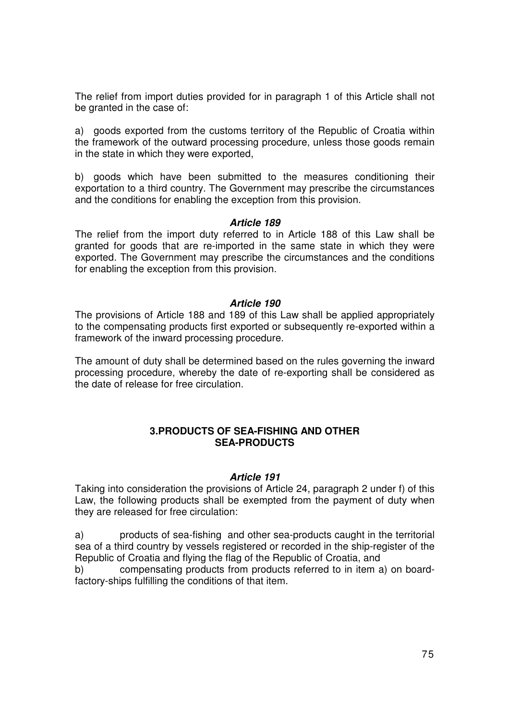The relief from import duties provided for in paragraph 1 of this Article shall not be granted in the case of:

a) goods exported from the customs territory of the Republic of Croatia within the framework of the outward processing procedure, unless those goods remain in the state in which they were exported,

b) goods which have been submitted to the measures conditioning their exportation to a third country. The Government may prescribe the circumstances and the conditions for enabling the exception from this provision.

#### **Article 189**

The relief from the import duty referred to in Article 188 of this Law shall be granted for goods that are re-imported in the same state in which they were exported. The Government may prescribe the circumstances and the conditions for enabling the exception from this provision.

## **Article 190**

The provisions of Article 188 and 189 of this Law shall be applied appropriately to the compensating products first exported or subsequently re-exported within a framework of the inward processing procedure.

The amount of duty shall be determined based on the rules governing the inward processing procedure, whereby the date of re-exporting shall be considered as the date of release for free circulation.

## **3.PRODUCTS OF SEA-FISHING AND OTHER SEA-PRODUCTS**

## **Article 191**

Taking into consideration the provisions of Article 24, paragraph 2 under f) of this Law, the following products shall be exempted from the payment of duty when they are released for free circulation:

a) products of sea-fishing and other sea-products caught in the territorial sea of a third country by vessels registered or recorded in the ship-register of the Republic of Croatia and flying the flag of the Republic of Croatia, and

b) compensating products from products referred to in item a) on boardfactory-ships fulfilling the conditions of that item.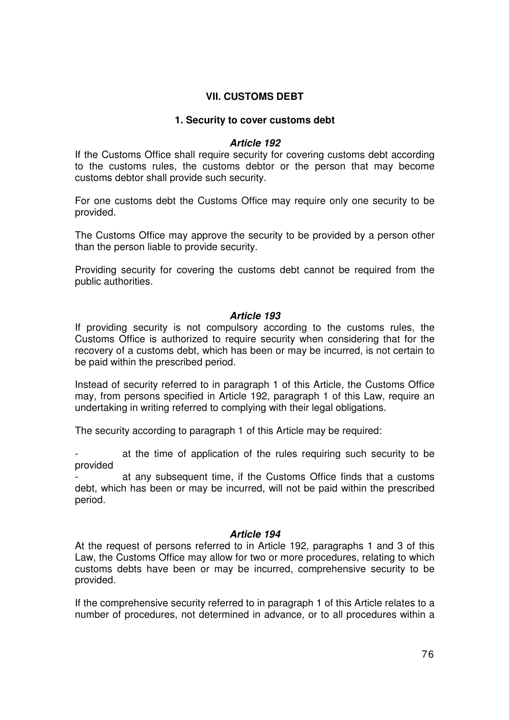# **VII. CUSTOMS DEBT**

## **1. Security to cover customs debt**

## **Article 192**

If the Customs Office shall require security for covering customs debt according to the customs rules, the customs debtor or the person that may become customs debtor shall provide such security.

For one customs debt the Customs Office may require only one security to be provided.

The Customs Office may approve the security to be provided by a person other than the person liable to provide security.

Providing security for covering the customs debt cannot be required from the public authorities.

## **Article 193**

If providing security is not compulsory according to the customs rules, the Customs Office is authorized to require security when considering that for the recovery of a customs debt, which has been or may be incurred, is not certain to be paid within the prescribed period.

Instead of security referred to in paragraph 1 of this Article, the Customs Office may, from persons specified in Article 192, paragraph 1 of this Law, require an undertaking in writing referred to complying with their legal obligations.

The security according to paragraph 1 of this Article may be required:

at the time of application of the rules requiring such security to be provided

at any subsequent time, if the Customs Office finds that a customs debt, which has been or may be incurred, will not be paid within the prescribed period.

# **Article 194**

At the request of persons referred to in Article 192, paragraphs 1 and 3 of this Law, the Customs Office may allow for two or more procedures, relating to which customs debts have been or may be incurred, comprehensive security to be provided.

If the comprehensive security referred to in paragraph 1 of this Article relates to a number of procedures, not determined in advance, or to all procedures within a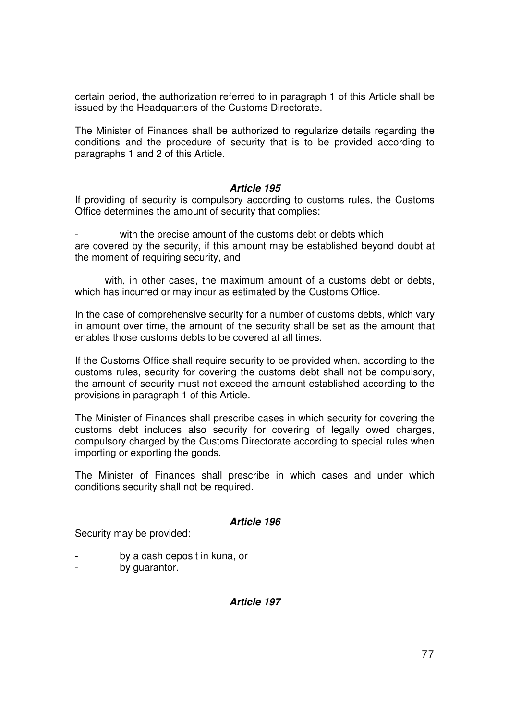certain period, the authorization referred to in paragraph 1 of this Article shall be issued by the Headquarters of the Customs Directorate.

The Minister of Finances shall be authorized to regularize details regarding the conditions and the procedure of security that is to be provided according to paragraphs 1 and 2 of this Article.

## **Article 195**

If providing of security is compulsory according to customs rules, the Customs Office determines the amount of security that complies:

with the precise amount of the customs debt or debts which are covered by the security, if this amount may be established beyond doubt at the moment of requiring security, and

 with, in other cases, the maximum amount of a customs debt or debts, which has incurred or may incur as estimated by the Customs Office.

In the case of comprehensive security for a number of customs debts, which vary in amount over time, the amount of the security shall be set as the amount that enables those customs debts to be covered at all times.

If the Customs Office shall require security to be provided when, according to the customs rules, security for covering the customs debt shall not be compulsory, the amount of security must not exceed the amount established according to the provisions in paragraph 1 of this Article.

The Minister of Finances shall prescribe cases in which security for covering the customs debt includes also security for covering of legally owed charges, compulsory charged by the Customs Directorate according to special rules when importing or exporting the goods.

The Minister of Finances shall prescribe in which cases and under which conditions security shall not be required.

# **Article 196**

Security may be provided:

- by a cash deposit in kuna, or
- by guarantor.

# **Article 197**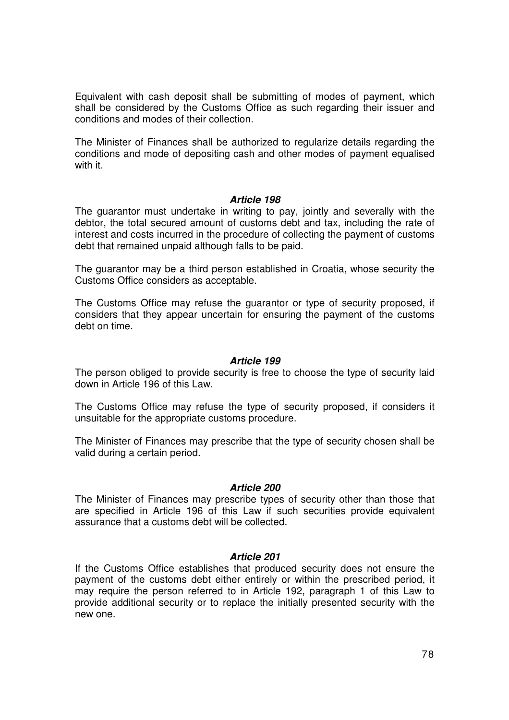Equivalent with cash deposit shall be submitting of modes of payment, which shall be considered by the Customs Office as such regarding their issuer and conditions and modes of their collection.

The Minister of Finances shall be authorized to regularize details regarding the conditions and mode of depositing cash and other modes of payment equalised with it.

## **Article 198**

The guarantor must undertake in writing to pay, jointly and severally with the debtor, the total secured amount of customs debt and tax, including the rate of interest and costs incurred in the procedure of collecting the payment of customs debt that remained unpaid although falls to be paid.

The guarantor may be a third person established in Croatia, whose security the Customs Office considers as acceptable.

The Customs Office may refuse the guarantor or type of security proposed, if considers that they appear uncertain for ensuring the payment of the customs debt on time.

## **Article 199**

The person obliged to provide security is free to choose the type of security laid down in Article 196 of this Law.

The Customs Office may refuse the type of security proposed, if considers it unsuitable for the appropriate customs procedure.

The Minister of Finances may prescribe that the type of security chosen shall be valid during a certain period.

#### **Article 200**

The Minister of Finances may prescribe types of security other than those that are specified in Article 196 of this Law if such securities provide equivalent assurance that a customs debt will be collected.

## **Article 201**

If the Customs Office establishes that produced security does not ensure the payment of the customs debt either entirely or within the prescribed period, it may require the person referred to in Article 192, paragraph 1 of this Law to provide additional security or to replace the initially presented security with the new one.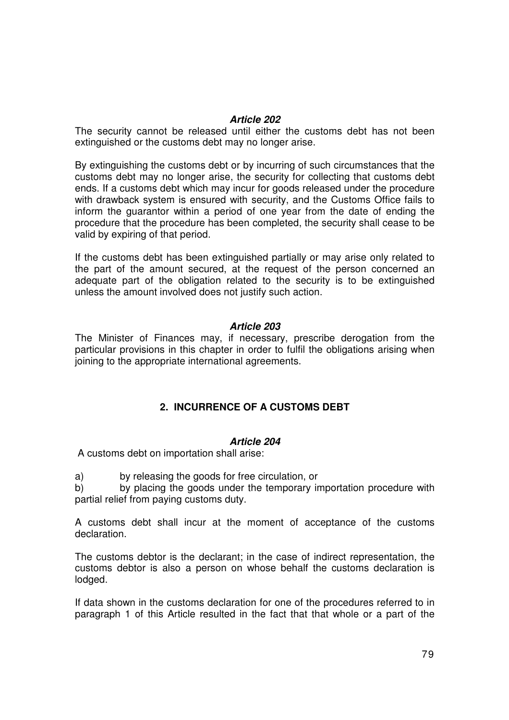## **Article 202**

The security cannot be released until either the customs debt has not been extinguished or the customs debt may no longer arise.

By extinguishing the customs debt or by incurring of such circumstances that the customs debt may no longer arise, the security for collecting that customs debt ends. If a customs debt which may incur for goods released under the procedure with drawback system is ensured with security, and the Customs Office fails to inform the guarantor within a period of one year from the date of ending the procedure that the procedure has been completed, the security shall cease to be valid by expiring of that period.

If the customs debt has been extinguished partially or may arise only related to the part of the amount secured, at the request of the person concerned an adequate part of the obligation related to the security is to be extinguished unless the amount involved does not justify such action.

## **Article 203**

The Minister of Finances may, if necessary, prescribe derogation from the particular provisions in this chapter in order to fulfil the obligations arising when joining to the appropriate international agreements.

# **2. INCURRENCE OF A CUSTOMS DEBT**

# **Article 204**

A customs debt on importation shall arise:

a) by releasing the goods for free circulation, or

b) by placing the goods under the temporary importation procedure with partial relief from paying customs duty.

A customs debt shall incur at the moment of acceptance of the customs declaration.

The customs debtor is the declarant; in the case of indirect representation, the customs debtor is also a person on whose behalf the customs declaration is lodged.

If data shown in the customs declaration for one of the procedures referred to in paragraph 1 of this Article resulted in the fact that that whole or a part of the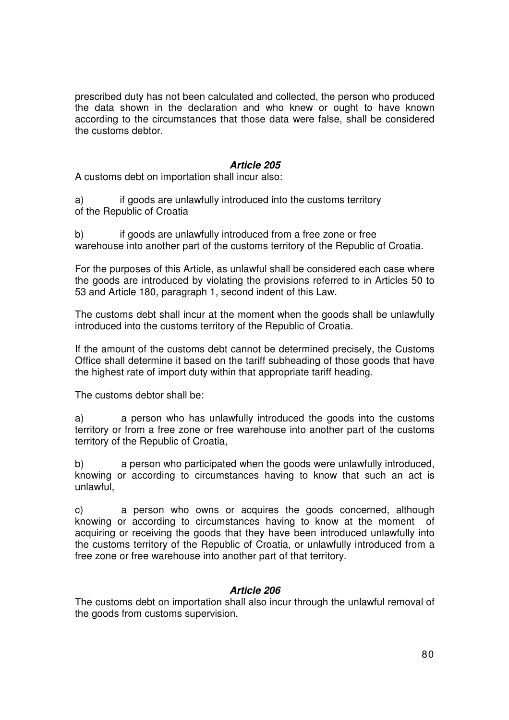prescribed duty has not been calculated and collected, the person who produced the data shown in the declaration and who knew or ought to have known according to the circumstances that those data were false, shall be considered the customs debtor.

# **Article 205**

A customs debt on importation shall incur also:

a) if goods are unlawfully introduced into the customs territory of the Republic of Croatia

b) if goods are unlawfully introduced from a free zone or free warehouse into another part of the customs territory of the Republic of Croatia.

For the purposes of this Article, as unlawful shall be considered each case where the goods are introduced by violating the provisions referred to in Articles 50 to 53 and Article 180, paragraph 1, second indent of this Law.

The customs debt shall incur at the moment when the goods shall be unlawfully introduced into the customs territory of the Republic of Croatia.

If the amount of the customs debt cannot be determined precisely, the Customs Office shall determine it based on the tariff subheading of those goods that have the highest rate of import duty within that appropriate tariff heading.

The customs debtor shall be:

a) a person who has unlawfully introduced the goods into the customs territory or from a free zone or free warehouse into another part of the customs territory of the Republic of Croatia,

b) a person who participated when the goods were unlawfully introduced, knowing or according to circumstances having to know that such an act is unlawful,

c) a person who owns or acquires the goods concerned, although knowing or according to circumstances having to know at the moment of acquiring or receiving the goods that they have been introduced unlawfully into the customs territory of the Republic of Croatia, or unlawfully introduced from a free zone or free warehouse into another part of that territory.

# **Article 206**

The customs debt on importation shall also incur through the unlawful removal of the goods from customs supervision.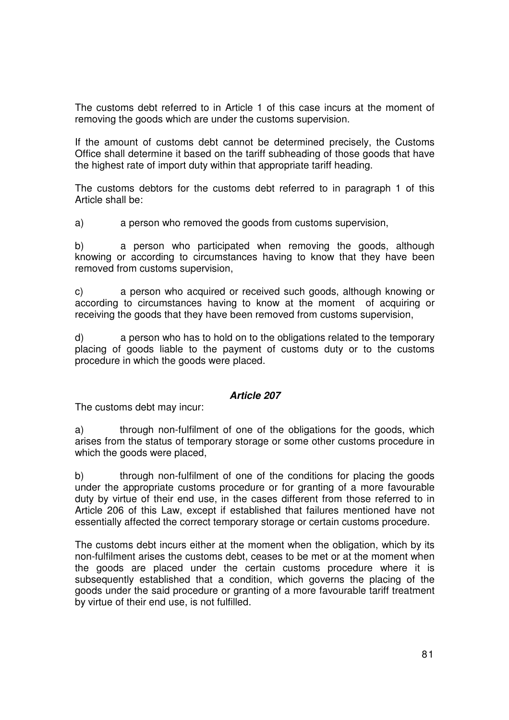The customs debt referred to in Article 1 of this case incurs at the moment of removing the goods which are under the customs supervision.

If the amount of customs debt cannot be determined precisely, the Customs Office shall determine it based on the tariff subheading of those goods that have the highest rate of import duty within that appropriate tariff heading.

The customs debtors for the customs debt referred to in paragraph 1 of this Article shall be:

a) a person who removed the goods from customs supervision,

b) a person who participated when removing the goods, although knowing or according to circumstances having to know that they have been removed from customs supervision,

c) a person who acquired or received such goods, although knowing or according to circumstances having to know at the moment of acquiring or receiving the goods that they have been removed from customs supervision,

d) a person who has to hold on to the obligations related to the temporary placing of goods liable to the payment of customs duty or to the customs procedure in which the goods were placed.

# **Article 207**

The customs debt may incur:

a) through non-fulfilment of one of the obligations for the goods, which arises from the status of temporary storage or some other customs procedure in which the goods were placed,

b) through non-fulfilment of one of the conditions for placing the goods under the appropriate customs procedure or for granting of a more favourable duty by virtue of their end use, in the cases different from those referred to in Article 206 of this Law, except if established that failures mentioned have not essentially affected the correct temporary storage or certain customs procedure.

The customs debt incurs either at the moment when the obligation, which by its non-fulfilment arises the customs debt, ceases to be met or at the moment when the goods are placed under the certain customs procedure where it is subsequently established that a condition, which governs the placing of the goods under the said procedure or granting of a more favourable tariff treatment by virtue of their end use, is not fulfilled.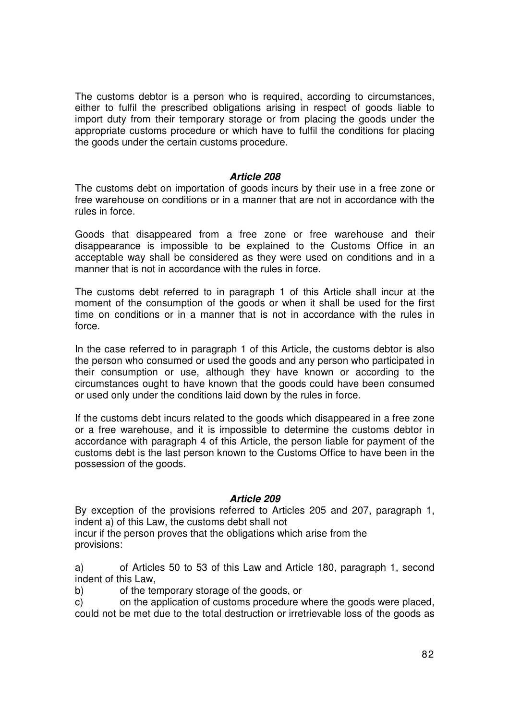The customs debtor is a person who is required, according to circumstances, either to fulfil the prescribed obligations arising in respect of goods liable to import duty from their temporary storage or from placing the goods under the appropriate customs procedure or which have to fulfil the conditions for placing the goods under the certain customs procedure.

## **Article 208**

The customs debt on importation of goods incurs by their use in a free zone or free warehouse on conditions or in a manner that are not in accordance with the rules in force.

Goods that disappeared from a free zone or free warehouse and their disappearance is impossible to be explained to the Customs Office in an acceptable way shall be considered as they were used on conditions and in a manner that is not in accordance with the rules in force.

The customs debt referred to in paragraph 1 of this Article shall incur at the moment of the consumption of the goods or when it shall be used for the first time on conditions or in a manner that is not in accordance with the rules in force.

In the case referred to in paragraph 1 of this Article, the customs debtor is also the person who consumed or used the goods and any person who participated in their consumption or use, although they have known or according to the circumstances ought to have known that the goods could have been consumed or used only under the conditions laid down by the rules in force.

If the customs debt incurs related to the goods which disappeared in a free zone or a free warehouse, and it is impossible to determine the customs debtor in accordance with paragraph 4 of this Article, the person liable for payment of the customs debt is the last person known to the Customs Office to have been in the possession of the goods.

## **Article 209**

By exception of the provisions referred to Articles 205 and 207, paragraph 1, indent a) of this Law, the customs debt shall not

incur if the person proves that the obligations which arise from the provisions:

a) of Articles 50 to 53 of this Law and Article 180, paragraph 1, second indent of this Law,

b) of the temporary storage of the goods, or

c) on the application of customs procedure where the goods were placed, could not be met due to the total destruction or irretrievable loss of the goods as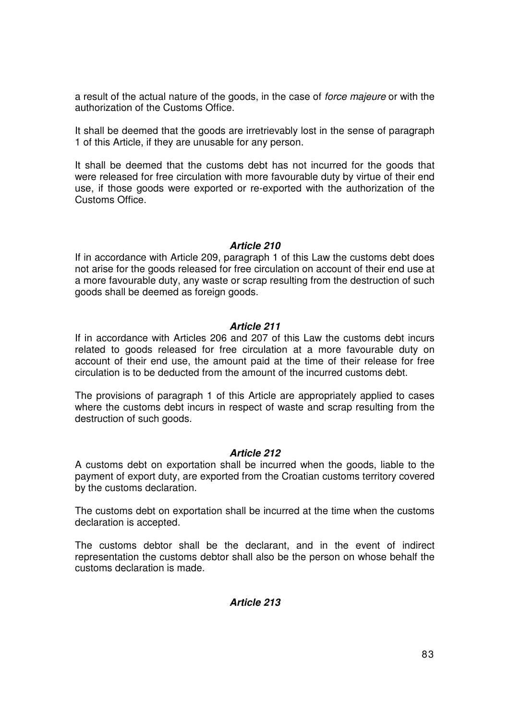a result of the actual nature of the goods, in the case of force majeure or with the authorization of the Customs Office.

It shall be deemed that the goods are irretrievably lost in the sense of paragraph 1 of this Article, if they are unusable for any person.

It shall be deemed that the customs debt has not incurred for the goods that were released for free circulation with more favourable duty by virtue of their end use, if those goods were exported or re-exported with the authorization of the Customs Office.

## **Article 210**

If in accordance with Article 209, paragraph 1 of this Law the customs debt does not arise for the goods released for free circulation on account of their end use at a more favourable duty, any waste or scrap resulting from the destruction of such goods shall be deemed as foreign goods.

## **Article 211**

If in accordance with Articles 206 and 207 of this Law the customs debt incurs related to goods released for free circulation at a more favourable duty on account of their end use, the amount paid at the time of their release for free circulation is to be deducted from the amount of the incurred customs debt.

The provisions of paragraph 1 of this Article are appropriately applied to cases where the customs debt incurs in respect of waste and scrap resulting from the destruction of such goods.

# **Article 212**

A customs debt on exportation shall be incurred when the goods, liable to the payment of export duty, are exported from the Croatian customs territory covered by the customs declaration.

The customs debt on exportation shall be incurred at the time when the customs declaration is accepted.

The customs debtor shall be the declarant, and in the event of indirect representation the customs debtor shall also be the person on whose behalf the customs declaration is made.

# **Article 213**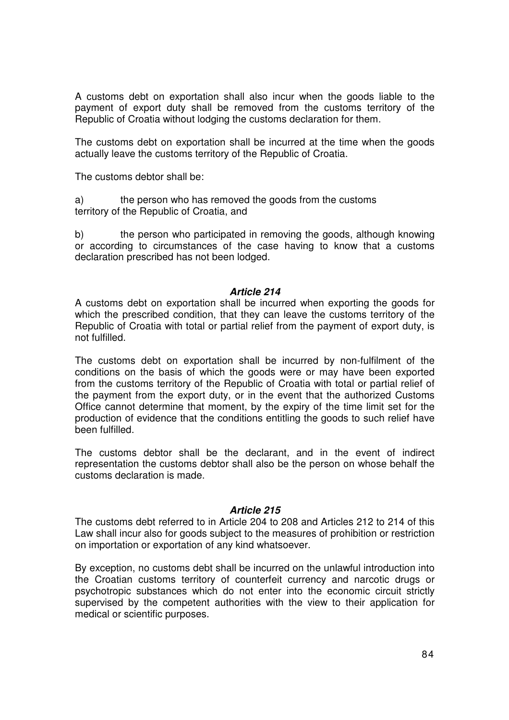A customs debt on exportation shall also incur when the goods liable to the payment of export duty shall be removed from the customs territory of the Republic of Croatia without lodging the customs declaration for them.

The customs debt on exportation shall be incurred at the time when the goods actually leave the customs territory of the Republic of Croatia.

The customs debtor shall be:

a) the person who has removed the goods from the customs territory of the Republic of Croatia, and

b) the person who participated in removing the goods, although knowing or according to circumstances of the case having to know that a customs declaration prescribed has not been lodged.

## **Article 214**

A customs debt on exportation shall be incurred when exporting the goods for which the prescribed condition, that they can leave the customs territory of the Republic of Croatia with total or partial relief from the payment of export duty, is not fulfilled.

The customs debt on exportation shall be incurred by non-fulfilment of the conditions on the basis of which the goods were or may have been exported from the customs territory of the Republic of Croatia with total or partial relief of the payment from the export duty, or in the event that the authorized Customs Office cannot determine that moment, by the expiry of the time limit set for the production of evidence that the conditions entitling the goods to such relief have been fulfilled.

The customs debtor shall be the declarant, and in the event of indirect representation the customs debtor shall also be the person on whose behalf the customs declaration is made.

## **Article 215**

The customs debt referred to in Article 204 to 208 and Articles 212 to 214 of this Law shall incur also for goods subject to the measures of prohibition or restriction on importation or exportation of any kind whatsoever.

By exception, no customs debt shall be incurred on the unlawful introduction into the Croatian customs territory of counterfeit currency and narcotic drugs or psychotropic substances which do not enter into the economic circuit strictly supervised by the competent authorities with the view to their application for medical or scientific purposes.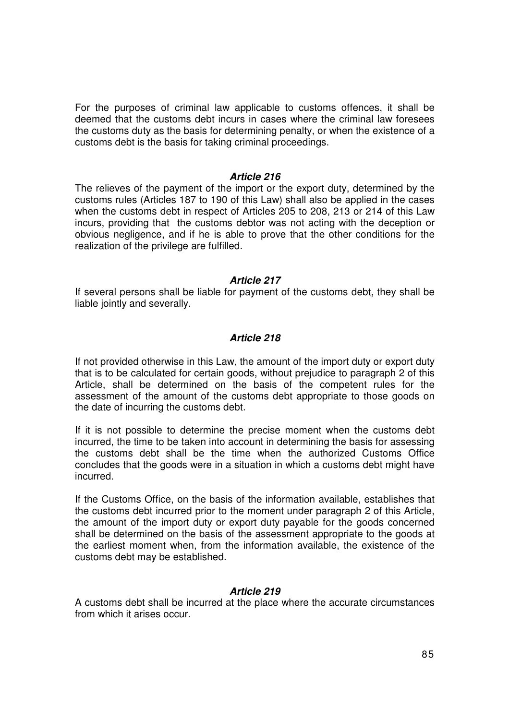For the purposes of criminal law applicable to customs offences, it shall be deemed that the customs debt incurs in cases where the criminal law foresees the customs duty as the basis for determining penalty, or when the existence of a customs debt is the basis for taking criminal proceedings.

## **Article 216**

The relieves of the payment of the import or the export duty, determined by the customs rules (Articles 187 to 190 of this Law) shall also be applied in the cases when the customs debt in respect of Articles 205 to 208, 213 or 214 of this Law incurs, providing that the customs debtor was not acting with the deception or obvious negligence, and if he is able to prove that the other conditions for the realization of the privilege are fulfilled.

#### **Article 217**

If several persons shall be liable for payment of the customs debt, they shall be liable jointly and severally.

## **Article 218**

If not provided otherwise in this Law, the amount of the import duty or export duty that is to be calculated for certain goods, without prejudice to paragraph 2 of this Article, shall be determined on the basis of the competent rules for the assessment of the amount of the customs debt appropriate to those goods on the date of incurring the customs debt.

If it is not possible to determine the precise moment when the customs debt incurred, the time to be taken into account in determining the basis for assessing the customs debt shall be the time when the authorized Customs Office concludes that the goods were in a situation in which a customs debt might have incurred.

If the Customs Office, on the basis of the information available, establishes that the customs debt incurred prior to the moment under paragraph 2 of this Article, the amount of the import duty or export duty payable for the goods concerned shall be determined on the basis of the assessment appropriate to the goods at the earliest moment when, from the information available, the existence of the customs debt may be established.

## **Article 219**

A customs debt shall be incurred at the place where the accurate circumstances from which it arises occur.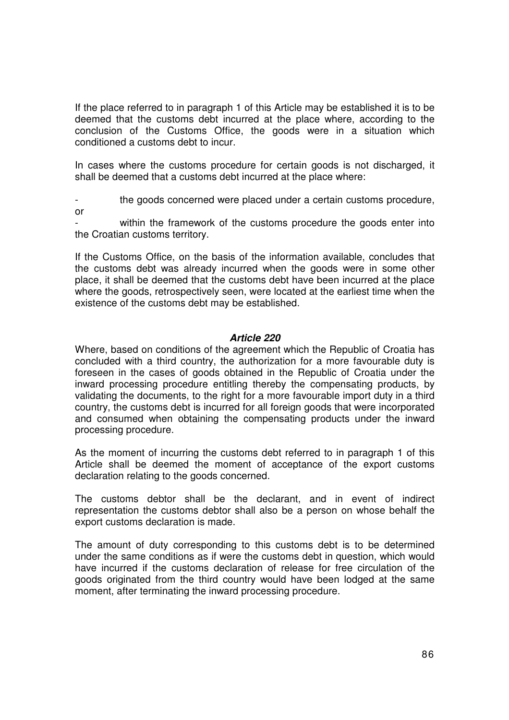If the place referred to in paragraph 1 of this Article may be established it is to be deemed that the customs debt incurred at the place where, according to the conclusion of the Customs Office, the goods were in a situation which conditioned a customs debt to incur.

In cases where the customs procedure for certain goods is not discharged, it shall be deemed that a customs debt incurred at the place where:

the goods concerned were placed under a certain customs procedure, or

within the framework of the customs procedure the goods enter into the Croatian customs territory.

If the Customs Office, on the basis of the information available, concludes that the customs debt was already incurred when the goods were in some other place, it shall be deemed that the customs debt have been incurred at the place where the goods, retrospectively seen, were located at the earliest time when the existence of the customs debt may be established.

## **Article 220**

Where, based on conditions of the agreement which the Republic of Croatia has concluded with a third country, the authorization for a more favourable duty is foreseen in the cases of goods obtained in the Republic of Croatia under the inward processing procedure entitling thereby the compensating products, by validating the documents, to the right for a more favourable import duty in a third country, the customs debt is incurred for all foreign goods that were incorporated and consumed when obtaining the compensating products under the inward processing procedure.

As the moment of incurring the customs debt referred to in paragraph 1 of this Article shall be deemed the moment of acceptance of the export customs declaration relating to the goods concerned.

The customs debtor shall be the declarant, and in event of indirect representation the customs debtor shall also be a person on whose behalf the export customs declaration is made.

The amount of duty corresponding to this customs debt is to be determined under the same conditions as if were the customs debt in question, which would have incurred if the customs declaration of release for free circulation of the goods originated from the third country would have been lodged at the same moment, after terminating the inward processing procedure.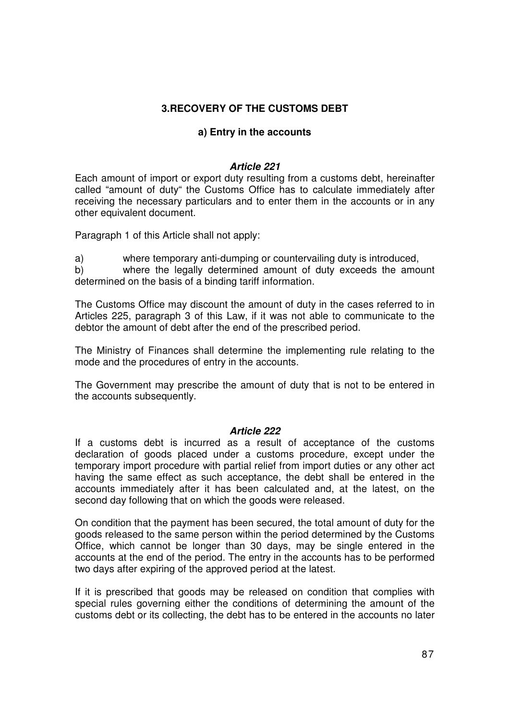# **3.RECOVERY OF THE CUSTOMS DEBT**

# **a) Entry in the accounts**

# **Article 221**

Each amount of import or export duty resulting from a customs debt, hereinafter called "amount of duty" the Customs Office has to calculate immediately after receiving the necessary particulars and to enter them in the accounts or in any other equivalent document.

Paragraph 1 of this Article shall not apply:

a) where temporary anti-dumping or countervailing duty is introduced,

b) where the legally determined amount of duty exceeds the amount determined on the basis of a binding tariff information.

The Customs Office may discount the amount of duty in the cases referred to in Articles 225, paragraph 3 of this Law, if it was not able to communicate to the debtor the amount of debt after the end of the prescribed period.

The Ministry of Finances shall determine the implementing rule relating to the mode and the procedures of entry in the accounts.

The Government may prescribe the amount of duty that is not to be entered in the accounts subsequently.

## **Article 222**

If a customs debt is incurred as a result of acceptance of the customs declaration of goods placed under a customs procedure, except under the temporary import procedure with partial relief from import duties or any other act having the same effect as such acceptance, the debt shall be entered in the accounts immediately after it has been calculated and, at the latest, on the second day following that on which the goods were released.

On condition that the payment has been secured, the total amount of duty for the goods released to the same person within the period determined by the Customs Office, which cannot be longer than 30 days, may be single entered in the accounts at the end of the period. The entry in the accounts has to be performed two days after expiring of the approved period at the latest.

If it is prescribed that goods may be released on condition that complies with special rules governing either the conditions of determining the amount of the customs debt or its collecting, the debt has to be entered in the accounts no later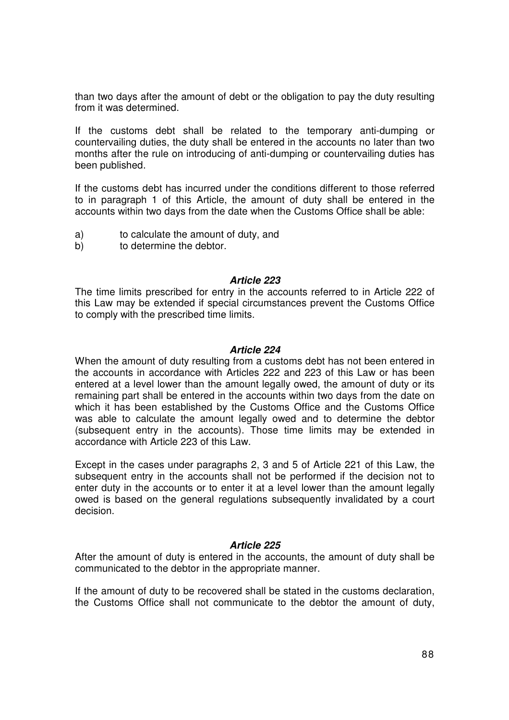than two days after the amount of debt or the obligation to pay the duty resulting from it was determined.

If the customs debt shall be related to the temporary anti-dumping or countervailing duties, the duty shall be entered in the accounts no later than two months after the rule on introducing of anti-dumping or countervailing duties has been published.

If the customs debt has incurred under the conditions different to those referred to in paragraph 1 of this Article, the amount of duty shall be entered in the accounts within two days from the date when the Customs Office shall be able:

- a) to calculate the amount of duty, and
- b) to determine the debtor.

## **Article 223**

The time limits prescribed for entry in the accounts referred to in Article 222 of this Law may be extended if special circumstances prevent the Customs Office to comply with the prescribed time limits.

## **Article 224**

When the amount of duty resulting from a customs debt has not been entered in the accounts in accordance with Articles 222 and 223 of this Law or has been entered at a level lower than the amount legally owed, the amount of duty or its remaining part shall be entered in the accounts within two days from the date on which it has been established by the Customs Office and the Customs Office was able to calculate the amount legally owed and to determine the debtor (subsequent entry in the accounts). Those time limits may be extended in accordance with Article 223 of this Law.

Except in the cases under paragraphs 2, 3 and 5 of Article 221 of this Law, the subsequent entry in the accounts shall not be performed if the decision not to enter duty in the accounts or to enter it at a level lower than the amount legally owed is based on the general regulations subsequently invalidated by a court decision.

## **Article 225**

After the amount of duty is entered in the accounts, the amount of duty shall be communicated to the debtor in the appropriate manner.

If the amount of duty to be recovered shall be stated in the customs declaration, the Customs Office shall not communicate to the debtor the amount of duty,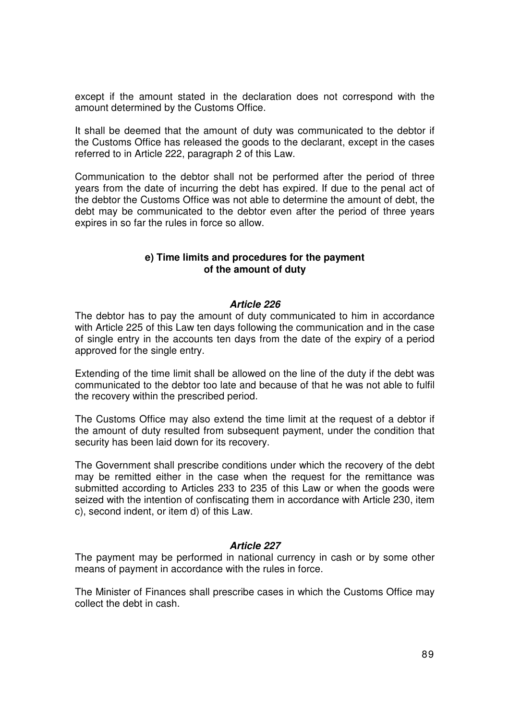except if the amount stated in the declaration does not correspond with the amount determined by the Customs Office.

It shall be deemed that the amount of duty was communicated to the debtor if the Customs Office has released the goods to the declarant, except in the cases referred to in Article 222, paragraph 2 of this Law.

Communication to the debtor shall not be performed after the period of three years from the date of incurring the debt has expired. If due to the penal act of the debtor the Customs Office was not able to determine the amount of debt, the debt may be communicated to the debtor even after the period of three years expires in so far the rules in force so allow.

## **e) Time limits and procedures for the payment of the amount of duty**

## **Article 226**

The debtor has to pay the amount of duty communicated to him in accordance with Article 225 of this Law ten days following the communication and in the case of single entry in the accounts ten days from the date of the expiry of a period approved for the single entry.

Extending of the time limit shall be allowed on the line of the duty if the debt was communicated to the debtor too late and because of that he was not able to fulfil the recovery within the prescribed period.

The Customs Office may also extend the time limit at the request of a debtor if the amount of duty resulted from subsequent payment, under the condition that security has been laid down for its recovery.

The Government shall prescribe conditions under which the recovery of the debt may be remitted either in the case when the request for the remittance was submitted according to Articles 233 to 235 of this Law or when the goods were seized with the intention of confiscating them in accordance with Article 230, item c), second indent, or item d) of this Law.

## **Article 227**

The payment may be performed in national currency in cash or by some other means of payment in accordance with the rules in force.

The Minister of Finances shall prescribe cases in which the Customs Office may collect the debt in cash.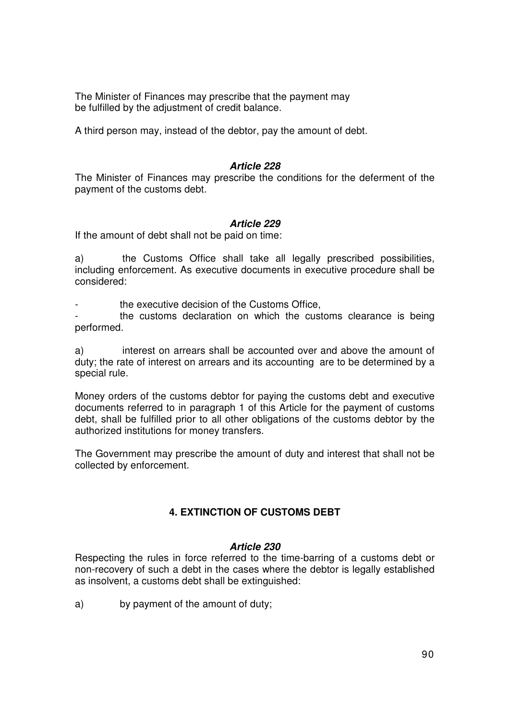The Minister of Finances may prescribe that the payment may be fulfilled by the adjustment of credit balance.

A third person may, instead of the debtor, pay the amount of debt.

## **Article 228**

The Minister of Finances may prescribe the conditions for the deferment of the payment of the customs debt.

## **Article 229**

If the amount of debt shall not be paid on time:

a) the Customs Office shall take all legally prescribed possibilities, including enforcement. As executive documents in executive procedure shall be considered:

the executive decision of the Customs Office,

the customs declaration on which the customs clearance is being performed.

a) interest on arrears shall be accounted over and above the amount of duty; the rate of interest on arrears and its accounting are to be determined by a special rule.

Money orders of the customs debtor for paying the customs debt and executive documents referred to in paragraph 1 of this Article for the payment of customs debt, shall be fulfilled prior to all other obligations of the customs debtor by the authorized institutions for money transfers.

The Government may prescribe the amount of duty and interest that shall not be collected by enforcement.

# **4. EXTINCTION OF CUSTOMS DEBT**

## **Article 230**

Respecting the rules in force referred to the time-barring of a customs debt or non-recovery of such a debt in the cases where the debtor is legally established as insolvent, a customs debt shall be extinguished:

a) by payment of the amount of duty;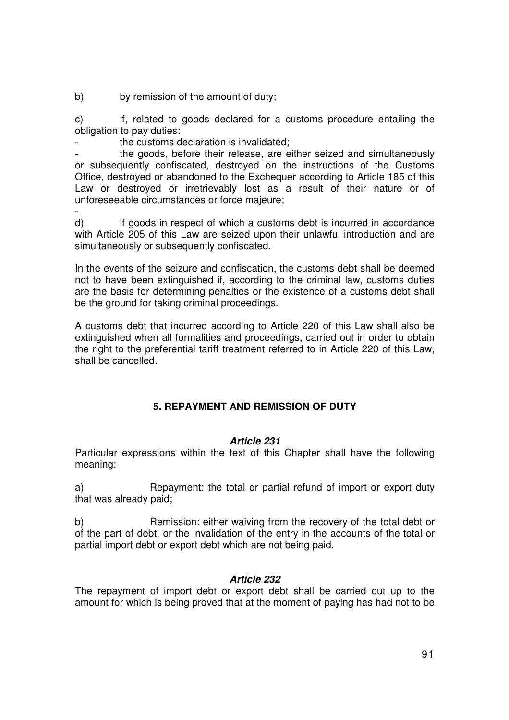b) by remission of the amount of duty;

c) if, related to goods declared for a customs procedure entailing the obligation to pay duties:

the customs declaration is invalidated:

the goods, before their release, are either seized and simultaneously or subsequently confiscated, destroyed on the instructions of the Customs Office, destroyed or abandoned to the Exchequer according to Article 185 of this Law or destroyed or irretrievably lost as a result of their nature or of unforeseeable circumstances or force majeure;

 d) if goods in respect of which a customs debt is incurred in accordance with Article 205 of this Law are seized upon their unlawful introduction and are simultaneously or subsequently confiscated.

In the events of the seizure and confiscation, the customs debt shall be deemed not to have been extinguished if, according to the criminal law, customs duties are the basis for determining penalties or the existence of a customs debt shall be the ground for taking criminal proceedings.

A customs debt that incurred according to Article 220 of this Law shall also be extinguished when all formalities and proceedings, carried out in order to obtain the right to the preferential tariff treatment referred to in Article 220 of this Law, shall be cancelled.

# **5. REPAYMENT AND REMISSION OF DUTY**

# **Article 231**

Particular expressions within the text of this Chapter shall have the following meaning:

a) Repayment: the total or partial refund of import or export duty that was already paid;

b) Remission: either waiving from the recovery of the total debt or of the part of debt, or the invalidation of the entry in the accounts of the total or partial import debt or export debt which are not being paid.

## **Article 232**

The repayment of import debt or export debt shall be carried out up to the amount for which is being proved that at the moment of paying has had not to be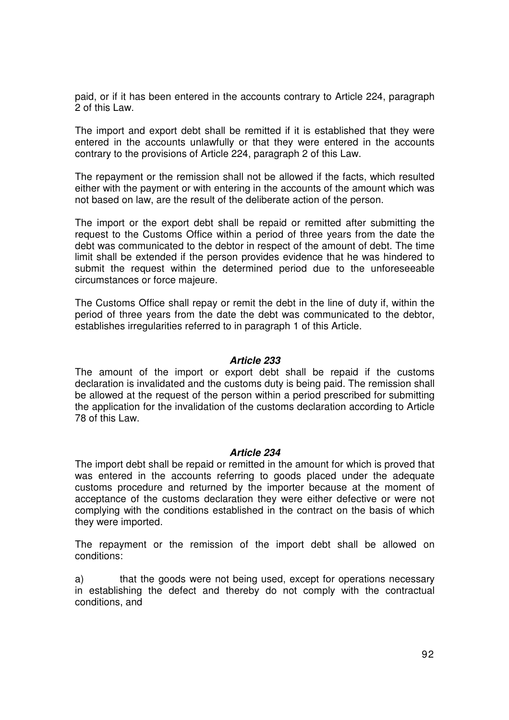paid, or if it has been entered in the accounts contrary to Article 224, paragraph 2 of this Law.

The import and export debt shall be remitted if it is established that they were entered in the accounts unlawfully or that they were entered in the accounts contrary to the provisions of Article 224, paragraph 2 of this Law.

The repayment or the remission shall not be allowed if the facts, which resulted either with the payment or with entering in the accounts of the amount which was not based on law, are the result of the deliberate action of the person.

The import or the export debt shall be repaid or remitted after submitting the request to the Customs Office within a period of three years from the date the debt was communicated to the debtor in respect of the amount of debt. The time limit shall be extended if the person provides evidence that he was hindered to submit the request within the determined period due to the unforeseeable circumstances or force majeure.

The Customs Office shall repay or remit the debt in the line of duty if, within the period of three years from the date the debt was communicated to the debtor, establishes irregularities referred to in paragraph 1 of this Article.

## **Article 233**

The amount of the import or export debt shall be repaid if the customs declaration is invalidated and the customs duty is being paid. The remission shall be allowed at the request of the person within a period prescribed for submitting the application for the invalidation of the customs declaration according to Article 78 of this Law.

#### **Article 234**

The import debt shall be repaid or remitted in the amount for which is proved that was entered in the accounts referring to goods placed under the adequate customs procedure and returned by the importer because at the moment of acceptance of the customs declaration they were either defective or were not complying with the conditions established in the contract on the basis of which they were imported.

The repayment or the remission of the import debt shall be allowed on conditions:

a) that the goods were not being used, except for operations necessary in establishing the defect and thereby do not comply with the contractual conditions, and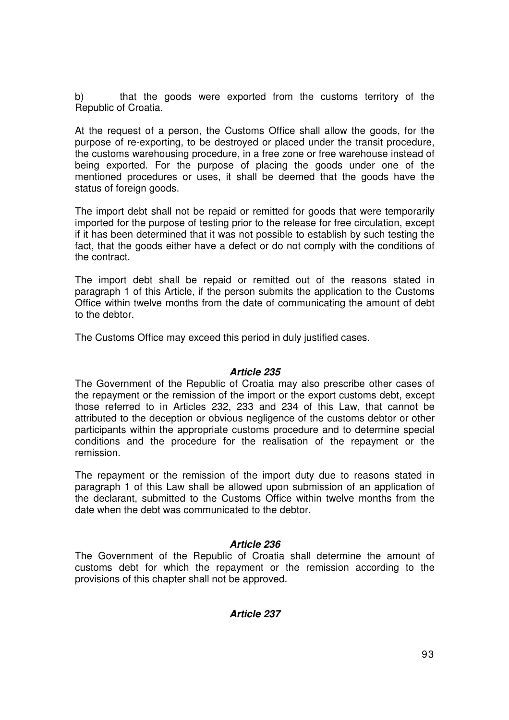b) that the goods were exported from the customs territory of the Republic of Croatia.

At the request of a person, the Customs Office shall allow the goods, for the purpose of re-exporting, to be destroyed or placed under the transit procedure, the customs warehousing procedure, in a free zone or free warehouse instead of being exported. For the purpose of placing the goods under one of the mentioned procedures or uses, it shall be deemed that the goods have the status of foreign goods.

The import debt shall not be repaid or remitted for goods that were temporarily imported for the purpose of testing prior to the release for free circulation, except if it has been determined that it was not possible to establish by such testing the fact, that the goods either have a defect or do not comply with the conditions of the contract.

The import debt shall be repaid or remitted out of the reasons stated in paragraph 1 of this Article, if the person submits the application to the Customs Office within twelve months from the date of communicating the amount of debt to the debtor.

The Customs Office may exceed this period in duly justified cases.

## **Article 235**

The Government of the Republic of Croatia may also prescribe other cases of the repayment or the remission of the import or the export customs debt, except those referred to in Articles 232, 233 and 234 of this Law, that cannot be attributed to the deception or obvious negligence of the customs debtor or other participants within the appropriate customs procedure and to determine special conditions and the procedure for the realisation of the repayment or the remission.

The repayment or the remission of the import duty due to reasons stated in paragraph 1 of this Law shall be allowed upon submission of an application of the declarant, submitted to the Customs Office within twelve months from the date when the debt was communicated to the debtor.

# **Article 236**

The Government of the Republic of Croatia shall determine the amount of customs debt for which the repayment or the remission according to the provisions of this chapter shall not be approved.

# **Article 237**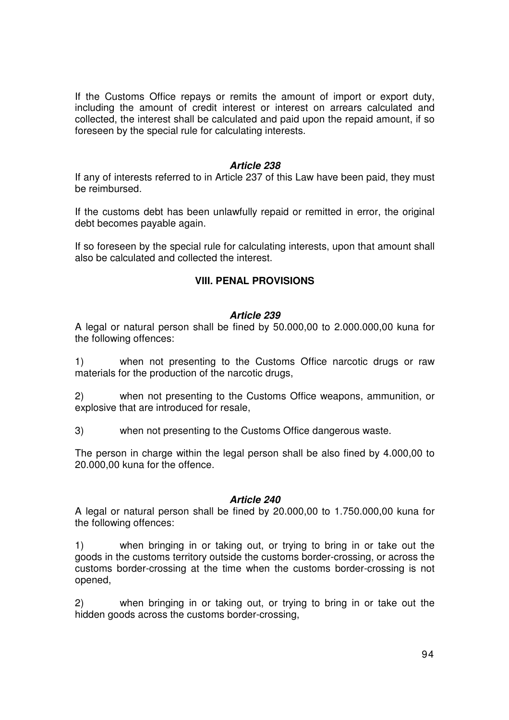If the Customs Office repays or remits the amount of import or export duty, including the amount of credit interest or interest on arrears calculated and collected, the interest shall be calculated and paid upon the repaid amount, if so foreseen by the special rule for calculating interests.

## **Article 238**

If any of interests referred to in Article 237 of this Law have been paid, they must be reimbursed.

If the customs debt has been unlawfully repaid or remitted in error, the original debt becomes payable again.

If so foreseen by the special rule for calculating interests, upon that amount shall also be calculated and collected the interest.

# **VIII. PENAL PROVISIONS**

## **Article 239**

A legal or natural person shall be fined by 50.000,00 to 2.000.000,00 kuna for the following offences:

1) when not presenting to the Customs Office narcotic drugs or raw materials for the production of the narcotic drugs,

2) when not presenting to the Customs Office weapons, ammunition, or explosive that are introduced for resale,

3) when not presenting to the Customs Office dangerous waste.

The person in charge within the legal person shall be also fined by 4.000,00 to 20.000,00 kuna for the offence.

# **Article 240**

A legal or natural person shall be fined by 20.000,00 to 1.750.000,00 kuna for the following offences:

1) when bringing in or taking out, or trying to bring in or take out the goods in the customs territory outside the customs border-crossing, or across the customs border-crossing at the time when the customs border-crossing is not opened,

2) when bringing in or taking out, or trying to bring in or take out the hidden goods across the customs border-crossing,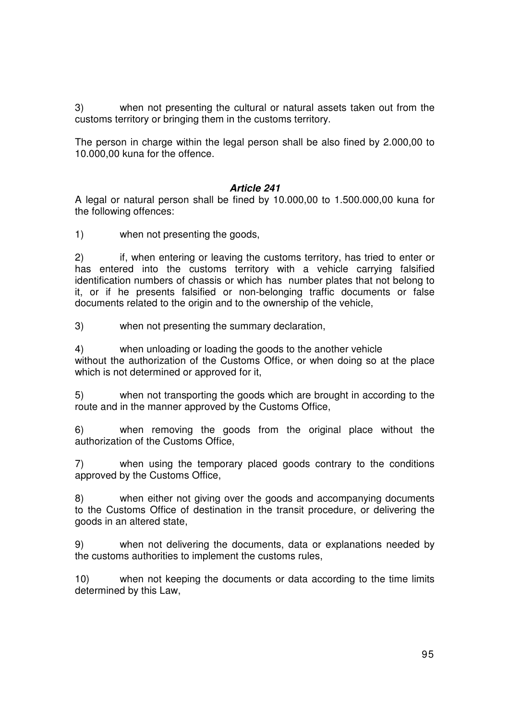3) when not presenting the cultural or natural assets taken out from the customs territory or bringing them in the customs territory.

The person in charge within the legal person shall be also fined by 2.000,00 to 10.000,00 kuna for the offence.

# **Article 241**

A legal or natural person shall be fined by 10.000,00 to 1.500.000,00 kuna for the following offences:

1) when not presenting the goods,

2) if, when entering or leaving the customs territory, has tried to enter or has entered into the customs territory with a vehicle carrying falsified identification numbers of chassis or which has number plates that not belong to it, or if he presents falsified or non-belonging traffic documents or false documents related to the origin and to the ownership of the vehicle,

3) when not presenting the summary declaration,

4) when unloading or loading the goods to the another vehicle without the authorization of the Customs Office, or when doing so at the place which is not determined or approved for it,

5) when not transporting the goods which are brought in according to the route and in the manner approved by the Customs Office,

6) when removing the goods from the original place without the authorization of the Customs Office,

7) when using the temporary placed goods contrary to the conditions approved by the Customs Office,

8) when either not giving over the goods and accompanying documents to the Customs Office of destination in the transit procedure, or delivering the goods in an altered state,

9) when not delivering the documents, data or explanations needed by the customs authorities to implement the customs rules,

10) when not keeping the documents or data according to the time limits determined by this Law,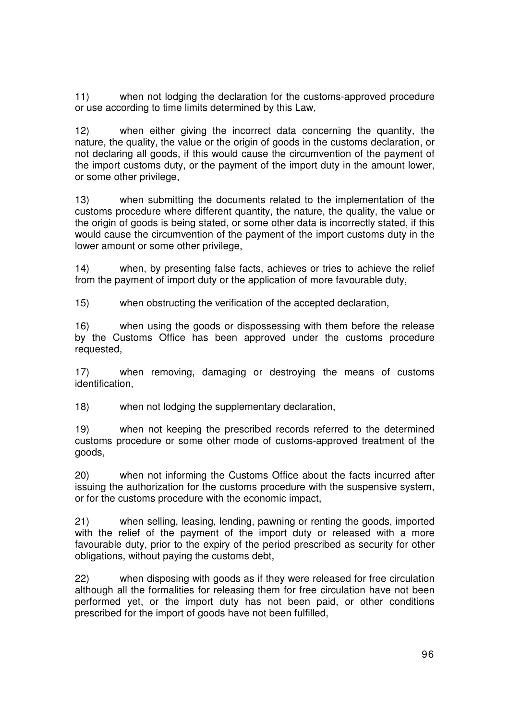11) when not lodging the declaration for the customs-approved procedure or use according to time limits determined by this Law,

12) when either giving the incorrect data concerning the quantity, the nature, the quality, the value or the origin of goods in the customs declaration, or not declaring all goods, if this would cause the circumvention of the payment of the import customs duty, or the payment of the import duty in the amount lower, or some other privilege,

13) when submitting the documents related to the implementation of the customs procedure where different quantity, the nature, the quality, the value or the origin of goods is being stated, or some other data is incorrectly stated, if this would cause the circumvention of the payment of the import customs duty in the lower amount or some other privilege,

14) when, by presenting false facts, achieves or tries to achieve the relief from the payment of import duty or the application of more favourable duty,

15) when obstructing the verification of the accepted declaration,

16) when using the goods or dispossessing with them before the release by the Customs Office has been approved under the customs procedure requested,

17) when removing, damaging or destroying the means of customs identification,

18) when not lodging the supplementary declaration,

19) when not keeping the prescribed records referred to the determined customs procedure or some other mode of customs-approved treatment of the goods,

20) when not informing the Customs Office about the facts incurred after issuing the authorization for the customs procedure with the suspensive system, or for the customs procedure with the economic impact,

21) when selling, leasing, lending, pawning or renting the goods, imported with the relief of the payment of the import duty or released with a more favourable duty, prior to the expiry of the period prescribed as security for other obligations, without paying the customs debt,

22) when disposing with goods as if they were released for free circulation although all the formalities for releasing them for free circulation have not been performed yet, or the import duty has not been paid, or other conditions prescribed for the import of goods have not been fulfilled,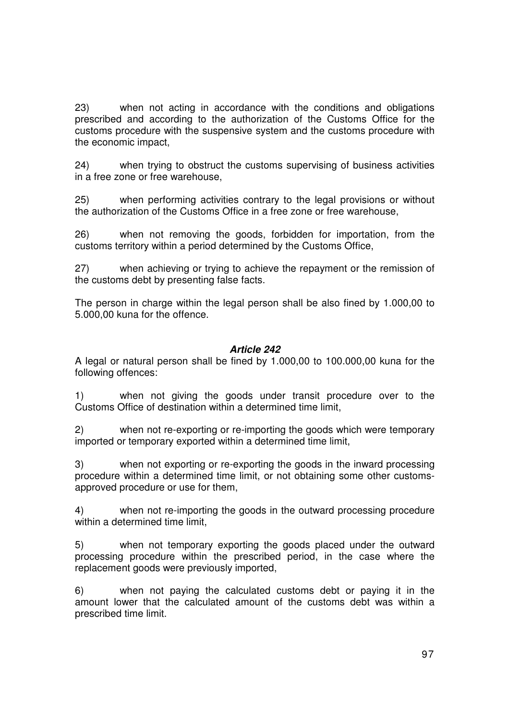23) when not acting in accordance with the conditions and obligations prescribed and according to the authorization of the Customs Office for the customs procedure with the suspensive system and the customs procedure with the economic impact,

24) when trying to obstruct the customs supervising of business activities in a free zone or free warehouse,

25) when performing activities contrary to the legal provisions or without the authorization of the Customs Office in a free zone or free warehouse,

26) when not removing the goods, forbidden for importation, from the customs territory within a period determined by the Customs Office,

27) when achieving or trying to achieve the repayment or the remission of the customs debt by presenting false facts.

The person in charge within the legal person shall be also fined by 1.000,00 to 5.000,00 kuna for the offence.

# **Article 242**

A legal or natural person shall be fined by 1.000,00 to 100.000,00 kuna for the following offences:

1) when not giving the goods under transit procedure over to the Customs Office of destination within a determined time limit,

2) when not re-exporting or re-importing the goods which were temporary imported or temporary exported within a determined time limit,

3) when not exporting or re-exporting the goods in the inward processing procedure within a determined time limit, or not obtaining some other customsapproved procedure or use for them,

4) when not re-importing the goods in the outward processing procedure within a determined time limit.

5) when not temporary exporting the goods placed under the outward processing procedure within the prescribed period, in the case where the replacement goods were previously imported,

6) when not paying the calculated customs debt or paying it in the amount lower that the calculated amount of the customs debt was within a prescribed time limit.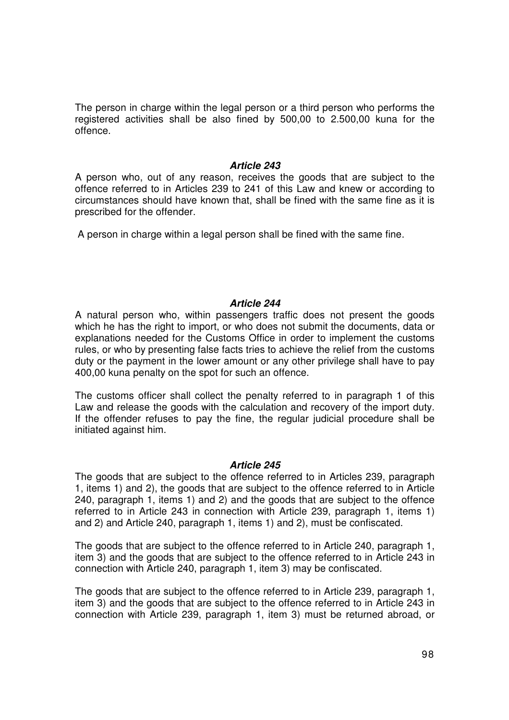The person in charge within the legal person or a third person who performs the registered activities shall be also fined by 500,00 to 2.500,00 kuna for the offence.

## **Article 243**

A person who, out of any reason, receives the goods that are subject to the offence referred to in Articles 239 to 241 of this Law and knew or according to circumstances should have known that, shall be fined with the same fine as it is prescribed for the offender.

A person in charge within a legal person shall be fined with the same fine.

# **Article 244**

A natural person who, within passengers traffic does not present the goods which he has the right to import, or who does not submit the documents, data or explanations needed for the Customs Office in order to implement the customs rules, or who by presenting false facts tries to achieve the relief from the customs duty or the payment in the lower amount or any other privilege shall have to pay 400,00 kuna penalty on the spot for such an offence.

The customs officer shall collect the penalty referred to in paragraph 1 of this Law and release the goods with the calculation and recovery of the import duty. If the offender refuses to pay the fine, the regular judicial procedure shall be initiated against him.

## **Article 245**

The goods that are subject to the offence referred to in Articles 239, paragraph 1, items 1) and 2), the goods that are subject to the offence referred to in Article 240, paragraph 1, items 1) and 2) and the goods that are subject to the offence referred to in Article 243 in connection with Article 239, paragraph 1, items 1) and 2) and Article 240, paragraph 1, items 1) and 2), must be confiscated.

The goods that are subject to the offence referred to in Article 240, paragraph 1, item 3) and the goods that are subject to the offence referred to in Article 243 in connection with Article 240, paragraph 1, item 3) may be confiscated.

The goods that are subject to the offence referred to in Article 239, paragraph 1, item 3) and the goods that are subject to the offence referred to in Article 243 in connection with Article 239, paragraph 1, item 3) must be returned abroad, or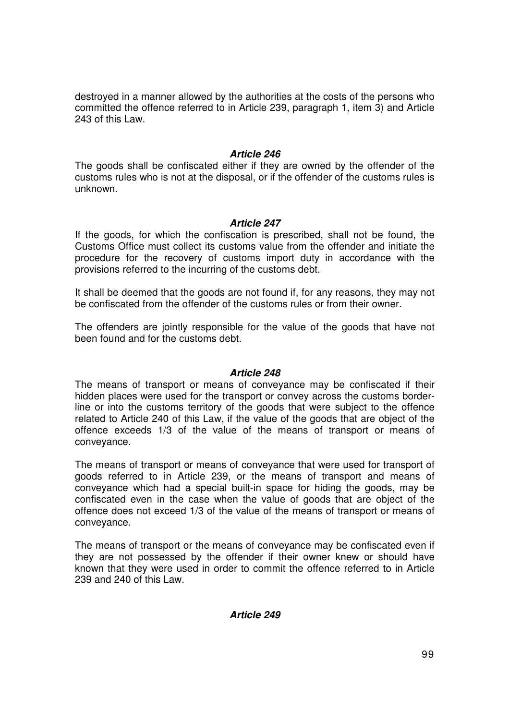destroyed in a manner allowed by the authorities at the costs of the persons who committed the offence referred to in Article 239, paragraph 1, item 3) and Article 243 of this Law.

## **Article 246**

The goods shall be confiscated either if they are owned by the offender of the customs rules who is not at the disposal, or if the offender of the customs rules is unknown.

## **Article 247**

If the goods, for which the confiscation is prescribed, shall not be found, the Customs Office must collect its customs value from the offender and initiate the procedure for the recovery of customs import duty in accordance with the provisions referred to the incurring of the customs debt.

It shall be deemed that the goods are not found if, for any reasons, they may not be confiscated from the offender of the customs rules or from their owner.

The offenders are jointly responsible for the value of the goods that have not been found and for the customs debt.

## **Article 248**

The means of transport or means of conveyance may be confiscated if their hidden places were used for the transport or convey across the customs borderline or into the customs territory of the goods that were subject to the offence related to Article 240 of this Law, if the value of the goods that are object of the offence exceeds 1/3 of the value of the means of transport or means of conveyance.

The means of transport or means of conveyance that were used for transport of goods referred to in Article 239, or the means of transport and means of conveyance which had a special built-in space for hiding the goods, may be confiscated even in the case when the value of goods that are object of the offence does not exceed 1/3 of the value of the means of transport or means of conveyance.

The means of transport or the means of conveyance may be confiscated even if they are not possessed by the offender if their owner knew or should have known that they were used in order to commit the offence referred to in Article 239 and 240 of this Law.

# **Article 249**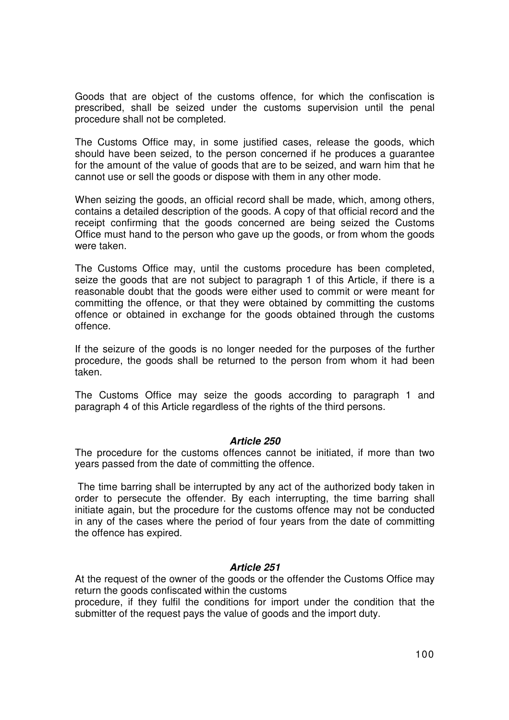Goods that are object of the customs offence, for which the confiscation is prescribed, shall be seized under the customs supervision until the penal procedure shall not be completed.

The Customs Office may, in some justified cases, release the goods, which should have been seized, to the person concerned if he produces a guarantee for the amount of the value of goods that are to be seized, and warn him that he cannot use or sell the goods or dispose with them in any other mode.

When seizing the goods, an official record shall be made, which, among others, contains a detailed description of the goods. A copy of that official record and the receipt confirming that the goods concerned are being seized the Customs Office must hand to the person who gave up the goods, or from whom the goods were taken.

The Customs Office may, until the customs procedure has been completed, seize the goods that are not subject to paragraph 1 of this Article, if there is a reasonable doubt that the goods were either used to commit or were meant for committing the offence, or that they were obtained by committing the customs offence or obtained in exchange for the goods obtained through the customs offence.

If the seizure of the goods is no longer needed for the purposes of the further procedure, the goods shall be returned to the person from whom it had been taken.

The Customs Office may seize the goods according to paragraph 1 and paragraph 4 of this Article regardless of the rights of the third persons.

## **Article 250**

The procedure for the customs offences cannot be initiated, if more than two years passed from the date of committing the offence.

 The time barring shall be interrupted by any act of the authorized body taken in order to persecute the offender. By each interrupting, the time barring shall initiate again, but the procedure for the customs offence may not be conducted in any of the cases where the period of four years from the date of committing the offence has expired.

## **Article 251**

At the request of the owner of the goods or the offender the Customs Office may return the goods confiscated within the customs

procedure, if they fulfil the conditions for import under the condition that the submitter of the request pays the value of goods and the import duty.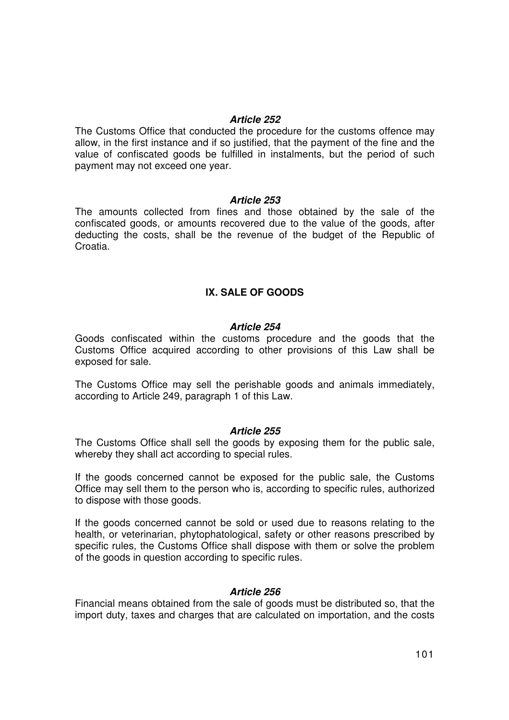#### **Article 252**

The Customs Office that conducted the procedure for the customs offence may allow, in the first instance and if so justified, that the payment of the fine and the value of confiscated goods be fulfilled in instalments, but the period of such payment may not exceed one year.

## **Article 253**

The amounts collected from fines and those obtained by the sale of the confiscated goods, or amounts recovered due to the value of the goods, after deducting the costs, shall be the revenue of the budget of the Republic of Croatia.

## **IX. SALE OF GOODS**

#### **Article 254**

Goods confiscated within the customs procedure and the goods that the Customs Office acquired according to other provisions of this Law shall be exposed for sale.

The Customs Office may sell the perishable goods and animals immediately, according to Article 249, paragraph 1 of this Law.

#### **Article 255**

The Customs Office shall sell the goods by exposing them for the public sale, whereby they shall act according to special rules.

If the goods concerned cannot be exposed for the public sale, the Customs Office may sell them to the person who is, according to specific rules, authorized to dispose with those goods.

If the goods concerned cannot be sold or used due to reasons relating to the health, or veterinarian, phytophatological, safety or other reasons prescribed by specific rules, the Customs Office shall dispose with them or solve the problem of the goods in question according to specific rules.

## **Article 256**

Financial means obtained from the sale of goods must be distributed so, that the import duty, taxes and charges that are calculated on importation, and the costs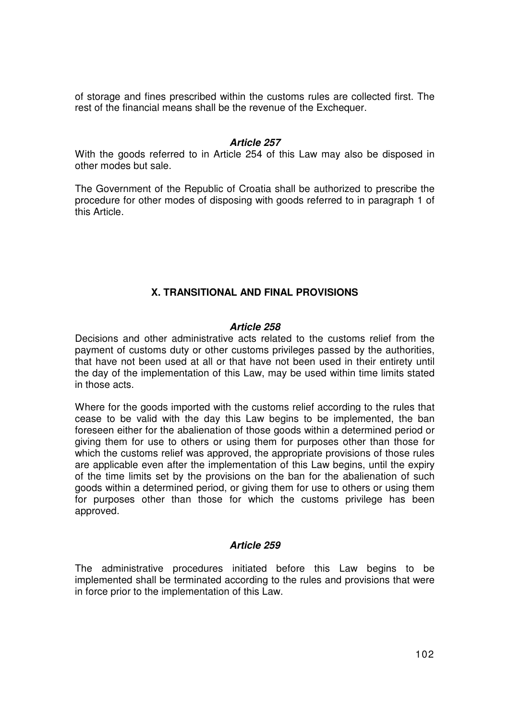of storage and fines prescribed within the customs rules are collected first. The rest of the financial means shall be the revenue of the Exchequer.

## **Article 257**

With the goods referred to in Article 254 of this Law may also be disposed in other modes but sale.

The Government of the Republic of Croatia shall be authorized to prescribe the procedure for other modes of disposing with goods referred to in paragraph 1 of this Article.

# **X. TRANSITIONAL AND FINAL PROVISIONS**

## **Article 258**

Decisions and other administrative acts related to the customs relief from the payment of customs duty or other customs privileges passed by the authorities, that have not been used at all or that have not been used in their entirety until the day of the implementation of this Law, may be used within time limits stated in those acts.

Where for the goods imported with the customs relief according to the rules that cease to be valid with the day this Law begins to be implemented, the ban foreseen either for the abalienation of those goods within a determined period or giving them for use to others or using them for purposes other than those for which the customs relief was approved, the appropriate provisions of those rules are applicable even after the implementation of this Law begins, until the expiry of the time limits set by the provisions on the ban for the abalienation of such goods within a determined period, or giving them for use to others or using them for purposes other than those for which the customs privilege has been approved.

## **Article 259**

The administrative procedures initiated before this Law begins to be implemented shall be terminated according to the rules and provisions that were in force prior to the implementation of this Law.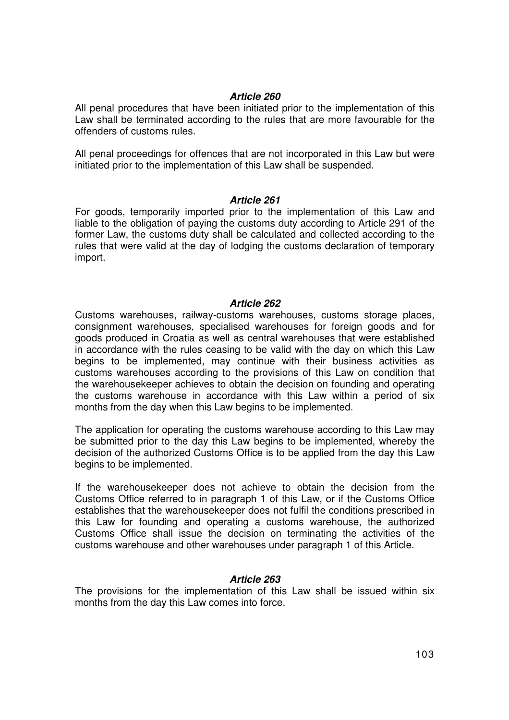## **Article 260**

All penal procedures that have been initiated prior to the implementation of this Law shall be terminated according to the rules that are more favourable for the offenders of customs rules.

All penal proceedings for offences that are not incorporated in this Law but were initiated prior to the implementation of this Law shall be suspended.

## **Article 261**

For goods, temporarily imported prior to the implementation of this Law and liable to the obligation of paying the customs duty according to Article 291 of the former Law, the customs duty shall be calculated and collected according to the rules that were valid at the day of lodging the customs declaration of temporary import.

## **Article 262**

Customs warehouses, railway-customs warehouses, customs storage places, consignment warehouses, specialised warehouses for foreign goods and for goods produced in Croatia as well as central warehouses that were established in accordance with the rules ceasing to be valid with the day on which this Law begins to be implemented, may continue with their business activities as customs warehouses according to the provisions of this Law on condition that the warehousekeeper achieves to obtain the decision on founding and operating the customs warehouse in accordance with this Law within a period of six months from the day when this Law begins to be implemented.

The application for operating the customs warehouse according to this Law may be submitted prior to the day this Law begins to be implemented, whereby the decision of the authorized Customs Office is to be applied from the day this Law begins to be implemented.

If the warehousekeeper does not achieve to obtain the decision from the Customs Office referred to in paragraph 1 of this Law, or if the Customs Office establishes that the warehousekeeper does not fulfil the conditions prescribed in this Law for founding and operating a customs warehouse, the authorized Customs Office shall issue the decision on terminating the activities of the customs warehouse and other warehouses under paragraph 1 of this Article.

# **Article 263**

The provisions for the implementation of this Law shall be issued within six months from the day this Law comes into force.